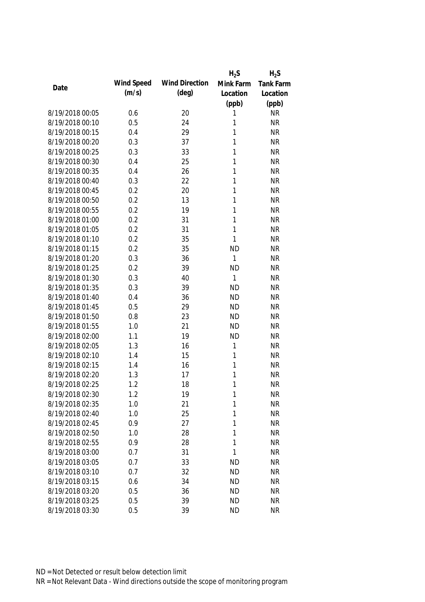|                 |            |                       | $H_2S$       | $H_2S$           |
|-----------------|------------|-----------------------|--------------|------------------|
| Date            | Wind Speed | <b>Wind Direction</b> | Mink Farm    | <b>Tank Farm</b> |
|                 | (m/s)      | $(\text{deg})$        | Location     | Location         |
|                 |            |                       | (ppb)        | (ppb)            |
| 8/19/2018 00:05 | 0.6        | 20                    | 1            | <b>NR</b>        |
| 8/19/2018 00:10 | 0.5        | 24                    | 1            | <b>NR</b>        |
| 8/19/2018 00:15 | 0.4        | 29                    | 1            | <b>NR</b>        |
| 8/19/2018 00:20 | 0.3        | 37                    | 1            | <b>NR</b>        |
| 8/19/2018 00:25 | 0.3        | 33                    | 1            | <b>NR</b>        |
| 8/19/2018 00:30 | 0.4        | 25                    | 1            | <b>NR</b>        |
| 8/19/2018 00:35 | 0.4        | 26                    | 1            | <b>NR</b>        |
| 8/19/2018 00:40 | 0.3        | 22                    | 1            | <b>NR</b>        |
| 8/19/2018 00:45 | 0.2        | 20                    | 1            | <b>NR</b>        |
| 8/19/2018 00:50 | 0.2        | 13                    | 1            | <b>NR</b>        |
| 8/19/2018 00:55 | 0.2        | 19                    | 1            | <b>NR</b>        |
| 8/19/2018 01:00 | 0.2        | 31                    | 1            | <b>NR</b>        |
| 8/19/2018 01:05 | 0.2        | 31                    | $\mathbf{1}$ | <b>NR</b>        |
| 8/19/2018 01:10 | 0.2        | 35                    | $\mathbf{1}$ | <b>NR</b>        |
| 8/19/2018 01:15 | 0.2        | 35                    | <b>ND</b>    | <b>NR</b>        |
| 8/19/2018 01:20 | 0.3        | 36                    | 1            | <b>NR</b>        |
| 8/19/2018 01:25 | 0.2        | 39                    | <b>ND</b>    | <b>NR</b>        |
| 8/19/2018 01:30 | 0.3        | 40                    | $\mathbf{1}$ | <b>NR</b>        |
| 8/19/2018 01:35 | 0.3        | 39                    | <b>ND</b>    | <b>NR</b>        |
| 8/19/2018 01:40 | 0.4        | 36                    | <b>ND</b>    | <b>NR</b>        |
| 8/19/2018 01:45 | 0.5        | 29                    | <b>ND</b>    | <b>NR</b>        |
| 8/19/2018 01:50 | 0.8        | 23                    | <b>ND</b>    | <b>NR</b>        |
| 8/19/2018 01:55 | 1.0        | 21                    | <b>ND</b>    | <b>NR</b>        |
| 8/19/2018 02:00 | 1.1        | 19                    | <b>ND</b>    | <b>NR</b>        |
| 8/19/2018 02:05 | 1.3        | 16                    | 1            | <b>NR</b>        |
| 8/19/2018 02:10 | 1.4        | 15                    | 1            | <b>NR</b>        |
| 8/19/2018 02:15 | 1.4        | 16                    | 1            | <b>NR</b>        |
| 8/19/2018 02:20 | 1.3        | 17                    | 1            | <b>NR</b>        |
| 8/19/2018 02:25 | 1.2        | 18                    | 1            | <b>NR</b>        |
| 8/19/2018 02:30 | 1.2        | 19                    | 1            | <b>NR</b>        |
| 8/19/2018 02:35 | 1.0        | 21                    | 1            | <b>NR</b>        |
| 8/19/2018 02:40 | 1.0        | 25                    | 1            | <b>NR</b>        |
| 8/19/2018 02:45 | 0.9        | 27                    | 1            | <b>NR</b>        |
| 8/19/2018 02:50 | 1.0        | 28                    | 1            | <b>NR</b>        |
| 8/19/2018 02:55 | 0.9        | 28                    | 1            | <b>NR</b>        |
| 8/19/2018 03:00 | 0.7        | 31                    | 1            | <b>NR</b>        |
| 8/19/2018 03:05 | 0.7        | 33                    | <b>ND</b>    | <b>NR</b>        |
| 8/19/2018 03:10 | 0.7        | 32                    | <b>ND</b>    | <b>NR</b>        |
| 8/19/2018 03:15 | 0.6        | 34                    | <b>ND</b>    | <b>NR</b>        |
| 8/19/2018 03:20 | 0.5        | 36                    | <b>ND</b>    | <b>NR</b>        |
| 8/19/2018 03:25 | 0.5        | 39                    | <b>ND</b>    | <b>NR</b>        |
|                 |            |                       |              |                  |
| 8/19/2018 03:30 | 0.5        | 39                    | <b>ND</b>    | <b>NR</b>        |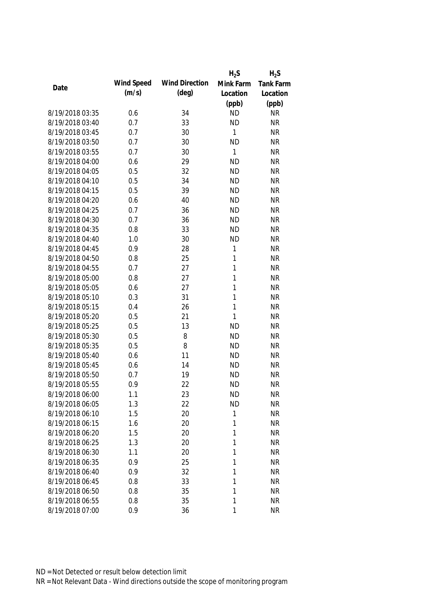|                 |            |                       | $H_2S$       | $H_2S$           |
|-----------------|------------|-----------------------|--------------|------------------|
| Date            | Wind Speed | <b>Wind Direction</b> | Mink Farm    | <b>Tank Farm</b> |
|                 | (m/s)      | $(\text{deg})$        | Location     | Location         |
|                 |            |                       | (ppb)        | (ppb)            |
| 8/19/2018 03:35 | 0.6        | 34                    | <b>ND</b>    | <b>NR</b>        |
| 8/19/2018 03:40 | 0.7        | 33                    | <b>ND</b>    | <b>NR</b>        |
| 8/19/2018 03:45 | 0.7        | 30                    | 1            | <b>NR</b>        |
| 8/19/2018 03:50 | 0.7        | 30                    | <b>ND</b>    | <b>NR</b>        |
| 8/19/2018 03:55 | 0.7        | 30                    | 1            | <b>NR</b>        |
| 8/19/2018 04:00 | 0.6        | 29                    | <b>ND</b>    | <b>NR</b>        |
| 8/19/2018 04:05 | 0.5        | 32                    | <b>ND</b>    | <b>NR</b>        |
| 8/19/2018 04:10 | 0.5        | 34                    | <b>ND</b>    | <b>NR</b>        |
| 8/19/2018 04:15 | 0.5        | 39                    | <b>ND</b>    | <b>NR</b>        |
| 8/19/2018 04:20 | 0.6        | 40                    | <b>ND</b>    | <b>NR</b>        |
| 8/19/2018 04:25 | 0.7        | 36                    | <b>ND</b>    | <b>NR</b>        |
| 8/19/2018 04:30 | 0.7        | 36                    | <b>ND</b>    | <b>NR</b>        |
| 8/19/2018 04:35 | 0.8        | 33                    | <b>ND</b>    | <b>NR</b>        |
| 8/19/2018 04:40 | 1.0        | 30                    | <b>ND</b>    | <b>NR</b>        |
| 8/19/2018 04:45 | 0.9        | 28                    | 1            | <b>NR</b>        |
| 8/19/2018 04:50 | 0.8        | 25                    | $\mathbf{1}$ | <b>NR</b>        |
| 8/19/2018 04:55 | 0.7        | 27                    | 1            | <b>NR</b>        |
| 8/19/2018 05:00 | 0.8        | 27                    | 1            | <b>NR</b>        |
| 8/19/2018 05:05 | 0.6        | 27                    | 1            | <b>NR</b>        |
| 8/19/2018 05:10 | 0.3        | 31                    | 1            | <b>NR</b>        |
| 8/19/2018 05:15 | 0.4        | 26                    | 1            | <b>NR</b>        |
| 8/19/2018 05:20 | 0.5        | 21                    | 1            | <b>NR</b>        |
| 8/19/2018 05:25 | 0.5        | 13                    | <b>ND</b>    | <b>NR</b>        |
| 8/19/2018 05:30 | 0.5        | 8                     | <b>ND</b>    | <b>NR</b>        |
| 8/19/2018 05:35 | 0.5        | 8                     | <b>ND</b>    | <b>NR</b>        |
| 8/19/2018 05:40 | 0.6        | 11                    | <b>ND</b>    | <b>NR</b>        |
| 8/19/2018 05:45 | 0.6        | 14                    | <b>ND</b>    | <b>NR</b>        |
| 8/19/2018 05:50 | 0.7        | 19                    | <b>ND</b>    | <b>NR</b>        |
| 8/19/2018 05:55 | 0.9        | 22                    | <b>ND</b>    | <b>NR</b>        |
| 8/19/2018 06:00 | 1.1        | 23                    | <b>ND</b>    | <b>NR</b>        |
| 8/19/2018 06:05 | 1.3        | 22                    | <b>ND</b>    | <b>NR</b>        |
| 8/19/2018 06:10 | 1.5        | 20                    | 1            | <b>NR</b>        |
| 8/19/2018 06:15 | 1.6        | 20                    | 1            | <b>NR</b>        |
| 8/19/2018 06:20 | 1.5        | 20                    | 1            | <b>NR</b>        |
| 8/19/2018 06:25 | 1.3        | 20                    | 1            | <b>NR</b>        |
| 8/19/2018 06:30 | 1.1        | 20                    | 1            | <b>NR</b>        |
| 8/19/2018 06:35 | 0.9        | 25                    | 1            | <b>NR</b>        |
| 8/19/2018 06:40 | 0.9        | 32                    | 1            | <b>NR</b>        |
| 8/19/2018 06:45 | 0.8        | 33                    | 1            | <b>NR</b>        |
| 8/19/2018 06:50 | 0.8        | 35                    | 1            | <b>NR</b>        |
| 8/19/2018 06:55 | 0.8        | 35                    | 1            | <b>NR</b>        |
| 8/19/2018 07:00 | 0.9        | 36                    | $\mathbf{1}$ | <b>NR</b>        |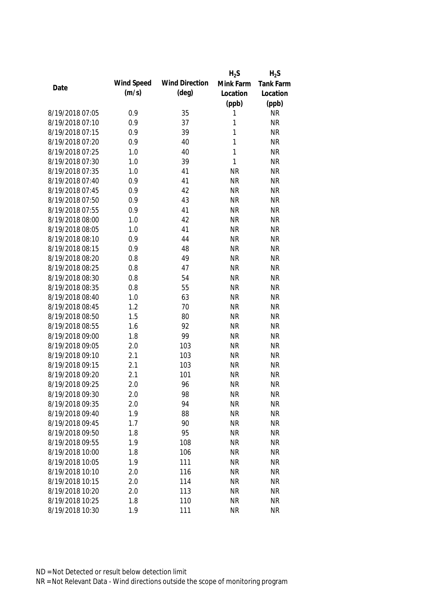|                 |            |                       | $H_2S$       | $H_2S$           |
|-----------------|------------|-----------------------|--------------|------------------|
| Date            | Wind Speed | <b>Wind Direction</b> | Mink Farm    | <b>Tank Farm</b> |
|                 | (m/s)      | $(\text{deg})$        | Location     | Location         |
|                 |            |                       | (ppb)        | (ppb)            |
| 8/19/2018 07:05 | 0.9        | 35                    | 1            | <b>NR</b>        |
| 8/19/2018 07:10 | 0.9        | 37                    | 1            | <b>NR</b>        |
| 8/19/2018 07:15 | 0.9        | 39                    | 1            | <b>NR</b>        |
| 8/19/2018 07:20 | 0.9        | 40                    | 1            | <b>NR</b>        |
| 8/19/2018 07:25 | 1.0        | 40                    | 1            | <b>NR</b>        |
| 8/19/2018 07:30 | 1.0        | 39                    | $\mathbf{1}$ | <b>NR</b>        |
| 8/19/2018 07:35 | 1.0        | 41                    | <b>NR</b>    | <b>NR</b>        |
| 8/19/2018 07:40 | 0.9        | 41                    | <b>NR</b>    | <b>NR</b>        |
| 8/19/2018 07:45 | 0.9        | 42                    | <b>NR</b>    | <b>NR</b>        |
| 8/19/2018 07:50 | 0.9        | 43                    | <b>NR</b>    | <b>NR</b>        |
| 8/19/2018 07:55 | 0.9        | 41                    | <b>NR</b>    | <b>NR</b>        |
| 8/19/2018 08:00 | 1.0        | 42                    | <b>NR</b>    | <b>NR</b>        |
| 8/19/2018 08:05 | 1.0        | 41                    | <b>NR</b>    | <b>NR</b>        |
| 8/19/2018 08:10 | 0.9        | 44                    | <b>NR</b>    | <b>NR</b>        |
| 8/19/2018 08:15 | 0.9        | 48                    | <b>NR</b>    | <b>NR</b>        |
| 8/19/2018 08:20 | 0.8        | 49                    | <b>NR</b>    | <b>NR</b>        |
| 8/19/2018 08:25 | 0.8        | 47                    | <b>NR</b>    | <b>NR</b>        |
| 8/19/2018 08:30 | 0.8        | 54                    | <b>NR</b>    | <b>NR</b>        |
| 8/19/2018 08:35 | 0.8        | 55                    | <b>NR</b>    | <b>NR</b>        |
| 8/19/2018 08:40 | 1.0        | 63                    | <b>NR</b>    | <b>NR</b>        |
| 8/19/2018 08:45 | 1.2        | 70                    | <b>NR</b>    | <b>NR</b>        |
| 8/19/2018 08:50 | 1.5        | 80                    | <b>NR</b>    | <b>NR</b>        |
| 8/19/2018 08:55 | 1.6        | 92                    | <b>NR</b>    | <b>NR</b>        |
| 8/19/2018 09:00 | 1.8        | 99                    | <b>NR</b>    | <b>NR</b>        |
| 8/19/2018 09:05 | 2.0        | 103                   | <b>NR</b>    | <b>NR</b>        |
| 8/19/2018 09:10 | 2.1        | 103                   | <b>NR</b>    | <b>NR</b>        |
| 8/19/2018 09:15 | 2.1        | 103                   | <b>NR</b>    | <b>NR</b>        |
| 8/19/2018 09:20 | 2.1        | 101                   | <b>NR</b>    | <b>NR</b>        |
| 8/19/2018 09:25 | 2.0        | 96                    | <b>NR</b>    | <b>NR</b>        |
| 8/19/2018 09:30 | 2.0        | 98                    | <b>NR</b>    | <b>NR</b>        |
| 8/19/2018 09:35 | 2.0        | 94                    | <b>NR</b>    | <b>NR</b>        |
| 8/19/2018 09:40 | 1.9        | 88                    | <b>NR</b>    | <b>NR</b>        |
| 8/19/2018 09:45 | 1.7        | 90                    | <b>NR</b>    | <b>NR</b>        |
| 8/19/2018 09:50 | 1.8        | 95                    | <b>NR</b>    | <b>NR</b>        |
| 8/19/2018 09:55 | 1.9        | 108                   | <b>NR</b>    | <b>NR</b>        |
| 8/19/2018 10:00 | 1.8        | 106                   | <b>NR</b>    | <b>NR</b>        |
| 8/19/2018 10:05 | 1.9        | 111                   | <b>NR</b>    | <b>NR</b>        |
| 8/19/2018 10:10 | 2.0        | 116                   | <b>NR</b>    | <b>NR</b>        |
| 8/19/2018 10:15 | 2.0        | 114                   | <b>NR</b>    | <b>NR</b>        |
| 8/19/2018 10:20 | 2.0        | 113                   | <b>NR</b>    | <b>NR</b>        |
| 8/19/2018 10:25 | 1.8        | 110                   | <b>NR</b>    | <b>NR</b>        |
| 8/19/2018 10:30 | 1.9        | 111                   | <b>NR</b>    | <b>NR</b>        |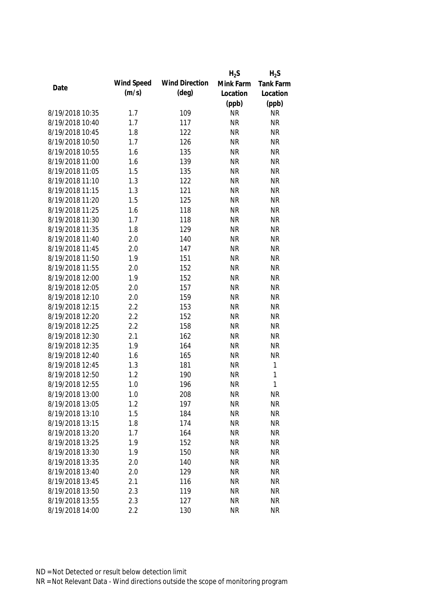|                 |            |                       | $H_2S$    | $H_2S$           |
|-----------------|------------|-----------------------|-----------|------------------|
| Date            | Wind Speed | <b>Wind Direction</b> | Mink Farm | <b>Tank Farm</b> |
|                 | (m/s)      | $(\text{deg})$        | Location  | Location         |
|                 |            |                       | (ppb)     | (ppb)            |
| 8/19/2018 10:35 | 1.7        | 109                   | <b>NR</b> | <b>NR</b>        |
| 8/19/2018 10:40 | 1.7        | 117                   | <b>NR</b> | <b>NR</b>        |
| 8/19/2018 10:45 | 1.8        | 122                   | <b>NR</b> | <b>NR</b>        |
| 8/19/2018 10:50 | 1.7        | 126                   | <b>NR</b> | <b>NR</b>        |
| 8/19/2018 10:55 | 1.6        | 135                   | <b>NR</b> | <b>NR</b>        |
| 8/19/2018 11:00 | 1.6        | 139                   | <b>NR</b> | <b>NR</b>        |
| 8/19/2018 11:05 | 1.5        | 135                   | <b>NR</b> | <b>NR</b>        |
| 8/19/2018 11:10 | 1.3        | 122                   | <b>NR</b> | <b>NR</b>        |
| 8/19/2018 11:15 | 1.3        | 121                   | <b>NR</b> | <b>NR</b>        |
| 8/19/2018 11:20 | 1.5        | 125                   | <b>NR</b> | <b>NR</b>        |
| 8/19/2018 11:25 | 1.6        | 118                   | <b>NR</b> | <b>NR</b>        |
| 8/19/2018 11:30 | 1.7        | 118                   | <b>NR</b> | <b>NR</b>        |
| 8/19/2018 11:35 | 1.8        | 129                   | <b>NR</b> | <b>NR</b>        |
| 8/19/2018 11:40 | 2.0        | 140                   | <b>NR</b> | <b>NR</b>        |
| 8/19/2018 11:45 | 2.0        | 147                   | <b>NR</b> | <b>NR</b>        |
| 8/19/2018 11:50 | 1.9        | 151                   | <b>NR</b> | <b>NR</b>        |
| 8/19/2018 11:55 | 2.0        | 152                   | <b>NR</b> | <b>NR</b>        |
| 8/19/2018 12:00 | 1.9        | 152                   | <b>NR</b> | <b>NR</b>        |
| 8/19/2018 12:05 | 2.0        | 157                   | <b>NR</b> | <b>NR</b>        |
| 8/19/2018 12:10 | 2.0        | 159                   | <b>NR</b> | <b>NR</b>        |
| 8/19/2018 12:15 | 2.2        | 153                   | <b>NR</b> | <b>NR</b>        |
| 8/19/2018 12:20 | 2.2        | 152                   | <b>NR</b> | <b>NR</b>        |
| 8/19/2018 12:25 | 2.2        | 158                   | <b>NR</b> | <b>NR</b>        |
| 8/19/2018 12:30 | 2.1        | 162                   | <b>NR</b> | <b>NR</b>        |
| 8/19/2018 12:35 | 1.9        | 164                   | <b>NR</b> | <b>NR</b>        |
| 8/19/2018 12:40 | 1.6        | 165                   | <b>NR</b> | <b>NR</b>        |
| 8/19/2018 12:45 | 1.3        | 181                   | <b>NR</b> | $\mathbf{1}$     |
| 8/19/2018 12:50 | 1.2        | 190                   | <b>NR</b> | $\mathbf{1}$     |
| 8/19/2018 12:55 | 1.0        | 196                   | <b>NR</b> | $\mathbf{1}$     |
| 8/19/2018 13:00 | 1.0        | 208                   | <b>NR</b> | <b>NR</b>        |
| 8/19/2018 13:05 | 1.2        | 197                   | <b>NR</b> | <b>NR</b>        |
| 8/19/2018 13:10 | 1.5        | 184                   | <b>NR</b> | <b>NR</b>        |
| 8/19/2018 13:15 | 1.8        | 174                   | <b>NR</b> | <b>NR</b>        |
| 8/19/2018 13:20 | 1.7        | 164                   | <b>NR</b> | <b>NR</b>        |
| 8/19/2018 13:25 | 1.9        | 152                   | <b>NR</b> | <b>NR</b>        |
| 8/19/2018 13:30 | 1.9        | 150                   | <b>NR</b> | <b>NR</b>        |
| 8/19/2018 13:35 | 2.0        | 140                   | <b>NR</b> | <b>NR</b>        |
| 8/19/2018 13:40 | 2.0        | 129                   | <b>NR</b> | <b>NR</b>        |
| 8/19/2018 13:45 | 2.1        | 116                   | <b>NR</b> | <b>NR</b>        |
| 8/19/2018 13:50 | 2.3        | 119                   | <b>NR</b> | <b>NR</b>        |
| 8/19/2018 13:55 | 2.3        | 127                   | <b>NR</b> | <b>NR</b>        |
| 8/19/2018 14:00 | 2.2        | 130                   | <b>NR</b> | <b>NR</b>        |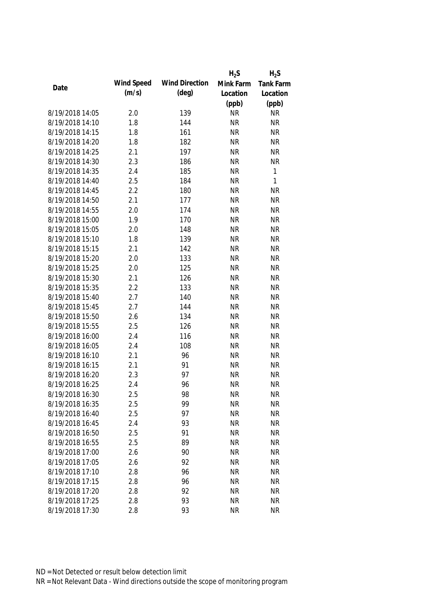|                 |            |                       | $H_2S$    | $H_2S$           |
|-----------------|------------|-----------------------|-----------|------------------|
|                 | Wind Speed | <b>Wind Direction</b> | Mink Farm | <b>Tank Farm</b> |
| Date            | (m/s)      | $(\text{deg})$        | Location  | Location         |
|                 |            |                       | (ppb)     | (ppb)            |
| 8/19/2018 14:05 | 2.0        | 139                   | <b>NR</b> | <b>NR</b>        |
| 8/19/2018 14:10 | 1.8        | 144                   | <b>NR</b> | <b>NR</b>        |
| 8/19/2018 14:15 | 1.8        | 161                   | <b>NR</b> | <b>NR</b>        |
| 8/19/2018 14:20 | 1.8        | 182                   | <b>NR</b> | <b>NR</b>        |
| 8/19/2018 14:25 | 2.1        | 197                   | <b>NR</b> | <b>NR</b>        |
| 8/19/2018 14:30 | 2.3        | 186                   | <b>NR</b> | <b>NR</b>        |
| 8/19/2018 14:35 | 2.4        | 185                   | <b>NR</b> | $\mathbf{1}$     |
| 8/19/2018 14:40 | 2.5        | 184                   | <b>NR</b> | $\mathbf{1}$     |
| 8/19/2018 14:45 | 2.2        | 180                   | <b>NR</b> | <b>NR</b>        |
| 8/19/2018 14:50 | 2.1        | 177                   | <b>NR</b> | <b>NR</b>        |
| 8/19/2018 14:55 | 2.0        | 174                   | <b>NR</b> | <b>NR</b>        |
| 8/19/2018 15:00 | 1.9        | 170                   | <b>NR</b> | <b>NR</b>        |
| 8/19/2018 15:05 | 2.0        | 148                   | <b>NR</b> | <b>NR</b>        |
| 8/19/2018 15:10 | 1.8        | 139                   | <b>NR</b> | <b>NR</b>        |
| 8/19/2018 15:15 | 2.1        | 142                   | <b>NR</b> | <b>NR</b>        |
| 8/19/2018 15:20 | 2.0        | 133                   | <b>NR</b> | <b>NR</b>        |
| 8/19/2018 15:25 | 2.0        | 125                   | <b>NR</b> | <b>NR</b>        |
| 8/19/2018 15:30 | 2.1        | 126                   | <b>NR</b> | <b>NR</b>        |
| 8/19/2018 15:35 | 2.2        | 133                   | <b>NR</b> | <b>NR</b>        |
| 8/19/2018 15:40 | 2.7        | 140                   | <b>NR</b> | <b>NR</b>        |
| 8/19/2018 15:45 | 2.7        | 144                   | <b>NR</b> | <b>NR</b>        |
| 8/19/2018 15:50 | 2.6        | 134                   | <b>NR</b> | <b>NR</b>        |
| 8/19/2018 15:55 | 2.5        | 126                   | <b>NR</b> | <b>NR</b>        |
| 8/19/2018 16:00 | 2.4        | 116                   | <b>NR</b> | <b>NR</b>        |
| 8/19/2018 16:05 | 2.4        | 108                   | <b>NR</b> | <b>NR</b>        |
| 8/19/2018 16:10 | 2.1        | 96                    | <b>NR</b> | <b>NR</b>        |
| 8/19/2018 16:15 | 2.1        | 91                    | <b>NR</b> | <b>NR</b>        |
| 8/19/2018 16:20 | 2.3        | 97                    | <b>NR</b> | <b>NR</b>        |
| 8/19/2018 16:25 | 2.4        | 96                    | <b>NR</b> | <b>NR</b>        |
| 8/19/2018 16:30 | 2.5        | 98                    | <b>NR</b> | <b>NR</b>        |
| 8/19/2018 16:35 | 2.5        | 99                    | <b>NR</b> | <b>NR</b>        |
| 8/19/2018 16:40 | 2.5        | 97                    | <b>NR</b> | <b>NR</b>        |
| 8/19/2018 16:45 | 2.4        | 93                    | <b>NR</b> | <b>NR</b>        |
| 8/19/2018 16:50 | 2.5        | 91                    | <b>NR</b> | <b>NR</b>        |
| 8/19/2018 16:55 | 2.5        | 89                    | <b>NR</b> | <b>NR</b>        |
| 8/19/2018 17:00 | 2.6        | 90                    | <b>NR</b> | <b>NR</b>        |
| 8/19/2018 17:05 | 2.6        | 92                    | <b>NR</b> | <b>NR</b>        |
| 8/19/2018 17:10 | 2.8        | 96                    | <b>NR</b> | <b>NR</b>        |
| 8/19/2018 17:15 | 2.8        | 96                    | <b>NR</b> | <b>NR</b>        |
| 8/19/2018 17:20 | 2.8        | 92                    | <b>NR</b> | <b>NR</b>        |
| 8/19/2018 17:25 | 2.8        | 93                    | <b>NR</b> | <b>NR</b>        |
| 8/19/2018 17:30 | 2.8        | 93                    | <b>NR</b> | <b>NR</b>        |
|                 |            |                       |           |                  |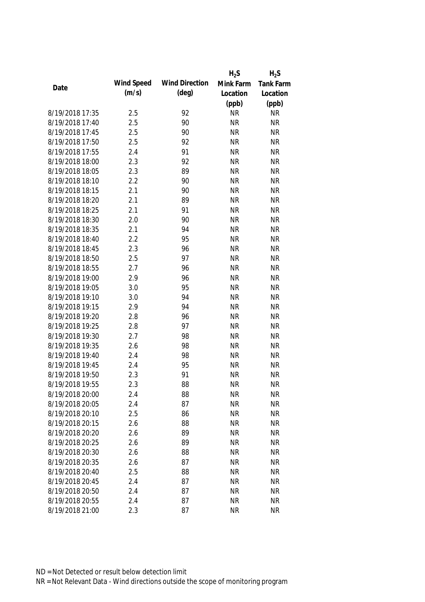|                 |            |                       | $H_2S$    | $H_2S$           |
|-----------------|------------|-----------------------|-----------|------------------|
|                 | Wind Speed | <b>Wind Direction</b> | Mink Farm | <b>Tank Farm</b> |
| Date            | (m/s)      | $(\text{deg})$        | Location  | Location         |
|                 |            |                       | (ppb)     | (ppb)            |
| 8/19/2018 17:35 | 2.5        | 92                    | <b>NR</b> | <b>NR</b>        |
| 8/19/2018 17:40 | 2.5        | 90                    | <b>NR</b> | <b>NR</b>        |
| 8/19/2018 17:45 | 2.5        | 90                    | <b>NR</b> | <b>NR</b>        |
| 8/19/2018 17:50 | 2.5        | 92                    | <b>NR</b> | <b>NR</b>        |
| 8/19/2018 17:55 | 2.4        | 91                    | <b>NR</b> | <b>NR</b>        |
| 8/19/2018 18:00 | 2.3        | 92                    | <b>NR</b> | <b>NR</b>        |
| 8/19/2018 18:05 | 2.3        | 89                    | <b>NR</b> | <b>NR</b>        |
| 8/19/2018 18:10 | 2.2        | 90                    | <b>NR</b> | <b>NR</b>        |
| 8/19/2018 18:15 | 2.1        | 90                    | <b>NR</b> | <b>NR</b>        |
| 8/19/2018 18:20 | 2.1        | 89                    | <b>NR</b> | <b>NR</b>        |
| 8/19/2018 18:25 | 2.1        | 91                    | <b>NR</b> | <b>NR</b>        |
| 8/19/2018 18:30 | 2.0        | 90                    | <b>NR</b> | <b>NR</b>        |
| 8/19/2018 18:35 | 2.1        | 94                    | <b>NR</b> | <b>NR</b>        |
| 8/19/2018 18:40 | 2.2        | 95                    | <b>NR</b> | <b>NR</b>        |
| 8/19/2018 18:45 | 2.3        | 96                    | <b>NR</b> | <b>NR</b>        |
| 8/19/2018 18:50 | 2.5        | 97                    | <b>NR</b> | <b>NR</b>        |
| 8/19/2018 18:55 | 2.7        | 96                    | <b>NR</b> | <b>NR</b>        |
| 8/19/2018 19:00 | 2.9        | 96                    | <b>NR</b> | <b>NR</b>        |
| 8/19/2018 19:05 | 3.0        | 95                    | <b>NR</b> | <b>NR</b>        |
| 8/19/2018 19:10 | 3.0        | 94                    | <b>NR</b> | <b>NR</b>        |
| 8/19/2018 19:15 | 2.9        | 94                    | <b>NR</b> | <b>NR</b>        |
| 8/19/2018 19:20 | 2.8        | 96                    | <b>NR</b> | <b>NR</b>        |
| 8/19/2018 19:25 | 2.8        | 97                    | <b>NR</b> | <b>NR</b>        |
| 8/19/2018 19:30 | 2.7        | 98                    | <b>NR</b> | <b>NR</b>        |
| 8/19/2018 19:35 | 2.6        | 98                    | <b>NR</b> | <b>NR</b>        |
| 8/19/2018 19:40 | 2.4        | 98                    | <b>NR</b> | <b>NR</b>        |
| 8/19/2018 19:45 | 2.4        | 95                    | <b>NR</b> | <b>NR</b>        |
| 8/19/2018 19:50 | 2.3        | 91                    | <b>NR</b> | <b>NR</b>        |
| 8/19/2018 19:55 | 2.3        | 88                    | <b>NR</b> | <b>NR</b>        |
| 8/19/2018 20:00 | 2.4        | 88                    | <b>NR</b> | <b>NR</b>        |
| 8/19/2018 20:05 | 2.4        | 87                    | <b>NR</b> | <b>NR</b>        |
| 8/19/2018 20:10 | 2.5        | 86                    | <b>NR</b> | <b>NR</b>        |
| 8/19/2018 20:15 | 2.6        | 88                    | <b>NR</b> | <b>NR</b>        |
| 8/19/2018 20:20 | 2.6        | 89                    | <b>NR</b> | <b>NR</b>        |
| 8/19/2018 20:25 | 2.6        | 89                    | <b>NR</b> | <b>NR</b>        |
| 8/19/2018 20:30 | 2.6        | 88                    | <b>NR</b> | <b>NR</b>        |
| 8/19/2018 20:35 | 2.6        | 87                    | <b>NR</b> | <b>NR</b>        |
| 8/19/2018 20:40 | 2.5        | 88                    | <b>NR</b> | <b>NR</b>        |
| 8/19/2018 20:45 | 2.4        | 87                    | <b>NR</b> | <b>NR</b>        |
|                 |            |                       |           |                  |
| 8/19/2018 20:50 | 2.4        | 87                    | <b>NR</b> | <b>NR</b>        |
| 8/19/2018 20:55 | 2.4        | 87                    | <b>NR</b> | <b>NR</b>        |
| 8/19/2018 21:00 | 2.3        | 87                    | <b>NR</b> | <b>NR</b>        |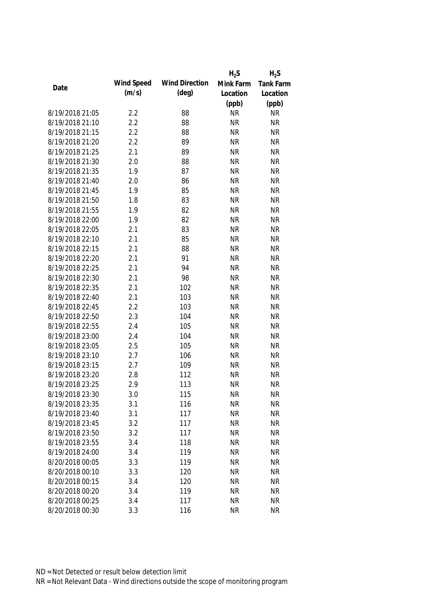|                 |            |                       | $H_2S$    | $H_2S$           |
|-----------------|------------|-----------------------|-----------|------------------|
|                 | Wind Speed | <b>Wind Direction</b> | Mink Farm | <b>Tank Farm</b> |
| Date            | (m/s)      | $(\text{deg})$        | Location  | Location         |
|                 |            |                       | (ppb)     | (ppb)            |
| 8/19/2018 21:05 | 2.2        | 88                    | <b>NR</b> | <b>NR</b>        |
| 8/19/2018 21:10 | 2.2        | 88                    | <b>NR</b> | <b>NR</b>        |
| 8/19/2018 21:15 | 2.2        | 88                    | <b>NR</b> | <b>NR</b>        |
| 8/19/2018 21:20 | 2.2        | 89                    | <b>NR</b> | <b>NR</b>        |
| 8/19/2018 21:25 | 2.1        | 89                    | <b>NR</b> | <b>NR</b>        |
| 8/19/2018 21:30 | 2.0        | 88                    | <b>NR</b> | <b>NR</b>        |
| 8/19/2018 21:35 | 1.9        | 87                    | <b>NR</b> | <b>NR</b>        |
| 8/19/2018 21:40 | 2.0        | 86                    | <b>NR</b> | <b>NR</b>        |
| 8/19/2018 21:45 | 1.9        | 85                    | <b>NR</b> | <b>NR</b>        |
| 8/19/2018 21:50 | 1.8        | 83                    | <b>NR</b> | <b>NR</b>        |
| 8/19/2018 21:55 | 1.9        | 82                    | <b>NR</b> | <b>NR</b>        |
| 8/19/2018 22:00 | 1.9        | 82                    | <b>NR</b> | <b>NR</b>        |
| 8/19/2018 22:05 | 2.1        | 83                    | <b>NR</b> | <b>NR</b>        |
| 8/19/2018 22:10 | 2.1        | 85                    | <b>NR</b> | <b>NR</b>        |
| 8/19/2018 22:15 | 2.1        | 88                    | <b>NR</b> | <b>NR</b>        |
| 8/19/2018 22:20 | 2.1        | 91                    | <b>NR</b> | <b>NR</b>        |
| 8/19/2018 22:25 | 2.1        | 94                    | <b>NR</b> | <b>NR</b>        |
| 8/19/2018 22:30 | 2.1        | 98                    | <b>NR</b> | <b>NR</b>        |
| 8/19/2018 22:35 | 2.1        | 102                   | <b>NR</b> | <b>NR</b>        |
| 8/19/2018 22:40 | 2.1        | 103                   | <b>NR</b> | <b>NR</b>        |
| 8/19/2018 22:45 | 2.2        | 103                   | <b>NR</b> | <b>NR</b>        |
| 8/19/2018 22:50 | 2.3        | 104                   | <b>NR</b> | <b>NR</b>        |
| 8/19/2018 22:55 | 2.4        | 105                   | <b>NR</b> | <b>NR</b>        |
| 8/19/2018 23:00 | 2.4        | 104                   | <b>NR</b> | <b>NR</b>        |
| 8/19/2018 23:05 | 2.5        | 105                   | <b>NR</b> | <b>NR</b>        |
| 8/19/2018 23:10 | 2.7        | 106                   | <b>NR</b> | <b>NR</b>        |
| 8/19/2018 23:15 | 2.7        | 109                   | <b>NR</b> | <b>NR</b>        |
| 8/19/2018 23:20 | 2.8        | 112                   | <b>NR</b> | <b>NR</b>        |
| 8/19/2018 23:25 | 2.9        | 113                   | <b>NR</b> | <b>NR</b>        |
| 8/19/2018 23:30 | 3.0        | 115                   | <b>NR</b> | <b>NR</b>        |
| 8/19/2018 23:35 | 3.1        | 116                   | <b>NR</b> | <b>NR</b>        |
| 8/19/2018 23:40 | 3.1        | 117                   | <b>NR</b> | <b>NR</b>        |
| 8/19/2018 23:45 | 3.2        | 117                   | <b>NR</b> | <b>NR</b>        |
| 8/19/2018 23:50 | 3.2        | 117                   | <b>NR</b> | <b>NR</b>        |
| 8/19/2018 23:55 | 3.4        | 118                   | <b>NR</b> | <b>NR</b>        |
| 8/19/2018 24:00 | 3.4        | 119                   | <b>NR</b> | <b>NR</b>        |
| 8/20/2018 00:05 | 3.3        | 119                   | <b>NR</b> | <b>NR</b>        |
| 8/20/2018 00:10 | 3.3        | 120                   | <b>NR</b> | <b>NR</b>        |
| 8/20/2018 00:15 | 3.4        | 120                   | <b>NR</b> | <b>NR</b>        |
| 8/20/2018 00:20 | 3.4        | 119                   | <b>NR</b> | <b>NR</b>        |
| 8/20/2018 00:25 | 3.4        | 117                   | <b>NR</b> | <b>NR</b>        |
|                 |            |                       |           |                  |
| 8/20/2018 00:30 | 3.3        | 116                   | <b>NR</b> | <b>NR</b>        |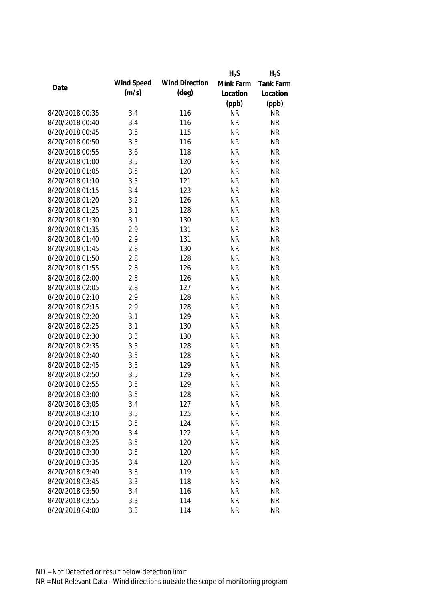|                 |            |                       | $H_2S$    | $H_2S$    |
|-----------------|------------|-----------------------|-----------|-----------|
|                 | Wind Speed | <b>Wind Direction</b> | Mink Farm | Tank Farm |
| Date            | (m/s)      | $(\text{deg})$        | Location  | Location  |
|                 |            |                       | (ppb)     | (ppb)     |
| 8/20/2018 00:35 | 3.4        | 116                   | <b>NR</b> | <b>NR</b> |
| 8/20/2018 00:40 | 3.4        | 116                   | <b>NR</b> | <b>NR</b> |
| 8/20/2018 00:45 | 3.5        | 115                   | <b>NR</b> | <b>NR</b> |
| 8/20/2018 00:50 | 3.5        | 116                   | <b>NR</b> | <b>NR</b> |
| 8/20/2018 00:55 | 3.6        | 118                   | <b>NR</b> | <b>NR</b> |
| 8/20/2018 01:00 | 3.5        | 120                   | <b>NR</b> | <b>NR</b> |
| 8/20/2018 01:05 | 3.5        | 120                   | <b>NR</b> | <b>NR</b> |
| 8/20/2018 01:10 | 3.5        | 121                   | <b>NR</b> | <b>NR</b> |
| 8/20/2018 01:15 | 3.4        | 123                   | <b>NR</b> | <b>NR</b> |
| 8/20/2018 01:20 | 3.2        | 126                   | <b>NR</b> | <b>NR</b> |
| 8/20/2018 01:25 | 3.1        | 128                   | <b>NR</b> | <b>NR</b> |
| 8/20/2018 01:30 | 3.1        | 130                   | <b>NR</b> | <b>NR</b> |
| 8/20/2018 01:35 | 2.9        | 131                   | <b>NR</b> | <b>NR</b> |
| 8/20/2018 01:40 | 2.9        | 131                   | <b>NR</b> | <b>NR</b> |
| 8/20/2018 01:45 | 2.8        | 130                   | <b>NR</b> | <b>NR</b> |
| 8/20/2018 01:50 | 2.8        | 128                   | <b>NR</b> | <b>NR</b> |
| 8/20/2018 01:55 | 2.8        | 126                   | <b>NR</b> | <b>NR</b> |
| 8/20/2018 02:00 | 2.8        | 126                   | <b>NR</b> | <b>NR</b> |
| 8/20/2018 02:05 | 2.8        | 127                   | <b>NR</b> | <b>NR</b> |
| 8/20/2018 02:10 | 2.9        | 128                   | <b>NR</b> | <b>NR</b> |
| 8/20/2018 02:15 | 2.9        | 128                   | <b>NR</b> | <b>NR</b> |
| 8/20/2018 02:20 | 3.1        | 129                   | <b>NR</b> | <b>NR</b> |
| 8/20/2018 02:25 | 3.1        | 130                   | <b>NR</b> | <b>NR</b> |
| 8/20/2018 02:30 | 3.3        | 130                   | <b>NR</b> | <b>NR</b> |
| 8/20/2018 02:35 | 3.5        | 128                   | <b>NR</b> | <b>NR</b> |
| 8/20/2018 02:40 | 3.5        | 128                   | <b>NR</b> | <b>NR</b> |
| 8/20/2018 02:45 | 3.5        | 129                   | <b>NR</b> | <b>NR</b> |
| 8/20/2018 02:50 | 3.5        | 129                   | <b>NR</b> | <b>NR</b> |
| 8/20/2018 02:55 | 3.5        | 129                   | <b>NR</b> | <b>NR</b> |
| 8/20/2018 03:00 | 3.5        | 128                   | <b>NR</b> | <b>NR</b> |
| 8/20/2018 03:05 | 3.4        | 127                   | <b>NR</b> | <b>NR</b> |
| 8/20/2018 03:10 | 3.5        | 125                   | <b>NR</b> | <b>NR</b> |
| 8/20/2018 03:15 | 3.5        | 124                   | <b>NR</b> | <b>NR</b> |
| 8/20/2018 03:20 | 3.4        | 122                   | <b>NR</b> | <b>NR</b> |
| 8/20/2018 03:25 | 3.5        | 120                   | <b>NR</b> | <b>NR</b> |
| 8/20/2018 03:30 | 3.5        | 120                   | <b>NR</b> | <b>NR</b> |
| 8/20/2018 03:35 | 3.4        | 120                   | <b>NR</b> | <b>NR</b> |
| 8/20/2018 03:40 | 3.3        | 119                   | <b>NR</b> | <b>NR</b> |
| 8/20/2018 03:45 | 3.3        | 118                   | <b>NR</b> | <b>NR</b> |
|                 |            |                       |           | <b>NR</b> |
| 8/20/2018 03:50 | 3.4        | 116                   | <b>NR</b> |           |
| 8/20/2018 03:55 | 3.3        | 114                   | <b>NR</b> | <b>NR</b> |
| 8/20/2018 04:00 | 3.3        | 114                   | <b>NR</b> | <b>NR</b> |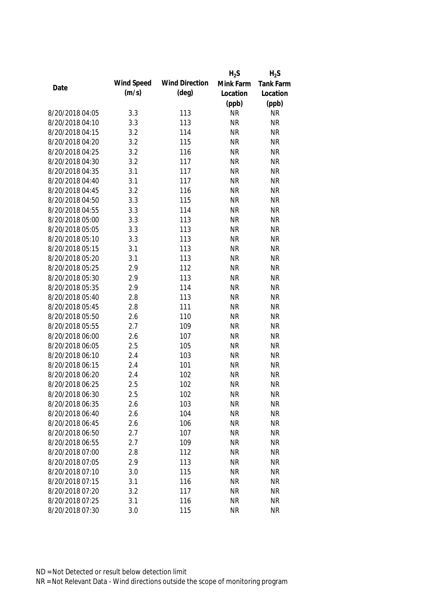|                 |            |                       | $H_2S$    | $H_2S$    |
|-----------------|------------|-----------------------|-----------|-----------|
|                 | Wind Speed | <b>Wind Direction</b> | Mink Farm | Tank Farm |
| Date            | (m/s)      | $(\text{deg})$        | Location  | Location  |
|                 |            |                       | (ppb)     | (ppb)     |
| 8/20/2018 04:05 | 3.3        | 113                   | <b>NR</b> | <b>NR</b> |
| 8/20/2018 04:10 | 3.3        | 113                   | <b>NR</b> | <b>NR</b> |
| 8/20/2018 04:15 | 3.2        | 114                   | <b>NR</b> | <b>NR</b> |
| 8/20/2018 04:20 | 3.2        | 115                   | <b>NR</b> | <b>NR</b> |
| 8/20/2018 04:25 | 3.2        | 116                   | <b>NR</b> | <b>NR</b> |
| 8/20/2018 04:30 | 3.2        | 117                   | <b>NR</b> | <b>NR</b> |
| 8/20/2018 04:35 | 3.1        | 117                   | <b>NR</b> | <b>NR</b> |
| 8/20/2018 04:40 | 3.1        | 117                   | <b>NR</b> | <b>NR</b> |
| 8/20/2018 04:45 | 3.2        | 116                   | <b>NR</b> | <b>NR</b> |
| 8/20/2018 04:50 | 3.3        | 115                   | <b>NR</b> | <b>NR</b> |
| 8/20/2018 04:55 | 3.3        | 114                   | <b>NR</b> | <b>NR</b> |
| 8/20/2018 05:00 | 3.3        | 113                   | <b>NR</b> | <b>NR</b> |
| 8/20/2018 05:05 | 3.3        | 113                   | <b>NR</b> | <b>NR</b> |
| 8/20/2018 05:10 | 3.3        | 113                   | <b>NR</b> | <b>NR</b> |
| 8/20/2018 05:15 | 3.1        | 113                   | <b>NR</b> | <b>NR</b> |
| 8/20/2018 05:20 | 3.1        | 113                   | <b>NR</b> | <b>NR</b> |
| 8/20/2018 05:25 | 2.9        | 112                   | <b>NR</b> | <b>NR</b> |
| 8/20/2018 05:30 | 2.9        | 113                   | <b>NR</b> | <b>NR</b> |
| 8/20/2018 05:35 | 2.9        | 114                   | <b>NR</b> | <b>NR</b> |
| 8/20/2018 05:40 | 2.8        | 113                   | <b>NR</b> | <b>NR</b> |
| 8/20/2018 05:45 | 2.8        | 111                   | <b>NR</b> | <b>NR</b> |
| 8/20/2018 05:50 | 2.6        | 110                   | <b>NR</b> | <b>NR</b> |
| 8/20/2018 05:55 | 2.7        | 109                   | <b>NR</b> | <b>NR</b> |
| 8/20/2018 06:00 | 2.6        | 107                   | <b>NR</b> | <b>NR</b> |
| 8/20/2018 06:05 | 2.5        | 105                   | <b>NR</b> | <b>NR</b> |
| 8/20/2018 06:10 | 2.4        | 103                   | <b>NR</b> | <b>NR</b> |
| 8/20/2018 06:15 | 2.4        | 101                   | <b>NR</b> | <b>NR</b> |
| 8/20/2018 06:20 | 2.4        | 102                   | <b>NR</b> | <b>NR</b> |
| 8/20/2018 06:25 | 2.5        | 102                   | <b>NR</b> | <b>NR</b> |
| 8/20/2018 06:30 | 2.5        | 102                   | <b>NR</b> | <b>NR</b> |
| 8/20/2018 06:35 | 2.6        | 103                   | <b>NR</b> | <b>NR</b> |
| 8/20/2018 06:40 | 2.6        | 104                   | <b>NR</b> | <b>NR</b> |
| 8/20/2018 06:45 | 2.6        | 106                   | <b>NR</b> | <b>NR</b> |
| 8/20/2018 06:50 | 2.7        | 107                   | <b>NR</b> | <b>NR</b> |
| 8/20/2018 06:55 | 2.7        | 109                   | <b>NR</b> | <b>NR</b> |
| 8/20/2018 07:00 | 2.8        | 112                   | <b>NR</b> | <b>NR</b> |
| 8/20/2018 07:05 | 2.9        | 113                   | <b>NR</b> | <b>NR</b> |
| 8/20/2018 07:10 | 3.0        | 115                   | <b>NR</b> | <b>NR</b> |
| 8/20/2018 07:15 | 3.1        | 116                   | <b>NR</b> | <b>NR</b> |
|                 |            |                       |           |           |
| 8/20/2018 07:20 | 3.2        | 117                   | <b>NR</b> | <b>NR</b> |
| 8/20/2018 07:25 | 3.1        | 116                   | <b>NR</b> | <b>NR</b> |
| 8/20/2018 07:30 | 3.0        | 115                   | <b>NR</b> | <b>NR</b> |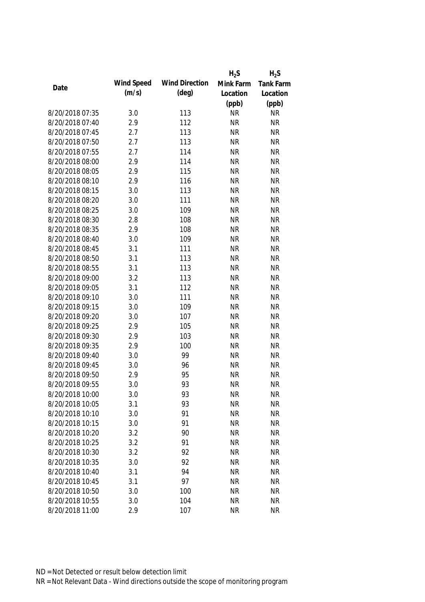|                 |            |                       | $H_2S$    | $H_2S$           |
|-----------------|------------|-----------------------|-----------|------------------|
|                 | Wind Speed | <b>Wind Direction</b> | Mink Farm | <b>Tank Farm</b> |
| Date            | (m/s)      | $(\text{deg})$        | Location  | Location         |
|                 |            |                       | (ppb)     | (ppb)            |
| 8/20/2018 07:35 | 3.0        | 113                   | <b>NR</b> | <b>NR</b>        |
| 8/20/2018 07:40 | 2.9        | 112                   | <b>NR</b> | <b>NR</b>        |
| 8/20/2018 07:45 | 2.7        | 113                   | <b>NR</b> | <b>NR</b>        |
| 8/20/2018 07:50 | 2.7        | 113                   | <b>NR</b> | <b>NR</b>        |
| 8/20/2018 07:55 | 2.7        | 114                   | <b>NR</b> | <b>NR</b>        |
| 8/20/2018 08:00 | 2.9        | 114                   | <b>NR</b> | <b>NR</b>        |
| 8/20/2018 08:05 | 2.9        | 115                   | <b>NR</b> | <b>NR</b>        |
| 8/20/2018 08:10 | 2.9        | 116                   | <b>NR</b> | <b>NR</b>        |
| 8/20/2018 08:15 | 3.0        | 113                   | <b>NR</b> | <b>NR</b>        |
| 8/20/2018 08:20 | 3.0        | 111                   | <b>NR</b> | <b>NR</b>        |
| 8/20/2018 08:25 | 3.0        | 109                   | <b>NR</b> | <b>NR</b>        |
| 8/20/2018 08:30 | 2.8        | 108                   | <b>NR</b> | <b>NR</b>        |
| 8/20/2018 08:35 | 2.9        | 108                   | <b>NR</b> | <b>NR</b>        |
| 8/20/2018 08:40 | 3.0        | 109                   | <b>NR</b> | <b>NR</b>        |
| 8/20/2018 08:45 | 3.1        | 111                   | <b>NR</b> | <b>NR</b>        |
| 8/20/2018 08:50 | 3.1        | 113                   | <b>NR</b> | <b>NR</b>        |
| 8/20/2018 08:55 | 3.1        | 113                   | <b>NR</b> | <b>NR</b>        |
| 8/20/2018 09:00 | 3.2        | 113                   | <b>NR</b> | <b>NR</b>        |
| 8/20/2018 09:05 | 3.1        | 112                   | <b>NR</b> | <b>NR</b>        |
| 8/20/2018 09:10 | 3.0        | 111                   | <b>NR</b> | <b>NR</b>        |
| 8/20/2018 09:15 | 3.0        | 109                   | <b>NR</b> | <b>NR</b>        |
| 8/20/2018 09:20 | 3.0        | 107                   | <b>NR</b> | <b>NR</b>        |
| 8/20/2018 09:25 | 2.9        | 105                   | <b>NR</b> | <b>NR</b>        |
| 8/20/2018 09:30 | 2.9        | 103                   | <b>NR</b> | <b>NR</b>        |
| 8/20/2018 09:35 | 2.9        | 100                   | <b>NR</b> | <b>NR</b>        |
| 8/20/2018 09:40 | 3.0        | 99                    | <b>NR</b> | <b>NR</b>        |
| 8/20/2018 09:45 | 3.0        | 96                    | <b>NR</b> | <b>NR</b>        |
| 8/20/2018 09:50 | 2.9        | 95                    | <b>NR</b> | <b>NR</b>        |
| 8/20/2018 09:55 | 3.0        | 93                    | <b>NR</b> | <b>NR</b>        |
| 8/20/2018 10:00 | 3.0        | 93                    | <b>NR</b> | <b>NR</b>        |
| 8/20/2018 10:05 | 3.1        | 93                    | <b>NR</b> | <b>NR</b>        |
| 8/20/2018 10:10 | 3.0        | 91                    | <b>NR</b> | <b>NR</b>        |
| 8/20/2018 10:15 | 3.0        | 91                    | <b>NR</b> | <b>NR</b>        |
| 8/20/2018 10:20 | 3.2        | 90                    | <b>NR</b> | <b>NR</b>        |
| 8/20/2018 10:25 | 3.2        | 91                    | <b>NR</b> | <b>NR</b>        |
| 8/20/2018 10:30 | 3.2        | 92                    | <b>NR</b> | <b>NR</b>        |
| 8/20/2018 10:35 | 3.0        | 92                    | <b>NR</b> | <b>NR</b>        |
| 8/20/2018 10:40 | 3.1        | 94                    | <b>NR</b> | <b>NR</b>        |
| 8/20/2018 10:45 | 3.1        | 97                    | <b>NR</b> | <b>NR</b>        |
| 8/20/2018 10:50 | 3.0        | 100                   | <b>NR</b> | <b>NR</b>        |
| 8/20/2018 10:55 | 3.0        | 104                   | <b>NR</b> | <b>NR</b>        |
| 8/20/2018 11:00 | 2.9        | 107                   | <b>NR</b> | <b>NR</b>        |
|                 |            |                       |           |                  |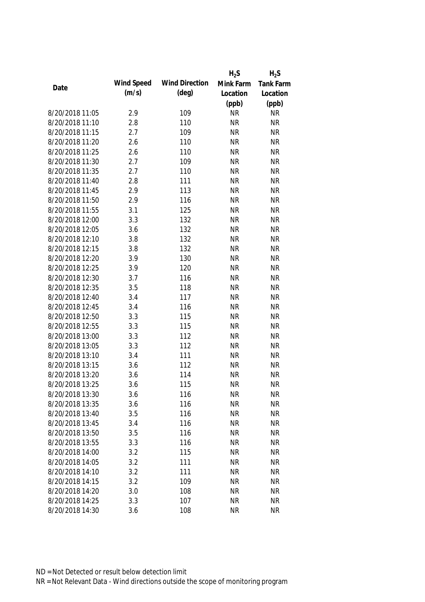|                 |            |                       | $H_2S$    | $H_2S$           |
|-----------------|------------|-----------------------|-----------|------------------|
| Date            | Wind Speed | <b>Wind Direction</b> | Mink Farm | <b>Tank Farm</b> |
|                 | (m/s)      | (deq)                 | Location  | Location         |
|                 |            |                       | (ppb)     | (ppb)            |
| 8/20/2018 11:05 | 2.9        | 109                   | <b>NR</b> | <b>NR</b>        |
| 8/20/2018 11:10 | 2.8        | 110                   | <b>NR</b> | <b>NR</b>        |
| 8/20/2018 11:15 | 2.7        | 109                   | <b>NR</b> | <b>NR</b>        |
| 8/20/2018 11:20 | 2.6        | 110                   | <b>NR</b> | <b>NR</b>        |
| 8/20/2018 11:25 | 2.6        | 110                   | <b>NR</b> | <b>NR</b>        |
| 8/20/2018 11:30 | 2.7        | 109                   | <b>NR</b> | <b>NR</b>        |
| 8/20/2018 11:35 | 2.7        | 110                   | <b>NR</b> | <b>NR</b>        |
| 8/20/2018 11:40 | 2.8        | 111                   | <b>NR</b> | <b>NR</b>        |
| 8/20/2018 11:45 | 2.9        | 113                   | <b>NR</b> | <b>NR</b>        |
| 8/20/2018 11:50 | 2.9        | 116                   | <b>NR</b> | <b>NR</b>        |
| 8/20/2018 11:55 | 3.1        | 125                   | <b>NR</b> | <b>NR</b>        |
| 8/20/2018 12:00 | 3.3        | 132                   | <b>NR</b> | <b>NR</b>        |
| 8/20/2018 12:05 | 3.6        | 132                   | <b>NR</b> | <b>NR</b>        |
| 8/20/2018 12:10 | 3.8        | 132                   | <b>NR</b> | <b>NR</b>        |
| 8/20/2018 12:15 | 3.8        | 132                   | <b>NR</b> | <b>NR</b>        |
| 8/20/2018 12:20 | 3.9        | 130                   | <b>NR</b> | <b>NR</b>        |
| 8/20/2018 12:25 | 3.9        | 120                   | <b>NR</b> | <b>NR</b>        |
| 8/20/2018 12:30 | 3.7        | 116                   | <b>NR</b> | <b>NR</b>        |
| 8/20/2018 12:35 | 3.5        | 118                   | <b>NR</b> | <b>NR</b>        |
| 8/20/2018 12:40 | 3.4        | 117                   | <b>NR</b> | <b>NR</b>        |
| 8/20/2018 12:45 | 3.4        | 116                   | <b>NR</b> | <b>NR</b>        |
| 8/20/2018 12:50 | 3.3        | 115                   | <b>NR</b> | <b>NR</b>        |
| 8/20/2018 12:55 | 3.3        | 115                   | <b>NR</b> | <b>NR</b>        |
| 8/20/2018 13:00 | 3.3        | 112                   | <b>NR</b> | <b>NR</b>        |
| 8/20/2018 13:05 | 3.3        | 112                   | <b>NR</b> | <b>NR</b>        |
| 8/20/2018 13:10 | 3.4        | 111                   | <b>NR</b> | <b>NR</b>        |
| 8/20/2018 13:15 | 3.6        | 112                   | <b>NR</b> | <b>NR</b>        |
| 8/20/2018 13:20 | 3.6        | 114                   | <b>NR</b> | <b>NR</b>        |
| 8/20/2018 13:25 | 3.6        | 115                   | <b>NR</b> | <b>NR</b>        |
| 8/20/2018 13:30 | 3.6        | 116                   | <b>NR</b> | NR               |
| 8/20/2018 13:35 | 3.6        | 116                   | <b>NR</b> | <b>NR</b>        |
| 8/20/2018 13:40 | 3.5        | 116                   | <b>NR</b> | <b>NR</b>        |
| 8/20/2018 13:45 | 3.4        | 116                   | <b>NR</b> | <b>NR</b>        |
| 8/20/2018 13:50 | 3.5        | 116                   | <b>NR</b> | <b>NR</b>        |
| 8/20/2018 13:55 | 3.3        | 116                   | <b>NR</b> | <b>NR</b>        |
| 8/20/2018 14:00 | 3.2        | 115                   | <b>NR</b> | <b>NR</b>        |
| 8/20/2018 14:05 | 3.2        | 111                   | <b>NR</b> | <b>NR</b>        |
| 8/20/2018 14:10 | 3.2        | 111                   | <b>NR</b> | <b>NR</b>        |
| 8/20/2018 14:15 | 3.2        | 109                   | <b>NR</b> | <b>NR</b>        |
| 8/20/2018 14:20 | 3.0        | 108                   | <b>NR</b> | <b>NR</b>        |
| 8/20/2018 14:25 | 3.3        | 107                   | <b>NR</b> | <b>NR</b>        |
| 8/20/2018 14:30 | 3.6        | 108                   | <b>NR</b> | <b>NR</b>        |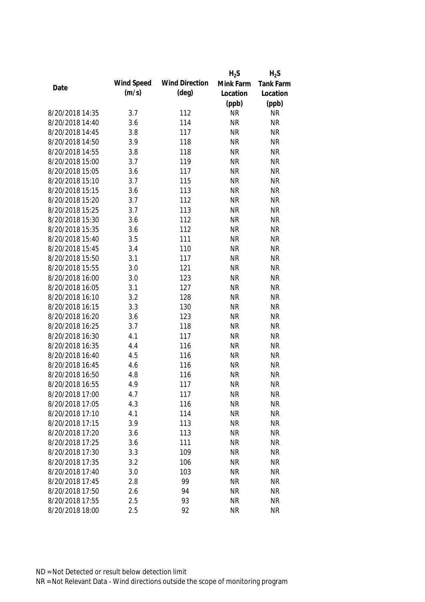|                 |            |                       | $H_2S$    | $H_2S$           |
|-----------------|------------|-----------------------|-----------|------------------|
|                 | Wind Speed | <b>Wind Direction</b> | Mink Farm | <b>Tank Farm</b> |
| Date            | (m/s)      | $(\text{deg})$        | Location  | Location         |
|                 |            |                       | (ppb)     | (ppb)            |
| 8/20/2018 14:35 | 3.7        | 112                   | <b>NR</b> | <b>NR</b>        |
| 8/20/2018 14:40 | 3.6        | 114                   | <b>NR</b> | <b>NR</b>        |
| 8/20/2018 14:45 | 3.8        | 117                   | <b>NR</b> | <b>NR</b>        |
| 8/20/2018 14:50 | 3.9        | 118                   | <b>NR</b> | <b>NR</b>        |
| 8/20/2018 14:55 | 3.8        | 118                   | <b>NR</b> | <b>NR</b>        |
| 8/20/2018 15:00 | 3.7        | 119                   | <b>NR</b> | <b>NR</b>        |
| 8/20/2018 15:05 | 3.6        | 117                   | <b>NR</b> | <b>NR</b>        |
| 8/20/2018 15:10 | 3.7        | 115                   | <b>NR</b> | <b>NR</b>        |
| 8/20/2018 15:15 | 3.6        | 113                   | <b>NR</b> | <b>NR</b>        |
| 8/20/2018 15:20 | 3.7        | 112                   | <b>NR</b> | <b>NR</b>        |
| 8/20/2018 15:25 | 3.7        | 113                   | <b>NR</b> | <b>NR</b>        |
| 8/20/2018 15:30 | 3.6        | 112                   | <b>NR</b> | <b>NR</b>        |
| 8/20/2018 15:35 | 3.6        | 112                   | <b>NR</b> | <b>NR</b>        |
| 8/20/2018 15:40 | 3.5        | 111                   | <b>NR</b> | <b>NR</b>        |
| 8/20/2018 15:45 | 3.4        | 110                   | <b>NR</b> | <b>NR</b>        |
| 8/20/2018 15:50 | 3.1        | 117                   | <b>NR</b> | <b>NR</b>        |
| 8/20/2018 15:55 | 3.0        | 121                   | <b>NR</b> | <b>NR</b>        |
| 8/20/2018 16:00 | 3.0        | 123                   | <b>NR</b> | <b>NR</b>        |
| 8/20/2018 16:05 | 3.1        | 127                   | <b>NR</b> | <b>NR</b>        |
| 8/20/2018 16:10 | 3.2        | 128                   | <b>NR</b> | <b>NR</b>        |
| 8/20/2018 16:15 | 3.3        | 130                   | <b>NR</b> | <b>NR</b>        |
| 8/20/2018 16:20 | 3.6        | 123                   | <b>NR</b> | <b>NR</b>        |
| 8/20/2018 16:25 | 3.7        | 118                   | <b>NR</b> | <b>NR</b>        |
| 8/20/2018 16:30 | 4.1        | 117                   | <b>NR</b> | <b>NR</b>        |
| 8/20/2018 16:35 | 4.4        | 116                   | <b>NR</b> | <b>NR</b>        |
| 8/20/2018 16:40 | 4.5        | 116                   | <b>NR</b> | <b>NR</b>        |
| 8/20/2018 16:45 | 4.6        | 116                   | <b>NR</b> | <b>NR</b>        |
| 8/20/2018 16:50 | 4.8        | 116                   | <b>NR</b> | <b>NR</b>        |
| 8/20/2018 16:55 | 4.9        | 117                   | <b>NR</b> | <b>NR</b>        |
| 8/20/2018 17:00 | 4.7        | 117                   | <b>NR</b> | <b>NR</b>        |
| 8/20/2018 17:05 | 4.3        | 116                   | <b>NR</b> | <b>NR</b>        |
| 8/20/2018 17:10 | 4.1        | 114                   | <b>NR</b> | <b>NR</b>        |
| 8/20/2018 17:15 | 3.9        | 113                   | <b>NR</b> | <b>NR</b>        |
| 8/20/2018 17:20 | 3.6        | 113                   | <b>NR</b> | <b>NR</b>        |
| 8/20/2018 17:25 | 3.6        | 111                   | <b>NR</b> | <b>NR</b>        |
| 8/20/2018 17:30 | 3.3        | 109                   | <b>NR</b> | <b>NR</b>        |
| 8/20/2018 17:35 | 3.2        | 106                   | <b>NR</b> | <b>NR</b>        |
| 8/20/2018 17:40 | 3.0        | 103                   | <b>NR</b> | <b>NR</b>        |
| 8/20/2018 17:45 | 2.8        | 99                    | <b>NR</b> | <b>NR</b>        |
| 8/20/2018 17:50 |            | 94                    | <b>NR</b> | <b>NR</b>        |
|                 | 2.6        |                       | <b>NR</b> | <b>NR</b>        |
| 8/20/2018 17:55 | 2.5        | 93                    |           |                  |
| 8/20/2018 18:00 | 2.5        | 92                    | <b>NR</b> | <b>NR</b>        |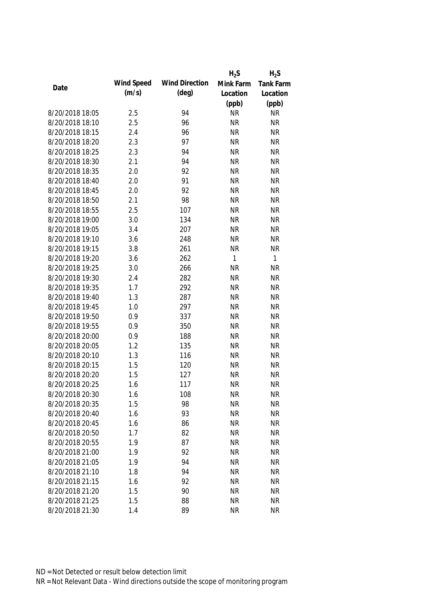|                 |            |                       | $H_2S$    | $H_2S$           |
|-----------------|------------|-----------------------|-----------|------------------|
|                 | Wind Speed | <b>Wind Direction</b> | Mink Farm | <b>Tank Farm</b> |
| Date            | (m/s)      | $(\text{deg})$        | Location  | Location         |
|                 |            |                       | (ppb)     | (ppb)            |
| 8/20/2018 18:05 | 2.5        | 94                    | <b>NR</b> | <b>NR</b>        |
| 8/20/2018 18:10 | 2.5        | 96                    | <b>NR</b> | <b>NR</b>        |
| 8/20/2018 18:15 | 2.4        | 96                    | <b>NR</b> | <b>NR</b>        |
| 8/20/2018 18:20 | 2.3        | 97                    | <b>NR</b> | <b>NR</b>        |
| 8/20/2018 18:25 | 2.3        | 94                    | <b>NR</b> | <b>NR</b>        |
| 8/20/2018 18:30 | 2.1        | 94                    | <b>NR</b> | <b>NR</b>        |
| 8/20/2018 18:35 | 2.0        | 92                    | <b>NR</b> | <b>NR</b>        |
| 8/20/2018 18:40 | 2.0        | 91                    | <b>NR</b> | <b>NR</b>        |
| 8/20/2018 18:45 | 2.0        | 92                    | <b>NR</b> | <b>NR</b>        |
| 8/20/2018 18:50 | 2.1        | 98                    | <b>NR</b> | <b>NR</b>        |
| 8/20/2018 18:55 | 2.5        | 107                   | <b>NR</b> | <b>NR</b>        |
| 8/20/2018 19:00 | 3.0        | 134                   | <b>NR</b> | <b>NR</b>        |
| 8/20/2018 19:05 | 3.4        | 207                   | <b>NR</b> | <b>NR</b>        |
| 8/20/2018 19:10 | 3.6        | 248                   | <b>NR</b> | <b>NR</b>        |
| 8/20/2018 19:15 | 3.8        | 261                   | <b>NR</b> | <b>NR</b>        |
| 8/20/2018 19:20 | 3.6        | 262                   | 1         | $\mathbf{1}$     |
| 8/20/2018 19:25 | 3.0        | 266                   | <b>NR</b> | <b>NR</b>        |
| 8/20/2018 19:30 | 2.4        | 282                   | <b>NR</b> | <b>NR</b>        |
| 8/20/2018 19:35 | 1.7        | 292                   | <b>NR</b> | <b>NR</b>        |
| 8/20/2018 19:40 | 1.3        | 287                   | <b>NR</b> | <b>NR</b>        |
| 8/20/2018 19:45 | 1.0        | 297                   | <b>NR</b> | <b>NR</b>        |
| 8/20/2018 19:50 | 0.9        | 337                   | <b>NR</b> | <b>NR</b>        |
| 8/20/2018 19:55 | 0.9        | 350                   | <b>NR</b> | <b>NR</b>        |
| 8/20/2018 20:00 | 0.9        | 188                   | <b>NR</b> | <b>NR</b>        |
| 8/20/2018 20:05 | 1.2        | 135                   | <b>NR</b> | <b>NR</b>        |
| 8/20/2018 20:10 | 1.3        | 116                   | <b>NR</b> | <b>NR</b>        |
| 8/20/2018 20:15 | 1.5        | 120                   | <b>NR</b> | <b>NR</b>        |
| 8/20/2018 20:20 | 1.5        | 127                   | <b>NR</b> | <b>NR</b>        |
| 8/20/2018 20:25 | 1.6        | 117                   | <b>NR</b> | <b>NR</b>        |
| 8/20/2018 20:30 | 1.6        | 108                   | <b>NR</b> | <b>NR</b>        |
| 8/20/2018 20:35 | 1.5        | 98                    | <b>NR</b> | <b>NR</b>        |
| 8/20/2018 20:40 | 1.6        | 93                    | <b>NR</b> | <b>NR</b>        |
| 8/20/2018 20:45 | 1.6        | 86                    | <b>NR</b> | <b>NR</b>        |
| 8/20/2018 20:50 | 1.7        | 82                    | <b>NR</b> | <b>NR</b>        |
| 8/20/2018 20:55 | 1.9        | 87                    | <b>NR</b> | <b>NR</b>        |
| 8/20/2018 21:00 | 1.9        | 92                    | <b>NR</b> | <b>NR</b>        |
| 8/20/2018 21:05 | 1.9        | 94                    | <b>NR</b> | <b>NR</b>        |
| 8/20/2018 21:10 | 1.8        | 94                    | <b>NR</b> | <b>NR</b>        |
| 8/20/2018 21:15 | 1.6        | 92                    | <b>NR</b> | <b>NR</b>        |
| 8/20/2018 21:20 | 1.5        | 90                    | <b>NR</b> | <b>NR</b>        |
| 8/20/2018 21:25 | 1.5        | 88                    | <b>NR</b> | <b>NR</b>        |
| 8/20/2018 21:30 | 1.4        | 89                    | <b>NR</b> | <b>NR</b>        |
|                 |            |                       |           |                  |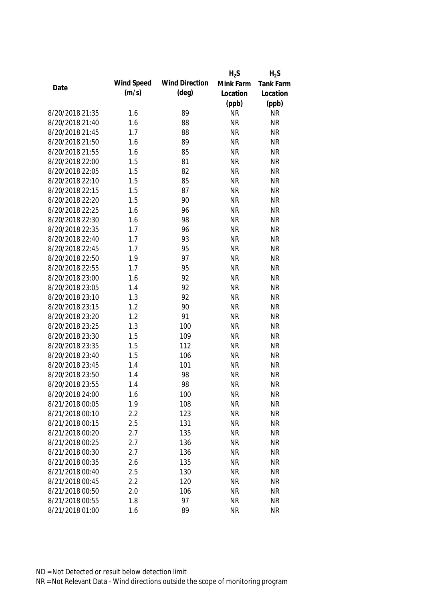|                 |            |                       | $H_2S$    | $H_2S$           |
|-----------------|------------|-----------------------|-----------|------------------|
|                 | Wind Speed | <b>Wind Direction</b> | Mink Farm | <b>Tank Farm</b> |
| Date            | (m/s)      | $(\text{deg})$        | Location  | Location         |
|                 |            |                       | (ppb)     | (ppb)            |
| 8/20/2018 21:35 | 1.6        | 89                    | <b>NR</b> | <b>NR</b>        |
| 8/20/2018 21:40 | 1.6        | 88                    | <b>NR</b> | <b>NR</b>        |
| 8/20/2018 21:45 | 1.7        | 88                    | <b>NR</b> | <b>NR</b>        |
| 8/20/2018 21:50 | 1.6        | 89                    | <b>NR</b> | <b>NR</b>        |
| 8/20/2018 21:55 | 1.6        | 85                    | <b>NR</b> | <b>NR</b>        |
| 8/20/2018 22:00 | 1.5        | 81                    | <b>NR</b> | <b>NR</b>        |
| 8/20/2018 22:05 | 1.5        | 82                    | <b>NR</b> | <b>NR</b>        |
| 8/20/2018 22:10 | 1.5        | 85                    | <b>NR</b> | <b>NR</b>        |
| 8/20/2018 22:15 | 1.5        | 87                    | <b>NR</b> | <b>NR</b>        |
| 8/20/2018 22:20 | 1.5        | 90                    | <b>NR</b> | <b>NR</b>        |
| 8/20/2018 22:25 | 1.6        | 96                    | <b>NR</b> | <b>NR</b>        |
| 8/20/2018 22:30 | 1.6        | 98                    | <b>NR</b> | <b>NR</b>        |
| 8/20/2018 22:35 | 1.7        | 96                    | <b>NR</b> | <b>NR</b>        |
| 8/20/2018 22:40 | 1.7        | 93                    | <b>NR</b> | <b>NR</b>        |
| 8/20/2018 22:45 | 1.7        | 95                    | <b>NR</b> | <b>NR</b>        |
| 8/20/2018 22:50 | 1.9        | 97                    | <b>NR</b> | <b>NR</b>        |
| 8/20/2018 22:55 | 1.7        | 95                    | <b>NR</b> | <b>NR</b>        |
| 8/20/2018 23:00 | 1.6        | 92                    | <b>NR</b> | <b>NR</b>        |
| 8/20/2018 23:05 | 1.4        | 92                    | <b>NR</b> | <b>NR</b>        |
| 8/20/2018 23:10 | 1.3        | 92                    | <b>NR</b> | <b>NR</b>        |
| 8/20/2018 23:15 | 1.2        | 90                    | <b>NR</b> | <b>NR</b>        |
| 8/20/2018 23:20 | 1.2        | 91                    | <b>NR</b> | <b>NR</b>        |
| 8/20/2018 23:25 | 1.3        | 100                   | <b>NR</b> | <b>NR</b>        |
| 8/20/2018 23:30 | 1.5        | 109                   | <b>NR</b> | <b>NR</b>        |
| 8/20/2018 23:35 | 1.5        | 112                   | <b>NR</b> | <b>NR</b>        |
| 8/20/2018 23:40 | 1.5        | 106                   | <b>NR</b> | <b>NR</b>        |
| 8/20/2018 23:45 | 1.4        | 101                   | <b>NR</b> | <b>NR</b>        |
| 8/20/2018 23:50 | 1.4        | 98                    | <b>NR</b> | <b>NR</b>        |
| 8/20/2018 23:55 | 1.4        | 98                    | <b>NR</b> | <b>NR</b>        |
| 8/20/2018 24:00 | 1.6        | 100                   | <b>NR</b> | <b>NR</b>        |
| 8/21/2018 00:05 | 1.9        | 108                   | <b>NR</b> | <b>NR</b>        |
| 8/21/2018 00:10 | 2.2        | 123                   | <b>NR</b> | <b>NR</b>        |
| 8/21/2018 00:15 | 2.5        | 131                   | <b>NR</b> | <b>NR</b>        |
| 8/21/2018 00:20 | 2.7        | 135                   | <b>NR</b> | <b>NR</b>        |
| 8/21/2018 00:25 | 2.7        | 136                   | <b>NR</b> | <b>NR</b>        |
| 8/21/2018 00:30 | 2.7        | 136                   | <b>NR</b> | <b>NR</b>        |
| 8/21/2018 00:35 | 2.6        | 135                   | <b>NR</b> | <b>NR</b>        |
| 8/21/2018 00:40 | 2.5        | 130                   | <b>NR</b> | <b>NR</b>        |
| 8/21/2018 00:45 | 2.2        | 120                   | <b>NR</b> | <b>NR</b>        |
|                 |            |                       |           |                  |
| 8/21/2018 00:50 | 2.0        | 106                   | <b>NR</b> | <b>NR</b>        |
| 8/21/2018 00:55 | 1.8        | 97                    | <b>NR</b> | <b>NR</b>        |
| 8/21/2018 01:00 | 1.6        | 89                    | <b>NR</b> | <b>NR</b>        |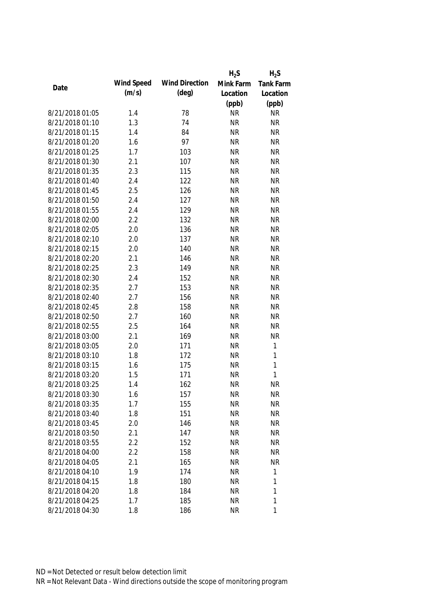|                 |            |                       | $H_2S$    | $H_2S$           |
|-----------------|------------|-----------------------|-----------|------------------|
|                 | Wind Speed | <b>Wind Direction</b> | Mink Farm | <b>Tank Farm</b> |
| Date            | (m/s)      | $(\text{deg})$        | Location  | Location         |
|                 |            |                       | (ppb)     | (ppb)            |
| 8/21/2018 01:05 | 1.4        | 78                    | <b>NR</b> | <b>NR</b>        |
| 8/21/2018 01:10 | 1.3        | 74                    | <b>NR</b> | <b>NR</b>        |
| 8/21/2018 01:15 | 1.4        | 84                    | <b>NR</b> | <b>NR</b>        |
| 8/21/2018 01:20 | 1.6        | 97                    | <b>NR</b> | <b>NR</b>        |
| 8/21/2018 01:25 | 1.7        | 103                   | <b>NR</b> | <b>NR</b>        |
| 8/21/2018 01:30 | 2.1        | 107                   | <b>NR</b> | <b>NR</b>        |
| 8/21/2018 01:35 | 2.3        | 115                   | <b>NR</b> | <b>NR</b>        |
| 8/21/2018 01:40 | 2.4        | 122                   | <b>NR</b> | <b>NR</b>        |
| 8/21/2018 01:45 | 2.5        | 126                   | <b>NR</b> | <b>NR</b>        |
| 8/21/2018 01:50 | 2.4        | 127                   | <b>NR</b> | <b>NR</b>        |
| 8/21/2018 01:55 | 2.4        | 129                   | <b>NR</b> | <b>NR</b>        |
| 8/21/2018 02:00 | 2.2        | 132                   | <b>NR</b> | <b>NR</b>        |
| 8/21/2018 02:05 | 2.0        | 136                   | <b>NR</b> | <b>NR</b>        |
| 8/21/2018 02:10 | 2.0        | 137                   | <b>NR</b> | <b>NR</b>        |
| 8/21/2018 02:15 | 2.0        | 140                   | <b>NR</b> | <b>NR</b>        |
| 8/21/2018 02:20 | 2.1        | 146                   | <b>NR</b> | <b>NR</b>        |
| 8/21/2018 02:25 | 2.3        | 149                   | <b>NR</b> | <b>NR</b>        |
| 8/21/2018 02:30 | 2.4        | 152                   | <b>NR</b> | <b>NR</b>        |
| 8/21/2018 02:35 | 2.7        | 153                   | <b>NR</b> | <b>NR</b>        |
| 8/21/2018 02:40 | 2.7        | 156                   | <b>NR</b> | <b>NR</b>        |
| 8/21/2018 02:45 | 2.8        | 158                   | <b>NR</b> | <b>NR</b>        |
| 8/21/2018 02:50 | 2.7        | 160                   | <b>NR</b> | <b>NR</b>        |
| 8/21/2018 02:55 | 2.5        | 164                   | <b>NR</b> | <b>NR</b>        |
| 8/21/2018 03:00 | 2.1        | 169                   | <b>NR</b> | <b>NR</b>        |
| 8/21/2018 03:05 | 2.0        | 171                   | <b>NR</b> | $\mathbf 1$      |
| 8/21/2018 03:10 | 1.8        | 172                   | <b>NR</b> | $\mathbf{1}$     |
| 8/21/2018 03:15 | 1.6        | 175                   | <b>NR</b> | $\mathbf{1}$     |
| 8/21/2018 03:20 | 1.5        | 171                   | <b>NR</b> | $\mathbf{1}$     |
| 8/21/2018 03:25 | 1.4        | 162                   | <b>NR</b> | <b>NR</b>        |
| 8/21/2018 03:30 | 1.6        | 157                   | <b>NR</b> | <b>NR</b>        |
| 8/21/2018 03:35 | 1.7        | 155                   | <b>NR</b> | <b>NR</b>        |
| 8/21/2018 03:40 | 1.8        | 151                   | <b>NR</b> | <b>NR</b>        |
| 8/21/2018 03:45 | 2.0        | 146                   | <b>NR</b> | <b>NR</b>        |
| 8/21/2018 03:50 | 2.1        | 147                   | <b>NR</b> | <b>NR</b>        |
| 8/21/2018 03:55 | 2.2        | 152                   | <b>NR</b> | <b>NR</b>        |
| 8/21/2018 04:00 | 2.2        | 158                   | <b>NR</b> | <b>NR</b>        |
| 8/21/2018 04:05 | 2.1        | 165                   | <b>NR</b> | <b>NR</b>        |
| 8/21/2018 04:10 | 1.9        | 174                   | <b>NR</b> | $\mathbf{1}$     |
| 8/21/2018 04:15 | 1.8        | 180                   | <b>NR</b> | 1                |
| 8/21/2018 04:20 | 1.8        | 184                   | <b>NR</b> | 1                |
| 8/21/2018 04:25 | 1.7        | 185                   | <b>NR</b> | 1                |
| 8/21/2018 04:30 | 1.8        | 186                   | <b>NR</b> | 1                |
|                 |            |                       |           |                  |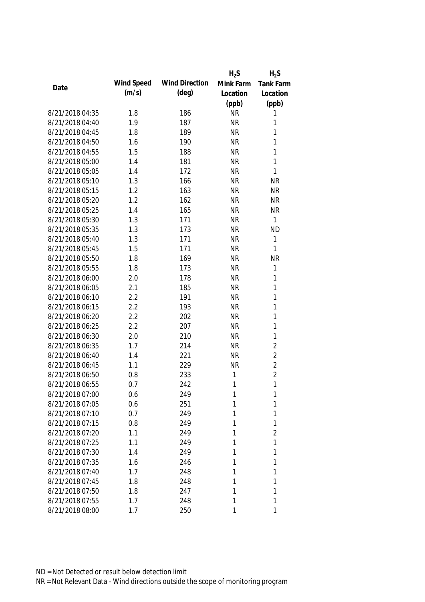|                 |            |                       | $H_2S$    | $H_2S$           |
|-----------------|------------|-----------------------|-----------|------------------|
| Date            | Wind Speed | <b>Wind Direction</b> | Mink Farm | <b>Tank Farm</b> |
|                 | (m/s)      | (deg)                 | Location  | Location         |
|                 |            |                       | (ppb)     | (ppb)            |
| 8/21/2018 04:35 | 1.8        | 186                   | <b>NR</b> | 1                |
| 8/21/2018 04:40 | 1.9        | 187                   | <b>NR</b> | 1                |
| 8/21/2018 04:45 | 1.8        | 189                   | <b>NR</b> | 1                |
| 8/21/2018 04:50 | 1.6        | 190                   | <b>NR</b> | $\mathbf{1}$     |
| 8/21/2018 04:55 | 1.5        | 188                   | <b>NR</b> | 1                |
| 8/21/2018 05:00 | 1.4        | 181                   | <b>NR</b> | 1                |
| 8/21/2018 05:05 | 1.4        | 172                   | <b>NR</b> | 1                |
| 8/21/2018 05:10 | 1.3        | 166                   | <b>NR</b> | <b>NR</b>        |
| 8/21/2018 05:15 | 1.2        | 163                   | <b>NR</b> | <b>NR</b>        |
| 8/21/2018 05:20 | 1.2        | 162                   | <b>NR</b> | <b>NR</b>        |
| 8/21/2018 05:25 | 1.4        | 165                   | <b>NR</b> | <b>NR</b>        |
| 8/21/2018 05:30 | 1.3        | 171                   | <b>NR</b> | $\mathbf{1}$     |
| 8/21/2018 05:35 | 1.3        | 173                   | <b>NR</b> | <b>ND</b>        |
| 8/21/2018 05:40 | 1.3        | 171                   | <b>NR</b> | $\mathbf{1}$     |
| 8/21/2018 05:45 | 1.5        | 171                   | <b>NR</b> | 1                |
| 8/21/2018 05:50 | 1.8        | 169                   | <b>NR</b> | <b>NR</b>        |
| 8/21/2018 05:55 | 1.8        | 173                   | <b>NR</b> | 1                |
| 8/21/2018 06:00 | 2.0        | 178                   | <b>NR</b> | $\mathbf{1}$     |
| 8/21/2018 06:05 | 2.1        | 185                   | <b>NR</b> | $\mathbf{1}$     |
| 8/21/2018 06:10 | 2.2        | 191                   | <b>NR</b> | $\mathbf{1}$     |
| 8/21/2018 06:15 | 2.2        | 193                   | <b>NR</b> | $\mathbf{1}$     |
| 8/21/2018 06:20 | 2.2        | 202                   | <b>NR</b> | $\mathbf{1}$     |
| 8/21/2018 06:25 | 2.2        | 207                   | <b>NR</b> | $\mathbf{1}$     |
| 8/21/2018 06:30 | 2.0        | 210                   | <b>NR</b> | $\mathbf{1}$     |
| 8/21/2018 06:35 | 1.7        | 214                   | <b>NR</b> | $\overline{2}$   |
| 8/21/2018 06:40 | 1.4        | 221                   | <b>NR</b> | $\overline{2}$   |
| 8/21/2018 06:45 | 1.1        | 229                   | <b>NR</b> | $\overline{2}$   |
| 8/21/2018 06:50 | 0.8        | 233                   | 1         | $\overline{2}$   |
| 8/21/2018 06:55 | 0.7        | 242                   | 1         | $\mathbf{1}$     |
| 8/21/2018 07:00 | 0.6        | 249                   | 1         | 1                |
| 8/21/2018 07:05 | 0.6        | 251                   | 1         | 1                |
| 8/21/2018 07:10 | 0.7        | 249                   | 1         | 1                |
| 8/21/2018 07:15 | 0.8        | 249                   | 1         | 1                |
| 8/21/2018 07:20 | 1.1        | 249                   | 1         | 2                |
| 8/21/2018 07:25 | 1.1        | 249                   | 1         | 1                |
| 8/21/2018 07:30 | 1.4        | 249                   | 1         | 1                |
| 8/21/2018 07:35 | 1.6        | 246                   | 1         | 1                |
| 8/21/2018 07:40 | 1.7        | 248                   | 1         | 1                |
| 8/21/2018 07:45 | 1.8        | 248                   | 1         | 1                |
| 8/21/2018 07:50 | 1.8        | 247                   | 1         | 1                |
| 8/21/2018 07:55 | 1.7        | 248                   | 1         | 1                |
| 8/21/2018 08:00 | 1.7        | 250                   | 1         | 1                |
|                 |            |                       |           |                  |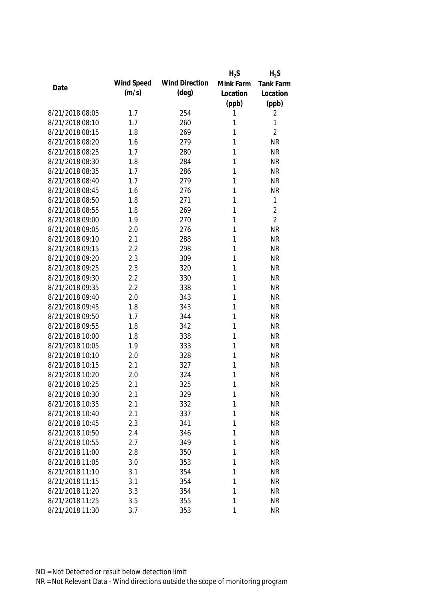|                 |            |                       | $H_2S$    | $H_2S$           |
|-----------------|------------|-----------------------|-----------|------------------|
| Date            | Wind Speed | <b>Wind Direction</b> | Mink Farm | <b>Tank Farm</b> |
|                 | (m/s)      | $(\text{deg})$        | Location  | Location         |
|                 |            |                       | (ppb)     | (ppb)            |
| 8/21/2018 08:05 | 1.7        | 254                   | 1         | 2                |
| 8/21/2018 08:10 | 1.7        | 260                   | 1         | 1                |
| 8/21/2018 08:15 | 1.8        | 269                   | 1         | $\overline{2}$   |
| 8/21/2018 08:20 | 1.6        | 279                   | 1         | <b>NR</b>        |
| 8/21/2018 08:25 | 1.7        | 280                   | 1         | <b>NR</b>        |
| 8/21/2018 08:30 | 1.8        | 284                   | 1         | <b>NR</b>        |
| 8/21/2018 08:35 | 1.7        | 286                   | 1         | <b>NR</b>        |
| 8/21/2018 08:40 | 1.7        | 279                   | 1         | <b>NR</b>        |
| 8/21/2018 08:45 | 1.6        | 276                   | 1         | <b>NR</b>        |
| 8/21/2018 08:50 | 1.8        | 271                   | 1         | 1                |
| 8/21/2018 08:55 | 1.8        | 269                   | 1         | $\overline{2}$   |
| 8/21/2018 09:00 | 1.9        | 270                   | 1         | $\overline{2}$   |
| 8/21/2018 09:05 | 2.0        | 276                   | 1         | <b>NR</b>        |
| 8/21/2018 09:10 | 2.1        | 288                   | 1         | <b>NR</b>        |
| 8/21/2018 09:15 | 2.2        | 298                   | 1         | <b>NR</b>        |
| 8/21/2018 09:20 | 2.3        | 309                   | 1         | <b>NR</b>        |
| 8/21/2018 09:25 | 2.3        | 320                   | 1         | <b>NR</b>        |
| 8/21/2018 09:30 | 2.2        | 330                   | 1         | <b>NR</b>        |
| 8/21/2018 09:35 | 2.2        | 338                   | 1         | <b>NR</b>        |
| 8/21/2018 09:40 | 2.0        | 343                   | 1         | <b>NR</b>        |
| 8/21/2018 09:45 | 1.8        | 343                   | 1         | <b>NR</b>        |
| 8/21/2018 09:50 | 1.7        | 344                   | 1         | <b>NR</b>        |
| 8/21/2018 09:55 | 1.8        | 342                   | 1         | <b>NR</b>        |
| 8/21/2018 10:00 | 1.8        | 338                   | 1         | <b>NR</b>        |
| 8/21/2018 10:05 | 1.9        | 333                   | 1         | <b>NR</b>        |
| 8/21/2018 10:10 | 2.0        | 328                   | 1         | <b>NR</b>        |
| 8/21/2018 10:15 | 2.1        | 327                   | 1         | <b>NR</b>        |
| 8/21/2018 10:20 | 2.0        | 324                   | 1         | <b>NR</b>        |
| 8/21/2018 10:25 | 2.1        | 325                   | 1         | <b>NR</b>        |
| 8/21/2018 10:30 | 2.1        | 329                   | 1         | <b>NR</b>        |
| 8/21/2018 10:35 | 2.1        | 332                   | 1         | <b>NR</b>        |
| 8/21/2018 10:40 | 2.1        | 337                   | 1         | <b>NR</b>        |
| 8/21/2018 10:45 | 2.3        | 341                   | 1         | <b>NR</b>        |
| 8/21/2018 10:50 | 2.4        | 346                   | 1         | <b>NR</b>        |
| 8/21/2018 10:55 | 2.7        | 349                   | 1         | <b>NR</b>        |
| 8/21/2018 11:00 | 2.8        | 350                   | 1         | <b>NR</b>        |
| 8/21/2018 11:05 | 3.0        | 353                   | 1         | <b>NR</b>        |
| 8/21/2018 11:10 | 3.1        | 354                   | 1         | <b>NR</b>        |
| 8/21/2018 11:15 | 3.1        | 354                   | 1         | <b>NR</b>        |
| 8/21/2018 11:20 | 3.3        | 354                   | 1         | <b>NR</b>        |
| 8/21/2018 11:25 | 3.5        | 355                   | 1         | <b>NR</b>        |
| 8/21/2018 11:30 | 3.7        | 353                   | 1         | <b>NR</b>        |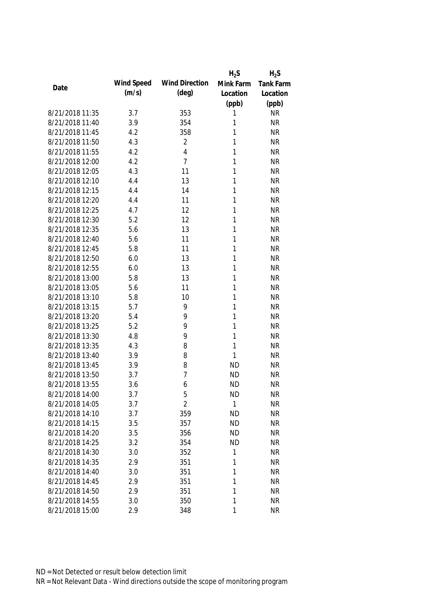|                 |            |                       | $H_2S$    | $H_2S$           |
|-----------------|------------|-----------------------|-----------|------------------|
| Date            | Wind Speed | <b>Wind Direction</b> | Mink Farm | <b>Tank Farm</b> |
|                 | (m/s)      | $(\text{deg})$        | Location  | Location         |
|                 |            |                       | (ppb)     | (ppb)            |
| 8/21/2018 11:35 | 3.7        | 353                   | 1         | <b>NR</b>        |
| 8/21/2018 11:40 | 3.9        | 354                   | 1         | <b>NR</b>        |
| 8/21/2018 11:45 | 4.2        | 358                   | 1         | <b>NR</b>        |
| 8/21/2018 11:50 | 4.3        | $\overline{2}$        | 1         | <b>NR</b>        |
| 8/21/2018 11:55 | 4.2        | 4                     | 1         | <b>NR</b>        |
| 8/21/2018 12:00 | 4.2        | 7                     | 1         | <b>NR</b>        |
| 8/21/2018 12:05 | 4.3        | 11                    | 1         | <b>NR</b>        |
| 8/21/2018 12:10 | 4.4        | 13                    | 1         | <b>NR</b>        |
| 8/21/2018 12:15 | 4.4        | 14                    | 1         | <b>NR</b>        |
| 8/21/2018 12:20 | 4.4        | 11                    | 1         | <b>NR</b>        |
| 8/21/2018 12:25 | 4.7        | 12                    | 1         | <b>NR</b>        |
| 8/21/2018 12:30 | 5.2        | 12                    | 1         | <b>NR</b>        |
| 8/21/2018 12:35 | 5.6        | 13                    | 1         | <b>NR</b>        |
| 8/21/2018 12:40 | 5.6        | 11                    | 1         | <b>NR</b>        |
| 8/21/2018 12:45 | 5.8        | 11                    | 1         | <b>NR</b>        |
| 8/21/2018 12:50 | 6.0        | 13                    | 1         | <b>NR</b>        |
| 8/21/2018 12:55 | 6.0        | 13                    | 1         | <b>NR</b>        |
| 8/21/2018 13:00 | 5.8        | 13                    | 1         | <b>NR</b>        |
| 8/21/2018 13:05 | 5.6        | 11                    | 1         | <b>NR</b>        |
| 8/21/2018 13:10 | 5.8        | 10                    | 1         | <b>NR</b>        |
| 8/21/2018 13:15 | 5.7        | 9                     | 1         | <b>NR</b>        |
| 8/21/2018 13:20 | 5.4        | 9                     | 1         | <b>NR</b>        |
| 8/21/2018 13:25 | 5.2        | 9                     | 1         | <b>NR</b>        |
| 8/21/2018 13:30 | 4.8        | 9                     | 1         | <b>NR</b>        |
| 8/21/2018 13:35 | 4.3        | 8                     | 1         | <b>NR</b>        |
| 8/21/2018 13:40 | 3.9        | 8                     | 1         | <b>NR</b>        |
| 8/21/2018 13:45 | 3.9        | 8                     | <b>ND</b> | <b>NR</b>        |
| 8/21/2018 13:50 | 3.7        | 7                     | <b>ND</b> | <b>NR</b>        |
| 8/21/2018 13:55 | 3.6        | 6                     | <b>ND</b> | <b>NR</b>        |
| 8/21/2018 14:00 | 3.7        | 5                     | <b>ND</b> | <b>NR</b>        |
| 8/21/2018 14:05 | 3.7        | $\overline{2}$        | 1         | <b>NR</b>        |
| 8/21/2018 14:10 | 3.7        | 359                   | <b>ND</b> | <b>NR</b>        |
| 8/21/2018 14:15 | 3.5        | 357                   | <b>ND</b> | <b>NR</b>        |
| 8/21/2018 14:20 | 3.5        | 356                   | <b>ND</b> | <b>NR</b>        |
| 8/21/2018 14:25 | 3.2        | 354                   | <b>ND</b> | <b>NR</b>        |
| 8/21/2018 14:30 | 3.0        | 352                   | 1         | <b>NR</b>        |
| 8/21/2018 14:35 | 2.9        | 351                   | 1         | <b>NR</b>        |
| 8/21/2018 14:40 | 3.0        | 351                   | 1         | <b>NR</b>        |
| 8/21/2018 14:45 | 2.9        | 351                   | 1         | <b>NR</b>        |
| 8/21/2018 14:50 | 2.9        | 351                   | 1         | <b>NR</b>        |
| 8/21/2018 14:55 | 3.0        | 350                   | 1         | <b>NR</b>        |
| 8/21/2018 15:00 | 2.9        | 348                   | 1         | <b>NR</b>        |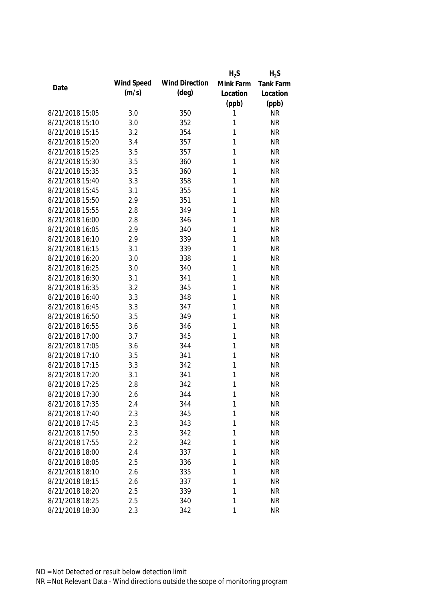|                 |            |                       | $H_2S$    | $H_2S$           |
|-----------------|------------|-----------------------|-----------|------------------|
| Date            | Wind Speed | <b>Wind Direction</b> | Mink Farm | <b>Tank Farm</b> |
|                 | (m/s)      | $(\text{deg})$        | Location  | Location         |
|                 |            |                       | (ppb)     | (ppb)            |
| 8/21/2018 15:05 | 3.0        | 350                   | 1         | <b>NR</b>        |
| 8/21/2018 15:10 | 3.0        | 352                   | 1         | <b>NR</b>        |
| 8/21/2018 15:15 | 3.2        | 354                   | 1         | <b>NR</b>        |
| 8/21/2018 15:20 | 3.4        | 357                   | 1         | <b>NR</b>        |
| 8/21/2018 15:25 | 3.5        | 357                   | 1         | <b>NR</b>        |
| 8/21/2018 15:30 | 3.5        | 360                   | 1         | <b>NR</b>        |
| 8/21/2018 15:35 | 3.5        | 360                   | 1         | <b>NR</b>        |
| 8/21/2018 15:40 | 3.3        | 358                   | 1         | <b>NR</b>        |
| 8/21/2018 15:45 | 3.1        | 355                   | 1         | <b>NR</b>        |
| 8/21/2018 15:50 | 2.9        | 351                   | 1         | <b>NR</b>        |
| 8/21/2018 15:55 | 2.8        | 349                   | 1         | <b>NR</b>        |
| 8/21/2018 16:00 | 2.8        | 346                   | 1         | <b>NR</b>        |
| 8/21/2018 16:05 | 2.9        | 340                   | 1         | <b>NR</b>        |
| 8/21/2018 16:10 | 2.9        | 339                   | 1         | <b>NR</b>        |
| 8/21/2018 16:15 | 3.1        | 339                   | 1         | <b>NR</b>        |
| 8/21/2018 16:20 | 3.0        | 338                   | 1         | <b>NR</b>        |
| 8/21/2018 16:25 | 3.0        | 340                   | 1         | <b>NR</b>        |
| 8/21/2018 16:30 | 3.1        | 341                   | 1         | <b>NR</b>        |
| 8/21/2018 16:35 | 3.2        | 345                   | 1         | <b>NR</b>        |
| 8/21/2018 16:40 | 3.3        | 348                   | 1         | <b>NR</b>        |
| 8/21/2018 16:45 | 3.3        | 347                   | 1         | <b>NR</b>        |
| 8/21/2018 16:50 | 3.5        | 349                   | 1         | <b>NR</b>        |
| 8/21/2018 16:55 | 3.6        | 346                   | 1         | <b>NR</b>        |
| 8/21/2018 17:00 | 3.7        | 345                   | 1         | <b>NR</b>        |
| 8/21/2018 17:05 | 3.6        | 344                   | 1         | <b>NR</b>        |
| 8/21/2018 17:10 | 3.5        | 341                   | 1         | <b>NR</b>        |
| 8/21/2018 17:15 | 3.3        | 342                   | 1         | <b>NR</b>        |
| 8/21/2018 17:20 | 3.1        | 341                   | 1         | <b>NR</b>        |
| 8/21/2018 17:25 | 2.8        | 342                   | 1         | <b>NR</b>        |
| 8/21/2018 17:30 | 2.6        | 344                   | 1         | <b>NR</b>        |
| 8/21/2018 17:35 | 2.4        | 344                   | 1         | <b>NR</b>        |
| 8/21/2018 17:40 | 2.3        | 345                   | 1         | <b>NR</b>        |
| 8/21/2018 17:45 | 2.3        | 343                   | 1         | <b>NR</b>        |
| 8/21/2018 17:50 | 2.3        | 342                   | 1         | <b>NR</b>        |
| 8/21/2018 17:55 | 2.2        | 342                   | 1         | <b>NR</b>        |
| 8/21/2018 18:00 | 2.4        | 337                   | 1         | <b>NR</b>        |
| 8/21/2018 18:05 | 2.5        | 336                   | 1         | <b>NR</b>        |
| 8/21/2018 18:10 | 2.6        | 335                   | 1         | <b>NR</b>        |
| 8/21/2018 18:15 | 2.6        | 337                   | 1         | <b>NR</b>        |
| 8/21/2018 18:20 | 2.5        | 339                   | 1         | <b>NR</b>        |
| 8/21/2018 18:25 | 2.5        | 340                   | 1         | <b>NR</b>        |
| 8/21/2018 18:30 | 2.3        | 342                   | 1         | <b>NR</b>        |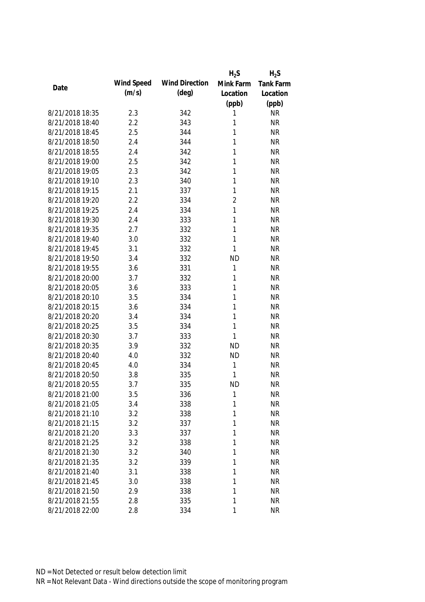|                 |            |                       | $H_2S$         | $H_2S$           |
|-----------------|------------|-----------------------|----------------|------------------|
| Date            | Wind Speed | <b>Wind Direction</b> | Mink Farm      | <b>Tank Farm</b> |
|                 | (m/s)      | $(\text{deg})$        | Location       | Location         |
|                 |            |                       | (ppb)          | (ppb)            |
| 8/21/2018 18:35 | 2.3        | 342                   | 1              | <b>NR</b>        |
| 8/21/2018 18:40 | 2.2        | 343                   | 1              | <b>NR</b>        |
| 8/21/2018 18:45 | 2.5        | 344                   | 1              | <b>NR</b>        |
| 8/21/2018 18:50 | 2.4        | 344                   | 1              | <b>NR</b>        |
| 8/21/2018 18:55 | 2.4        | 342                   | 1              | <b>NR</b>        |
| 8/21/2018 19:00 | 2.5        | 342                   | 1              | <b>NR</b>        |
| 8/21/2018 19:05 | 2.3        | 342                   | 1              | <b>NR</b>        |
| 8/21/2018 19:10 | 2.3        | 340                   | 1              | <b>NR</b>        |
| 8/21/2018 19:15 | 2.1        | 337                   | 1              | <b>NR</b>        |
| 8/21/2018 19:20 | 2.2        | 334                   | $\overline{2}$ | <b>NR</b>        |
| 8/21/2018 19:25 | 2.4        | 334                   | $\mathbf{1}$   | <b>NR</b>        |
| 8/21/2018 19:30 | 2.4        | 333                   | 1              | <b>NR</b>        |
| 8/21/2018 19:35 | 2.7        | 332                   | 1              | <b>NR</b>        |
| 8/21/2018 19:40 | 3.0        | 332                   | 1              | <b>NR</b>        |
| 8/21/2018 19:45 | 3.1        | 332                   | 1              | <b>NR</b>        |
| 8/21/2018 19:50 | 3.4        | 332                   | <b>ND</b>      | <b>NR</b>        |
| 8/21/2018 19:55 | 3.6        | 331                   | 1              | <b>NR</b>        |
| 8/21/2018 20:00 | 3.7        | 332                   | 1              | <b>NR</b>        |
| 8/21/2018 20:05 | 3.6        | 333                   | 1              | <b>NR</b>        |
| 8/21/2018 20:10 | 3.5        | 334                   | 1              | <b>NR</b>        |
| 8/21/2018 20:15 | 3.6        | 334                   | 1              | <b>NR</b>        |
| 8/21/2018 20:20 | 3.4        | 334                   | 1              | <b>NR</b>        |
| 8/21/2018 20:25 | 3.5        | 334                   | 1              | <b>NR</b>        |
| 8/21/2018 20:30 | 3.7        | 333                   | 1              | <b>NR</b>        |
| 8/21/2018 20:35 | 3.9        | 332                   | <b>ND</b>      | <b>NR</b>        |
| 8/21/2018 20:40 | 4.0        | 332                   | <b>ND</b>      | <b>NR</b>        |
| 8/21/2018 20:45 | 4.0        | 334                   | 1              | <b>NR</b>        |
| 8/21/2018 20:50 | 3.8        | 335                   | 1              | <b>NR</b>        |
| 8/21/2018 20:55 | 3.7        | 335                   | <b>ND</b>      | <b>NR</b>        |
| 8/21/2018 21:00 | 3.5        | 336                   | 1              | <b>NR</b>        |
| 8/21/2018 21:05 | 3.4        | 338                   | 1              | <b>NR</b>        |
| 8/21/2018 21:10 | 3.2        | 338                   | 1              | <b>NR</b>        |
| 8/21/2018 21:15 | 3.2        | 337                   | 1              | <b>NR</b>        |
| 8/21/2018 21:20 | 3.3        | 337                   | 1              | <b>NR</b>        |
| 8/21/2018 21:25 | 3.2        | 338                   | 1              | <b>NR</b>        |
| 8/21/2018 21:30 | 3.2        | 340                   | 1              | <b>NR</b>        |
| 8/21/2018 21:35 | 3.2        | 339                   | 1              | <b>NR</b>        |
| 8/21/2018 21:40 | 3.1        | 338                   | 1              | <b>NR</b>        |
| 8/21/2018 21:45 | 3.0        | 338                   | 1              | <b>NR</b>        |
| 8/21/2018 21:50 | 2.9        | 338                   | 1              | <b>NR</b>        |
| 8/21/2018 21:55 | 2.8        | 335                   | 1              | <b>NR</b>        |
| 8/21/2018 22:00 | 2.8        | 334                   | 1              | <b>NR</b>        |
|                 |            |                       |                |                  |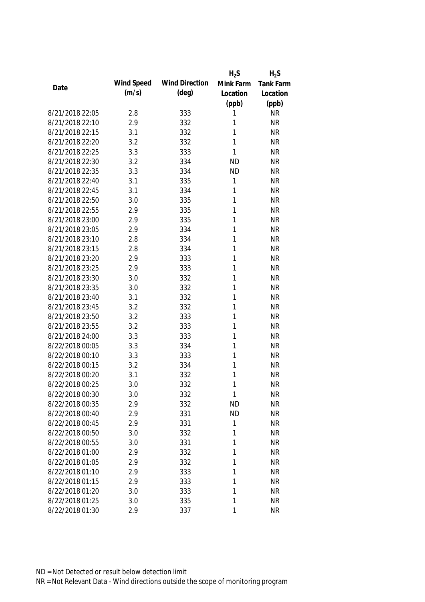|                 |            |                       | $H_2S$    | $H_2S$           |
|-----------------|------------|-----------------------|-----------|------------------|
| Date            | Wind Speed | <b>Wind Direction</b> | Mink Farm | <b>Tank Farm</b> |
|                 | (m/s)      | $(\text{deg})$        | Location  | Location         |
|                 |            |                       | (ppb)     | (ppb)            |
| 8/21/2018 22:05 | 2.8        | 333                   | 1         | <b>NR</b>        |
| 8/21/2018 22:10 | 2.9        | 332                   | 1         | <b>NR</b>        |
| 8/21/2018 22:15 | 3.1        | 332                   | 1         | <b>NR</b>        |
| 8/21/2018 22:20 | 3.2        | 332                   | 1         | <b>NR</b>        |
| 8/21/2018 22:25 | 3.3        | 333                   | 1         | <b>NR</b>        |
| 8/21/2018 22:30 | 3.2        | 334                   | <b>ND</b> | <b>NR</b>        |
| 8/21/2018 22:35 | 3.3        | 334                   | <b>ND</b> | <b>NR</b>        |
| 8/21/2018 22:40 | 3.1        | 335                   | 1         | <b>NR</b>        |
| 8/21/2018 22:45 | 3.1        | 334                   | 1         | <b>NR</b>        |
| 8/21/2018 22:50 | 3.0        | 335                   | 1         | <b>NR</b>        |
| 8/21/2018 22:55 | 2.9        | 335                   | 1         | <b>NR</b>        |
| 8/21/2018 23:00 | 2.9        | 335                   | 1         | <b>NR</b>        |
| 8/21/2018 23:05 | 2.9        | 334                   | 1         | <b>NR</b>        |
| 8/21/2018 23:10 | 2.8        | 334                   | 1         | <b>NR</b>        |
| 8/21/2018 23:15 | 2.8        | 334                   | 1         | <b>NR</b>        |
| 8/21/2018 23:20 | 2.9        | 333                   | 1         | <b>NR</b>        |
| 8/21/2018 23:25 | 2.9        | 333                   | 1         | <b>NR</b>        |
| 8/21/2018 23:30 | 3.0        | 332                   | 1         | <b>NR</b>        |
| 8/21/2018 23:35 | 3.0        | 332                   | 1         | <b>NR</b>        |
| 8/21/2018 23:40 | 3.1        | 332                   | 1         | <b>NR</b>        |
| 8/21/2018 23:45 | 3.2        | 332                   | 1         | <b>NR</b>        |
| 8/21/2018 23:50 | 3.2        | 333                   | 1         | <b>NR</b>        |
| 8/21/2018 23:55 | 3.2        | 333                   | 1         | <b>NR</b>        |
| 8/21/2018 24:00 | 3.3        | 333                   | 1         | <b>NR</b>        |
| 8/22/2018 00:05 | 3.3        | 334                   | 1         | <b>NR</b>        |
| 8/22/2018 00:10 | 3.3        | 333                   | 1         | <b>NR</b>        |
| 8/22/2018 00:15 | 3.2        | 334                   | 1         | <b>NR</b>        |
| 8/22/2018 00:20 | 3.1        | 332                   | 1         | <b>NR</b>        |
| 8/22/2018 00:25 | 3.0        | 332                   | 1         | <b>NR</b>        |
| 8/22/2018 00:30 | 3.0        | 332                   | 1         | <b>NR</b>        |
| 8/22/2018 00:35 | 2.9        | 332                   | <b>ND</b> | <b>NR</b>        |
| 8/22/2018 00:40 | 2.9        | 331                   | <b>ND</b> | <b>NR</b>        |
| 8/22/2018 00:45 | 2.9        | 331                   | 1         | <b>NR</b>        |
| 8/22/2018 00:50 | 3.0        | 332                   | 1         | <b>NR</b>        |
| 8/22/2018 00:55 | 3.0        | 331                   | 1         | <b>NR</b>        |
| 8/22/2018 01:00 | 2.9        | 332                   | 1         | <b>NR</b>        |
| 8/22/2018 01:05 | 2.9        | 332                   | 1         | <b>NR</b>        |
| 8/22/2018 01:10 | 2.9        | 333                   | 1         | <b>NR</b>        |
| 8/22/2018 01:15 | 2.9        | 333                   | 1         | <b>NR</b>        |
| 8/22/2018 01:20 | 3.0        | 333                   | 1         | <b>NR</b>        |
| 8/22/2018 01:25 | 3.0        | 335                   | 1         | <b>NR</b>        |
| 8/22/2018 01:30 | 2.9        | 337                   | 1         | <b>NR</b>        |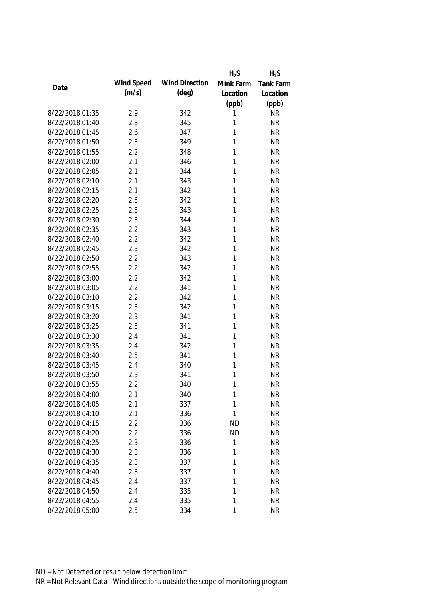|                 |            |                       | $H_2S$    | $H_2S$           |
|-----------------|------------|-----------------------|-----------|------------------|
| Date            | Wind Speed | <b>Wind Direction</b> | Mink Farm | <b>Tank Farm</b> |
|                 | (m/s)      | $(\text{deg})$        | Location  | Location         |
|                 |            |                       | (ppb)     | (ppb)            |
| 8/22/2018 01:35 | 2.9        | 342                   | 1         | <b>NR</b>        |
| 8/22/2018 01:40 | 2.8        | 345                   | 1         | <b>NR</b>        |
| 8/22/2018 01:45 | 2.6        | 347                   | 1         | <b>NR</b>        |
| 8/22/2018 01:50 | 2.3        | 349                   | 1         | <b>NR</b>        |
| 8/22/2018 01:55 | 2.2        | 348                   | 1         | <b>NR</b>        |
| 8/22/2018 02:00 | 2.1        | 346                   | 1         | <b>NR</b>        |
| 8/22/2018 02:05 | 2.1        | 344                   | 1         | <b>NR</b>        |
| 8/22/2018 02:10 | 2.1        | 343                   | 1         | <b>NR</b>        |
| 8/22/2018 02:15 | 2.1        | 342                   | 1         | <b>NR</b>        |
| 8/22/2018 02:20 | 2.3        | 342                   | 1         | <b>NR</b>        |
| 8/22/2018 02:25 | 2.3        | 343                   | 1         | <b>NR</b>        |
| 8/22/2018 02:30 | 2.3        | 344                   | 1         | <b>NR</b>        |
| 8/22/2018 02:35 | 2.2        | 343                   | 1         | <b>NR</b>        |
| 8/22/2018 02:40 | 2.2        | 342                   | 1         | <b>NR</b>        |
| 8/22/2018 02:45 | 2.3        | 342                   | 1         | <b>NR</b>        |
| 8/22/2018 02:50 | 2.2        | 343                   | 1         | <b>NR</b>        |
| 8/22/2018 02:55 | 2.2        | 342                   | 1         | <b>NR</b>        |
| 8/22/2018 03:00 | 2.2        | 342                   | 1         | <b>NR</b>        |
| 8/22/2018 03:05 | 2.2        | 341                   | 1         | <b>NR</b>        |
| 8/22/2018 03:10 | 2.2        | 342                   | 1         | <b>NR</b>        |
| 8/22/2018 03:15 | 2.3        | 342                   | 1         | <b>NR</b>        |
| 8/22/2018 03:20 | 2.3        | 341                   | 1         | <b>NR</b>        |
| 8/22/2018 03:25 | 2.3        | 341                   | 1         | <b>NR</b>        |
| 8/22/2018 03:30 | 2.4        | 341                   | 1         | <b>NR</b>        |
| 8/22/2018 03:35 | 2.4        | 342                   | 1         | <b>NR</b>        |
| 8/22/2018 03:40 | 2.5        | 341                   | 1         | <b>NR</b>        |
| 8/22/2018 03:45 | 2.4        | 340                   | 1         | <b>NR</b>        |
| 8/22/2018 03:50 | 2.3        | 341                   | 1         | <b>NR</b>        |
| 8/22/2018 03:55 | 2.2        | 340                   | 1         | <b>NR</b>        |
| 8/22/2018 04:00 | 2.1        | 340                   | 1         | <b>NR</b>        |
| 8/22/2018 04:05 | 2.1        | 337                   | 1         | <b>NR</b>        |
| 8/22/2018 04:10 | 2.1        | 336                   | 1         | <b>NR</b>        |
| 8/22/2018 04:15 | 2.2        | 336                   | <b>ND</b> | <b>NR</b>        |
| 8/22/2018 04:20 | 2.2        | 336                   | <b>ND</b> | <b>NR</b>        |
| 8/22/2018 04:25 | 2.3        | 336                   | 1         | <b>NR</b>        |
| 8/22/2018 04:30 | 2.3        | 336                   | 1         | <b>NR</b>        |
| 8/22/2018 04:35 | 2.3        | 337                   | 1         | <b>NR</b>        |
| 8/22/2018 04:40 | 2.3        | 337                   | 1         | <b>NR</b>        |
| 8/22/2018 04:45 | 2.4        | 337                   | 1         | <b>NR</b>        |
| 8/22/2018 04:50 | 2.4        | 335                   | 1         | <b>NR</b>        |
| 8/22/2018 04:55 | 2.4        | 335                   | 1         | <b>NR</b>        |
| 8/22/2018 05:00 | 2.5        | 334                   | 1         | <b>NR</b>        |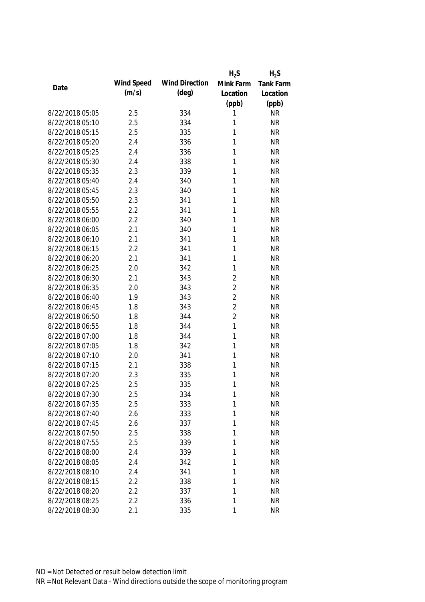|                 |            |                       | $H_2S$         | $H_2S$           |
|-----------------|------------|-----------------------|----------------|------------------|
| Date            | Wind Speed | <b>Wind Direction</b> | Mink Farm      | <b>Tank Farm</b> |
|                 | (m/s)      | $(\text{deg})$        | Location       | Location         |
|                 |            |                       | (ppb)          | (ppb)            |
| 8/22/2018 05:05 | 2.5        | 334                   | 1              | <b>NR</b>        |
| 8/22/2018 05:10 | 2.5        | 334                   | 1              | <b>NR</b>        |
| 8/22/2018 05:15 | 2.5        | 335                   | 1              | <b>NR</b>        |
| 8/22/2018 05:20 | 2.4        | 336                   | 1              | <b>NR</b>        |
| 8/22/2018 05:25 | 2.4        | 336                   | 1              | <b>NR</b>        |
| 8/22/2018 05:30 | 2.4        | 338                   | 1              | <b>NR</b>        |
| 8/22/2018 05:35 | 2.3        | 339                   | 1              | <b>NR</b>        |
| 8/22/2018 05:40 | 2.4        | 340                   | 1              | <b>NR</b>        |
| 8/22/2018 05:45 | 2.3        | 340                   | 1              | <b>NR</b>        |
| 8/22/2018 05:50 | 2.3        | 341                   | 1              | <b>NR</b>        |
| 8/22/2018 05:55 | 2.2        | 341                   | 1              | <b>NR</b>        |
| 8/22/2018 06:00 | 2.2        | 340                   | 1              | <b>NR</b>        |
| 8/22/2018 06:05 | 2.1        | 340                   | 1              | <b>NR</b>        |
| 8/22/2018 06:10 | 2.1        | 341                   | 1              | <b>NR</b>        |
| 8/22/2018 06:15 | 2.2        | 341                   | 1              | <b>NR</b>        |
| 8/22/2018 06:20 | 2.1        | 341                   | 1              | <b>NR</b>        |
| 8/22/2018 06:25 | 2.0        | 342                   | 1              | <b>NR</b>        |
| 8/22/2018 06:30 | 2.1        | 343                   | $\overline{2}$ | <b>NR</b>        |
| 8/22/2018 06:35 | 2.0        | 343                   | $\overline{2}$ | <b>NR</b>        |
| 8/22/2018 06:40 | 1.9        | 343                   | $\overline{2}$ | <b>NR</b>        |
| 8/22/2018 06:45 | 1.8        | 343                   | $\overline{2}$ | <b>NR</b>        |
| 8/22/2018 06:50 | 1.8        | 344                   | $\overline{2}$ | <b>NR</b>        |
| 8/22/2018 06:55 | 1.8        | 344                   | $\mathbf{1}$   | <b>NR</b>        |
| 8/22/2018 07:00 | 1.8        | 344                   | 1              | <b>NR</b>        |
| 8/22/2018 07:05 | 1.8        | 342                   | 1              | <b>NR</b>        |
| 8/22/2018 07:10 | 2.0        | 341                   | 1              | <b>NR</b>        |
| 8/22/2018 07:15 | 2.1        | 338                   | 1              | <b>NR</b>        |
| 8/22/2018 07:20 | 2.3        | 335                   | 1              | <b>NR</b>        |
| 8/22/2018 07:25 | 2.5        | 335                   | 1              | <b>NR</b>        |
| 8/22/2018 07:30 | 2.5        | 334                   | 1              | <b>NR</b>        |
| 8/22/2018 07:35 | 2.5        | 333                   | 1              | <b>NR</b>        |
| 8/22/2018 07:40 | 2.6        | 333                   | 1              | <b>NR</b>        |
| 8/22/2018 07:45 | 2.6        | 337                   | 1              | <b>NR</b>        |
| 8/22/2018 07:50 | 2.5        | 338                   | 1              | <b>NR</b>        |
| 8/22/2018 07:55 | 2.5        | 339                   | 1              | <b>NR</b>        |
| 8/22/2018 08:00 | 2.4        | 339                   | 1              | <b>NR</b>        |
| 8/22/2018 08:05 | 2.4        | 342                   | 1              | <b>NR</b>        |
| 8/22/2018 08:10 | 2.4        | 341                   | 1              | <b>NR</b>        |
| 8/22/2018 08:15 | 2.2        | 338                   | 1              | <b>NR</b>        |
| 8/22/2018 08:20 | 2.2        | 337                   | 1              | <b>NR</b>        |
| 8/22/2018 08:25 | 2.2        | 336                   | 1              | <b>NR</b>        |
| 8/22/2018 08:30 | 2.1        | 335                   | 1              | <b>NR</b>        |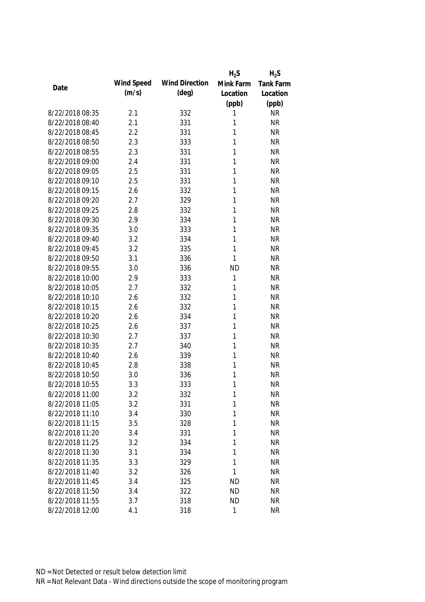|                 |            |                       | $H_2S$    | $H_2S$           |
|-----------------|------------|-----------------------|-----------|------------------|
| Date            | Wind Speed | <b>Wind Direction</b> | Mink Farm | <b>Tank Farm</b> |
|                 | (m/s)      | $(\text{deg})$        | Location  | Location         |
|                 |            |                       | (ppb)     | (ppb)            |
| 8/22/2018 08:35 | 2.1        | 332                   | 1         | <b>NR</b>        |
| 8/22/2018 08:40 | 2.1        | 331                   | 1         | <b>NR</b>        |
| 8/22/2018 08:45 | 2.2        | 331                   | 1         | <b>NR</b>        |
| 8/22/2018 08:50 | 2.3        | 333                   | 1         | <b>NR</b>        |
| 8/22/2018 08:55 | 2.3        | 331                   | 1         | <b>NR</b>        |
| 8/22/2018 09:00 | 2.4        | 331                   | 1         | <b>NR</b>        |
| 8/22/2018 09:05 | 2.5        | 331                   | 1         | <b>NR</b>        |
| 8/22/2018 09:10 | 2.5        | 331                   | 1         | <b>NR</b>        |
| 8/22/2018 09:15 | 2.6        | 332                   | 1         | <b>NR</b>        |
| 8/22/2018 09:20 | 2.7        | 329                   | 1         | <b>NR</b>        |
| 8/22/2018 09:25 | 2.8        | 332                   | 1         | <b>NR</b>        |
| 8/22/2018 09:30 | 2.9        | 334                   | 1         | <b>NR</b>        |
| 8/22/2018 09:35 | 3.0        | 333                   | 1         | <b>NR</b>        |
| 8/22/2018 09:40 | 3.2        | 334                   | 1         | <b>NR</b>        |
| 8/22/2018 09:45 | 3.2        | 335                   | 1         | <b>NR</b>        |
| 8/22/2018 09:50 | 3.1        | 336                   | 1         | <b>NR</b>        |
| 8/22/2018 09:55 | 3.0        | 336                   | <b>ND</b> | <b>NR</b>        |
| 8/22/2018 10:00 | 2.9        | 333                   | 1         | <b>NR</b>        |
| 8/22/2018 10:05 | 2.7        | 332                   | 1         | <b>NR</b>        |
| 8/22/2018 10:10 | 2.6        | 332                   | 1         | <b>NR</b>        |
| 8/22/2018 10:15 | 2.6        | 332                   | 1         | <b>NR</b>        |
| 8/22/2018 10:20 | 2.6        | 334                   | 1         | <b>NR</b>        |
| 8/22/2018 10:25 | 2.6        | 337                   | 1         | <b>NR</b>        |
| 8/22/2018 10:30 | 2.7        | 337                   | 1         | <b>NR</b>        |
| 8/22/2018 10:35 | 2.7        | 340                   | 1         | <b>NR</b>        |
| 8/22/2018 10:40 | 2.6        | 339                   | 1         | <b>NR</b>        |
| 8/22/2018 10:45 | 2.8        | 338                   | 1         | <b>NR</b>        |
| 8/22/2018 10:50 | 3.0        | 336                   | 1         | <b>NR</b>        |
| 8/22/2018 10:55 | 3.3        | 333                   | 1         | <b>NR</b>        |
| 8/22/2018 11:00 | 3.2        | 332                   | 1         | <b>NR</b>        |
| 8/22/2018 11:05 | 3.2        | 331                   | 1         | <b>NR</b>        |
| 8/22/2018 11:10 | 3.4        | 330                   | 1         | <b>NR</b>        |
| 8/22/2018 11:15 | 3.5        | 328                   | 1         | <b>NR</b>        |
| 8/22/2018 11:20 | 3.4        | 331                   | 1         | <b>NR</b>        |
| 8/22/2018 11:25 | 3.2        | 334                   | 1         | <b>NR</b>        |
| 8/22/2018 11:30 | 3.1        | 334                   | 1         | <b>NR</b>        |
| 8/22/2018 11:35 | 3.3        | 329                   | 1         | <b>NR</b>        |
| 8/22/2018 11:40 | 3.2        | 326                   | 1         | <b>NR</b>        |
| 8/22/2018 11:45 | 3.4        | 325                   | <b>ND</b> | <b>NR</b>        |
| 8/22/2018 11:50 | 3.4        | 322                   | <b>ND</b> | <b>NR</b>        |
| 8/22/2018 11:55 | 3.7        | 318                   | <b>ND</b> | <b>NR</b>        |
| 8/22/2018 12:00 | 4.1        | 318                   | 1         | <b>NR</b>        |
|                 |            |                       |           |                  |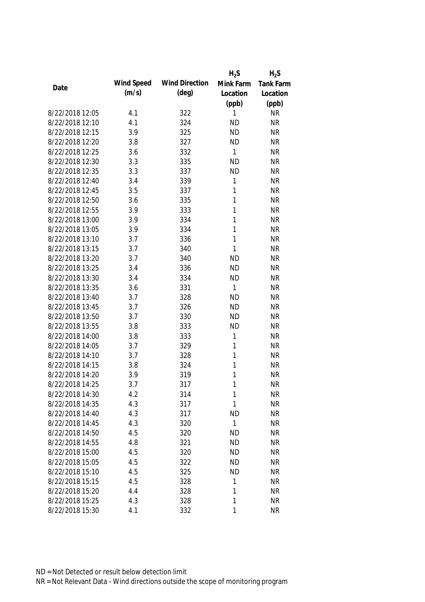|                 |            |                       | $H_2S$       | $H_2S$    |
|-----------------|------------|-----------------------|--------------|-----------|
| Date            | Wind Speed | <b>Wind Direction</b> | Mink Farm    | Tank Farm |
|                 | (m/s)      | $(\text{deg})$        | Location     | Location  |
|                 |            |                       | (ppb)        | (ppb)     |
| 8/22/2018 12:05 | 4.1        | 322                   | 1            | <b>NR</b> |
| 8/22/2018 12:10 | 4.1        | 324                   | <b>ND</b>    | <b>NR</b> |
| 8/22/2018 12:15 | 3.9        | 325                   | <b>ND</b>    | <b>NR</b> |
| 8/22/2018 12:20 | 3.8        | 327                   | <b>ND</b>    | <b>NR</b> |
| 8/22/2018 12:25 | 3.6        | 332                   | $\mathbf{1}$ | <b>NR</b> |
| 8/22/2018 12:30 | 3.3        | 335                   | <b>ND</b>    | <b>NR</b> |
| 8/22/2018 12:35 | 3.3        | 337                   | <b>ND</b>    | <b>NR</b> |
| 8/22/2018 12:40 | 3.4        | 339                   | 1            | <b>NR</b> |
| 8/22/2018 12:45 | 3.5        | 337                   | 1            | <b>NR</b> |
| 8/22/2018 12:50 | 3.6        | 335                   | 1            | <b>NR</b> |
| 8/22/2018 12:55 | 3.9        | 333                   | 1            | <b>NR</b> |
| 8/22/2018 13:00 | 3.9        | 334                   | 1            | <b>NR</b> |
| 8/22/2018 13:05 | 3.9        | 334                   | 1            | <b>NR</b> |
| 8/22/2018 13:10 | 3.7        | 336                   | 1            | <b>NR</b> |
| 8/22/2018 13:15 | 3.7        | 340                   | 1            | <b>NR</b> |
| 8/22/2018 13:20 | 3.7        | 340                   | <b>ND</b>    | <b>NR</b> |
| 8/22/2018 13:25 | 3.4        | 336                   | <b>ND</b>    | <b>NR</b> |
| 8/22/2018 13:30 | 3.4        | 334                   | <b>ND</b>    | <b>NR</b> |
| 8/22/2018 13:35 | 3.6        | 331                   | $\mathbf{1}$ | <b>NR</b> |
| 8/22/2018 13:40 | 3.7        | 328                   | <b>ND</b>    | <b>NR</b> |
| 8/22/2018 13:45 | 3.7        | 326                   | <b>ND</b>    | <b>NR</b> |
| 8/22/2018 13:50 | 3.7        | 330                   | <b>ND</b>    | <b>NR</b> |
| 8/22/2018 13:55 | 3.8        | 333                   | <b>ND</b>    | <b>NR</b> |
| 8/22/2018 14:00 | 3.8        | 333                   | 1            | <b>NR</b> |
| 8/22/2018 14:05 | 3.7        | 329                   | 1            | <b>NR</b> |
| 8/22/2018 14:10 | 3.7        | 328                   | 1            | <b>NR</b> |
| 8/22/2018 14:15 | 3.8        | 324                   | 1            | <b>NR</b> |
| 8/22/2018 14:20 | 3.9        | 319                   | 1            | <b>NR</b> |
| 8/22/2018 14:25 | 3.7        | 317                   | 1            | <b>NR</b> |
| 8/22/2018 14:30 | 4.2        | 314                   | 1            | <b>NR</b> |
| 8/22/2018 14:35 | 4.3        | 317                   | 1            | <b>NR</b> |
| 8/22/2018 14:40 | 4.3        | 317                   | <b>ND</b>    | <b>NR</b> |
| 8/22/2018 14:45 | 4.3        | 320                   | 1            | <b>NR</b> |
| 8/22/2018 14:50 | 4.5        | 320                   | <b>ND</b>    | <b>NR</b> |
| 8/22/2018 14:55 | 4.8        | 321                   | <b>ND</b>    | <b>NR</b> |
| 8/22/2018 15:00 | 4.5        | 320                   | <b>ND</b>    | <b>NR</b> |
| 8/22/2018 15:05 | 4.5        | 322                   | <b>ND</b>    | <b>NR</b> |
| 8/22/2018 15:10 | 4.5        | 325                   | <b>ND</b>    | <b>NR</b> |
| 8/22/2018 15:15 | 4.5        | 328                   | 1            | <b>NR</b> |
| 8/22/2018 15:20 | 4.4        | 328                   | 1            | <b>NR</b> |
| 8/22/2018 15:25 | 4.3        | 328                   | 1            | <b>NR</b> |
| 8/22/2018 15:30 | 4.1        | 332                   | 1            | <b>NR</b> |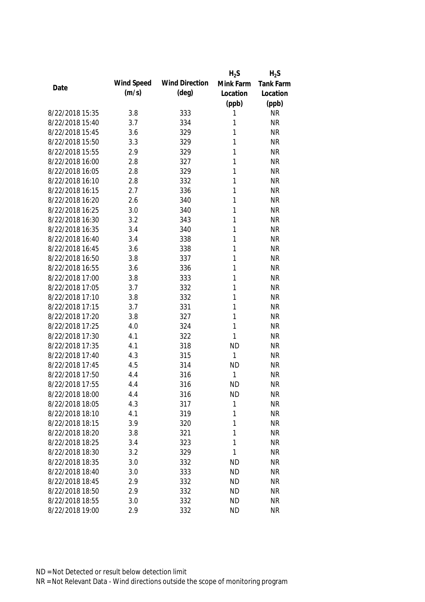|                 |            |                       | $H_2S$      | $H_2S$           |
|-----------------|------------|-----------------------|-------------|------------------|
| Date            | Wind Speed | <b>Wind Direction</b> | Mink Farm   | <b>Tank Farm</b> |
|                 | (m/s)      | $(\text{deg})$        | Location    | Location         |
|                 |            |                       | (ppb)       | (ppb)            |
| 8/22/2018 15:35 | 3.8        | 333                   | 1           | <b>NR</b>        |
| 8/22/2018 15:40 | 3.7        | 334                   | 1           | <b>NR</b>        |
| 8/22/2018 15:45 | 3.6        | 329                   | 1           | <b>NR</b>        |
| 8/22/2018 15:50 | 3.3        | 329                   | 1           | <b>NR</b>        |
| 8/22/2018 15:55 | 2.9        | 329                   | 1           | <b>NR</b>        |
| 8/22/2018 16:00 | 2.8        | 327                   | 1           | <b>NR</b>        |
| 8/22/2018 16:05 | 2.8        | 329                   | 1           | <b>NR</b>        |
| 8/22/2018 16:10 | 2.8        | 332                   | 1           | <b>NR</b>        |
| 8/22/2018 16:15 | 2.7        | 336                   | 1           | <b>NR</b>        |
| 8/22/2018 16:20 | 2.6        | 340                   | 1           | <b>NR</b>        |
| 8/22/2018 16:25 | 3.0        | 340                   | 1           | <b>NR</b>        |
| 8/22/2018 16:30 | 3.2        | 343                   | 1           | <b>NR</b>        |
| 8/22/2018 16:35 | 3.4        | 340                   | 1           | <b>NR</b>        |
| 8/22/2018 16:40 | 3.4        | 338                   | 1           | <b>NR</b>        |
| 8/22/2018 16:45 | 3.6        | 338                   | 1           | <b>NR</b>        |
| 8/22/2018 16:50 | 3.8        | 337                   | 1           | <b>NR</b>        |
| 8/22/2018 16:55 | 3.6        | 336                   | 1           | <b>NR</b>        |
| 8/22/2018 17:00 | 3.8        | 333                   | 1           | <b>NR</b>        |
| 8/22/2018 17:05 | 3.7        | 332                   | 1           | <b>NR</b>        |
| 8/22/2018 17:10 | 3.8        | 332                   | 1           | <b>NR</b>        |
| 8/22/2018 17:15 | 3.7        | 331                   | 1           | <b>NR</b>        |
| 8/22/2018 17:20 | 3.8        | 327                   | 1           | <b>NR</b>        |
| 8/22/2018 17:25 | 4.0        | 324                   | 1           | <b>NR</b>        |
| 8/22/2018 17:30 | 4.1        | 322                   | 1           | <b>NR</b>        |
| 8/22/2018 17:35 | 4.1        | 318                   | <b>ND</b>   | <b>NR</b>        |
| 8/22/2018 17:40 | 4.3        | 315                   | 1           | <b>NR</b>        |
| 8/22/2018 17:45 | 4.5        | 314                   | <b>ND</b>   | <b>NR</b>        |
| 8/22/2018 17:50 | 4.4        | 316                   | 1           | <b>NR</b>        |
| 8/22/2018 17:55 | 4.4        | 316                   | <b>ND</b>   | <b>NR</b>        |
| 8/22/2018 18:00 | 4.4        | 316                   | <b>ND</b>   | <b>NR</b>        |
| 8/22/2018 18:05 | 4.3        | 317                   | $\mathbf 1$ | <b>NR</b>        |
| 8/22/2018 18:10 | 4.1        | 319                   | 1           | <b>NR</b>        |
| 8/22/2018 18:15 | 3.9        | 320                   | 1           | <b>NR</b>        |
| 8/22/2018 18:20 | 3.8        | 321                   | 1           | <b>NR</b>        |
| 8/22/2018 18:25 | 3.4        | 323                   | 1           | <b>NR</b>        |
| 8/22/2018 18:30 | 3.2        | 329                   | 1           | <b>NR</b>        |
| 8/22/2018 18:35 | 3.0        | 332                   | <b>ND</b>   | <b>NR</b>        |
| 8/22/2018 18:40 | 3.0        | 333                   | <b>ND</b>   | <b>NR</b>        |
| 8/22/2018 18:45 | 2.9        | 332                   | <b>ND</b>   | <b>NR</b>        |
| 8/22/2018 18:50 | 2.9        | 332                   | <b>ND</b>   | <b>NR</b>        |
| 8/22/2018 18:55 | 3.0        | 332                   | <b>ND</b>   | <b>NR</b>        |
| 8/22/2018 19:00 | 2.9        | 332                   | <b>ND</b>   | <b>NR</b>        |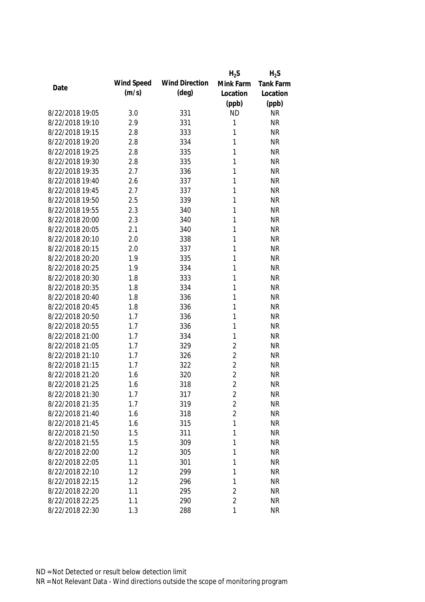|                 |            |                       | $H_2S$         | $H_2S$           |
|-----------------|------------|-----------------------|----------------|------------------|
| Date            | Wind Speed | <b>Wind Direction</b> | Mink Farm      | <b>Tank Farm</b> |
|                 | (m/s)      | $(\text{deg})$        | Location       | Location         |
|                 |            |                       | (ppb)          | (ppb)            |
| 8/22/2018 19:05 | 3.0        | 331                   | <b>ND</b>      | <b>NR</b>        |
| 8/22/2018 19:10 | 2.9        | 331                   | 1              | <b>NR</b>        |
| 8/22/2018 19:15 | 2.8        | 333                   | 1              | <b>NR</b>        |
| 8/22/2018 19:20 | 2.8        | 334                   | 1              | <b>NR</b>        |
| 8/22/2018 19:25 | 2.8        | 335                   | 1              | <b>NR</b>        |
| 8/22/2018 19:30 | 2.8        | 335                   | 1              | <b>NR</b>        |
| 8/22/2018 19:35 | 2.7        | 336                   | 1              | <b>NR</b>        |
| 8/22/2018 19:40 | 2.6        | 337                   | 1              | <b>NR</b>        |
| 8/22/2018 19:45 | 2.7        | 337                   | 1              | <b>NR</b>        |
| 8/22/2018 19:50 | 2.5        | 339                   | 1              | <b>NR</b>        |
| 8/22/2018 19:55 | 2.3        | 340                   | 1              | <b>NR</b>        |
| 8/22/2018 20:00 | 2.3        | 340                   | 1              | <b>NR</b>        |
| 8/22/2018 20:05 | 2.1        | 340                   | 1              | <b>NR</b>        |
| 8/22/2018 20:10 | 2.0        | 338                   | 1              | <b>NR</b>        |
| 8/22/2018 20:15 | 2.0        | 337                   | 1              | <b>NR</b>        |
| 8/22/2018 20:20 | 1.9        | 335                   | 1              | <b>NR</b>        |
| 8/22/2018 20:25 | 1.9        | 334                   | 1              | <b>NR</b>        |
| 8/22/2018 20:30 | 1.8        | 333                   | 1              | <b>NR</b>        |
| 8/22/2018 20:35 | 1.8        | 334                   | 1              | <b>NR</b>        |
| 8/22/2018 20:40 | 1.8        | 336                   | 1              | <b>NR</b>        |
| 8/22/2018 20:45 | 1.8        | 336                   | 1              | <b>NR</b>        |
| 8/22/2018 20:50 | 1.7        | 336                   | 1              | <b>NR</b>        |
| 8/22/2018 20:55 | 1.7        | 336                   | 1              | <b>NR</b>        |
| 8/22/2018 21:00 | 1.7        | 334                   | 1              | <b>NR</b>        |
| 8/22/2018 21:05 | 1.7        | 329                   | $\overline{2}$ | <b>NR</b>        |
| 8/22/2018 21:10 | 1.7        | 326                   | $\overline{2}$ | <b>NR</b>        |
| 8/22/2018 21:15 | 1.7        | 322                   | $\overline{2}$ | <b>NR</b>        |
| 8/22/2018 21:20 | 1.6        | 320                   | $\overline{2}$ | <b>NR</b>        |
| 8/22/2018 21:25 | 1.6        | 318                   | $\overline{2}$ | <b>NR</b>        |
| 8/22/2018 21:30 | 1.7        | 317                   | 2              | <b>NR</b>        |
| 8/22/2018 21:35 | 1.7        | 319                   | $\overline{2}$ | <b>NR</b>        |
| 8/22/2018 21:40 | 1.6        | 318                   | $\overline{2}$ | <b>NR</b>        |
| 8/22/2018 21:45 | 1.6        | 315                   | 1              | <b>NR</b>        |
| 8/22/2018 21:50 | 1.5        | 311                   | 1              | <b>NR</b>        |
| 8/22/2018 21:55 | 1.5        | 309                   | 1              | <b>NR</b>        |
| 8/22/2018 22:00 | 1.2        | 305                   | 1              | <b>NR</b>        |
| 8/22/2018 22:05 | 1.1        | 301                   | 1              | <b>NR</b>        |
| 8/22/2018 22:10 | 1.2        | 299                   | 1              | <b>NR</b>        |
| 8/22/2018 22:15 | 1.2        | 296                   | 1              | <b>NR</b>        |
| 8/22/2018 22:20 | 1.1        | 295                   | $\overline{2}$ | <b>NR</b>        |
| 8/22/2018 22:25 | 1.1        | 290                   | $\overline{2}$ | <b>NR</b>        |
| 8/22/2018 22:30 | 1.3        | 288                   | $\mathbf{1}$   | <b>NR</b>        |
|                 |            |                       |                |                  |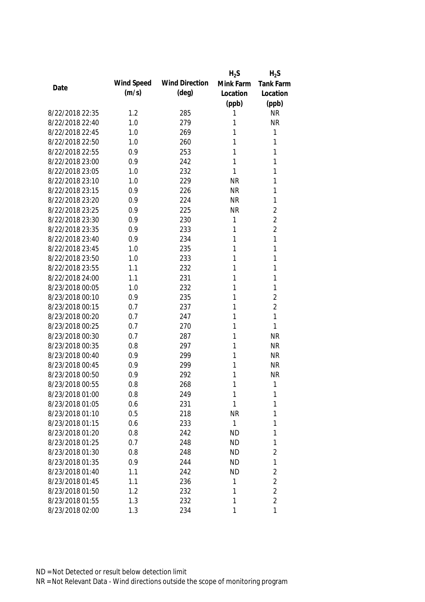|                 |            |                       | $H_2S$       | $H_2S$           |
|-----------------|------------|-----------------------|--------------|------------------|
| Date            | Wind Speed | <b>Wind Direction</b> | Mink Farm    | <b>Tank Farm</b> |
|                 | (m/s)      | $(\text{deg})$        | Location     | Location         |
|                 |            |                       | (ppb)        | (ppb)            |
| 8/22/2018 22:35 | 1.2        | 285                   | 1            | <b>NR</b>        |
| 8/22/2018 22:40 | 1.0        | 279                   | 1            | <b>NR</b>        |
| 8/22/2018 22:45 | 1.0        | 269                   | 1            | 1                |
| 8/22/2018 22:50 | 1.0        | 260                   | 1            | 1                |
| 8/22/2018 22:55 | 0.9        | 253                   | 1            | 1                |
| 8/22/2018 23:00 | 0.9        | 242                   | 1            | 1                |
| 8/22/2018 23:05 | 1.0        | 232                   | 1            | 1                |
| 8/22/2018 23:10 | 1.0        | 229                   | <b>NR</b>    | 1                |
| 8/22/2018 23:15 | 0.9        | 226                   | <b>NR</b>    | 1                |
| 8/22/2018 23:20 | 0.9        | 224                   | <b>NR</b>    | 1                |
| 8/22/2018 23:25 | 0.9        | 225                   | <b>NR</b>    | $\overline{2}$   |
| 8/22/2018 23:30 | 0.9        | 230                   | 1            | $\overline{2}$   |
| 8/22/2018 23:35 | 0.9        | 233                   | 1            | $\overline{2}$   |
| 8/22/2018 23:40 | 0.9        | 234                   | 1            | 1                |
| 8/22/2018 23:45 | 1.0        | 235                   | 1            | 1                |
| 8/22/2018 23:50 | 1.0        | 233                   | 1            | 1                |
| 8/22/2018 23:55 | 1.1        | 232                   | 1            | 1                |
| 8/22/2018 24:00 | 1.1        | 231                   | 1            | 1                |
| 8/23/2018 00:05 | 1.0        | 232                   | 1            | 1                |
| 8/23/2018 00:10 | 0.9        | 235                   | 1            | $\overline{2}$   |
| 8/23/2018 00:15 | 0.7        | 237                   | 1            | $\overline{2}$   |
| 8/23/2018 00:20 | 0.7        | 247                   | 1            | 1                |
| 8/23/2018 00:25 | 0.7        | 270                   | 1            | 1                |
| 8/23/2018 00:30 | 0.7        | 287                   | 1            | <b>NR</b>        |
| 8/23/2018 00:35 | 0.8        | 297                   | 1            | <b>NR</b>        |
| 8/23/2018 00:40 | 0.9        | 299                   | 1            | <b>NR</b>        |
| 8/23/2018 00:45 | 0.9        | 299                   | 1            | <b>NR</b>        |
| 8/23/2018 00:50 | 0.9        | 292                   | 1            | <b>NR</b>        |
| 8/23/2018 00:55 | 0.8        | 268                   | 1            | 1                |
| 8/23/2018 01:00 | 0.8        | 249                   | 1            | 1                |
| 8/23/2018 01:05 | 0.6        | 231                   | 1            | 1                |
| 8/23/2018 01:10 | 0.5        | 218                   | <b>NR</b>    | 1                |
| 8/23/2018 01:15 | 0.6        | 233                   | $\mathbf{1}$ | 1                |
| 8/23/2018 01:20 | 0.8        | 242                   | <b>ND</b>    | 1                |
| 8/23/2018 01:25 | 0.7        | 248                   | <b>ND</b>    | 1                |
| 8/23/2018 01:30 | 0.8        | 248                   | <b>ND</b>    | $\overline{2}$   |
| 8/23/2018 01:35 | 0.9        | 244                   | <b>ND</b>    | 1                |
| 8/23/2018 01:40 | 1.1        | 242                   | <b>ND</b>    | 2                |
| 8/23/2018 01:45 | 1.1        | 236                   | 1            | $\overline{2}$   |
| 8/23/2018 01:50 | 1.2        | 232                   | 1            | $\overline{2}$   |
| 8/23/2018 01:55 | 1.3        | 232                   | 1            | $\overline{2}$   |
| 8/23/2018 02:00 | 1.3        | 234                   | 1            | $\mathbf{1}$     |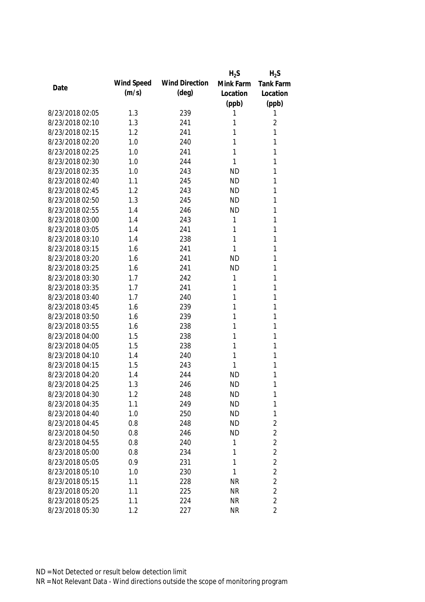|                 |            |                       | $H_2S$    | $H_2S$         |
|-----------------|------------|-----------------------|-----------|----------------|
| Date            | Wind Speed | <b>Wind Direction</b> | Mink Farm | Tank Farm      |
|                 | (m/s)      | $(\text{deg})$        | Location  | Location       |
|                 |            |                       | (ppb)     | (ppb)          |
| 8/23/2018 02:05 | 1.3        | 239                   | 1         | 1              |
| 8/23/2018 02:10 | 1.3        | 241                   | 1         | $\overline{2}$ |
| 8/23/2018 02:15 | 1.2        | 241                   | 1         | 1              |
| 8/23/2018 02:20 | 1.0        | 240                   | 1         | 1              |
| 8/23/2018 02:25 | 1.0        | 241                   | 1         | 1              |
| 8/23/2018 02:30 | 1.0        | 244                   | 1         | 1              |
| 8/23/2018 02:35 | 1.0        | 243                   | <b>ND</b> | 1              |
| 8/23/2018 02:40 | 1.1        | 245                   | <b>ND</b> | 1              |
| 8/23/2018 02:45 | 1.2        | 243                   | <b>ND</b> | 1              |
| 8/23/2018 02:50 | 1.3        | 245                   | <b>ND</b> | 1              |
| 8/23/2018 02:55 | 1.4        | 246                   | <b>ND</b> | 1              |
| 8/23/2018 03:00 | 1.4        | 243                   | 1         | 1              |
| 8/23/2018 03:05 | 1.4        | 241                   | 1         | 1              |
| 8/23/2018 03:10 | 1.4        | 238                   | 1         | 1              |
| 8/23/2018 03:15 | 1.6        | 241                   | 1         | 1              |
| 8/23/2018 03:20 | 1.6        | 241                   | <b>ND</b> | 1              |
| 8/23/2018 03:25 | 1.6        | 241                   | <b>ND</b> | 1              |
| 8/23/2018 03:30 | 1.7        | 242                   | 1         | 1              |
| 8/23/2018 03:35 | 1.7        | 241                   | 1         | 1              |
| 8/23/2018 03:40 | 1.7        | 240                   | 1         | 1              |
| 8/23/2018 03:45 | 1.6        | 239                   | 1         | 1              |
| 8/23/2018 03:50 | 1.6        | 239                   | 1         | 1              |
| 8/23/2018 03:55 | 1.6        | 238                   | 1         | 1              |
| 8/23/2018 04:00 | 1.5        | 238                   | 1         | 1              |
| 8/23/2018 04:05 | 1.5        | 238                   | 1         | 1              |
| 8/23/2018 04:10 | 1.4        | 240                   | 1         | 1              |
| 8/23/2018 04:15 | 1.5        | 243                   | 1         | 1              |
| 8/23/2018 04:20 | 1.4        | 244                   | <b>ND</b> | 1              |
| 8/23/2018 04:25 | 1.3        | 246                   | <b>ND</b> | 1              |
| 8/23/2018 04:30 | 1.2        | 248                   | <b>ND</b> | 1              |
| 8/23/2018 04:35 | 1.1        | 249                   | <b>ND</b> | 1              |
| 8/23/2018 04:40 | 1.0        | 250                   | <b>ND</b> | 1              |
| 8/23/2018 04:45 | 0.8        | 248                   | <b>ND</b> | $\sqrt{2}$     |
| 8/23/2018 04:50 | 0.8        | 246                   | <b>ND</b> | $\overline{2}$ |
| 8/23/2018 04:55 | 0.8        | 240                   | 1         | $\overline{2}$ |
| 8/23/2018 05:00 | 0.8        | 234                   | 1         | $\overline{2}$ |
| 8/23/2018 05:05 | 0.9        | 231                   | 1         | $\overline{2}$ |
| 8/23/2018 05:10 | 1.0        | 230                   | 1         | $\overline{2}$ |
| 8/23/2018 05:15 | 1.1        | 228                   | <b>NR</b> | $\overline{2}$ |
| 8/23/2018 05:20 | 1.1        | 225                   | <b>NR</b> | $\overline{2}$ |
| 8/23/2018 05:25 | 1.1        | 224                   | <b>NR</b> | $\overline{2}$ |
| 8/23/2018 05:30 | 1.2        | 227                   | <b>NR</b> | $\overline{2}$ |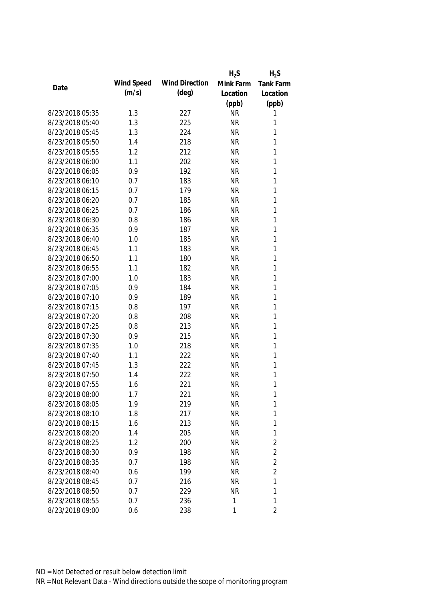|                 |            |                       | $H_2S$    | $H_2S$           |
|-----------------|------------|-----------------------|-----------|------------------|
|                 | Wind Speed | <b>Wind Direction</b> | Mink Farm | <b>Tank Farm</b> |
| Date            | (m/s)      | (deg)                 | Location  | Location         |
|                 |            |                       | (ppb)     | (ppb)            |
| 8/23/2018 05:35 | 1.3        | 227                   | <b>NR</b> | 1                |
| 8/23/2018 05:40 | 1.3        | 225                   | <b>NR</b> | 1                |
| 8/23/2018 05:45 | 1.3        | 224                   | <b>NR</b> | 1                |
| 8/23/2018 05:50 | 1.4        | 218                   | <b>NR</b> | 1                |
| 8/23/2018 05:55 | 1.2        | 212                   | <b>NR</b> | 1                |
| 8/23/2018 06:00 | 1.1        | 202                   | <b>NR</b> | 1                |
| 8/23/2018 06:05 | 0.9        | 192                   | <b>NR</b> | $\mathbf{1}$     |
| 8/23/2018 06:10 | 0.7        | 183                   | <b>NR</b> | $\mathbf{1}$     |
| 8/23/2018 06:15 | 0.7        | 179                   | <b>NR</b> | $\mathbf{1}$     |
| 8/23/2018 06:20 | 0.7        | 185                   | <b>NR</b> | 1                |
| 8/23/2018 06:25 | 0.7        | 186                   | <b>NR</b> | $\mathbf{1}$     |
| 8/23/2018 06:30 | 0.8        | 186                   | <b>NR</b> | 1                |
| 8/23/2018 06:35 | 0.9        | 187                   | <b>NR</b> | 1                |
| 8/23/2018 06:40 | 1.0        | 185                   | <b>NR</b> | $\mathbf{1}$     |
| 8/23/2018 06:45 | 1.1        | 183                   | <b>NR</b> | $\mathbf{1}$     |
| 8/23/2018 06:50 | 1.1        | 180                   | <b>NR</b> | $\mathbf{1}$     |
| 8/23/2018 06:55 | 1.1        | 182                   | <b>NR</b> | 1                |
| 8/23/2018 07:00 | 1.0        | 183                   | <b>NR</b> | $\mathbf{1}$     |
| 8/23/2018 07:05 | 0.9        | 184                   | <b>NR</b> | $\mathbf{1}$     |
| 8/23/2018 07:10 | 0.9        | 189                   | <b>NR</b> | $\mathbf{1}$     |
| 8/23/2018 07:15 | 0.8        | 197                   | <b>NR</b> | 1                |
| 8/23/2018 07:20 | 0.8        | 208                   | <b>NR</b> | $\mathbf{1}$     |
| 8/23/2018 07:25 | 0.8        | 213                   | <b>NR</b> | $\mathbf{1}$     |
| 8/23/2018 07:30 | 0.9        | 215                   | <b>NR</b> | 1                |
| 8/23/2018 07:35 | 1.0        | 218                   | <b>NR</b> | $\mathbf{1}$     |
| 8/23/2018 07:40 | 1.1        | 222                   | <b>NR</b> | 1                |
| 8/23/2018 07:45 | 1.3        | 222                   | <b>NR</b> | 1                |
| 8/23/2018 07:50 | 1.4        | 222                   | <b>NR</b> | 1                |
| 8/23/2018 07:55 | 1.6        | 221                   | <b>NR</b> | 1                |
| 8/23/2018 08:00 | 1.7        | 221                   | <b>NR</b> | 1                |
| 8/23/2018 08:05 | 1.9        | 219                   | <b>NR</b> | 1                |
| 8/23/2018 08:10 | 1.8        | 217                   | <b>NR</b> | 1                |
| 8/23/2018 08:15 | 1.6        | 213                   | <b>NR</b> | 1                |
| 8/23/2018 08:20 | 1.4        | 205                   | <b>NR</b> | 1                |
| 8/23/2018 08:25 | 1.2        | 200                   | <b>NR</b> | $\overline{2}$   |
| 8/23/2018 08:30 | 0.9        | 198                   | <b>NR</b> | $\overline{2}$   |
| 8/23/2018 08:35 | 0.7        | 198                   | <b>NR</b> | $\overline{2}$   |
| 8/23/2018 08:40 | 0.6        | 199                   | <b>NR</b> | $\overline{2}$   |
| 8/23/2018 08:45 | 0.7        | 216                   | <b>NR</b> | 1                |
| 8/23/2018 08:50 | 0.7        | 229                   | <b>NR</b> | 1                |
| 8/23/2018 08:55 | 0.7        | 236                   | 1         | 1                |
| 8/23/2018 09:00 | 0.6        | 238                   | 1         | $\overline{2}$   |
|                 |            |                       |           |                  |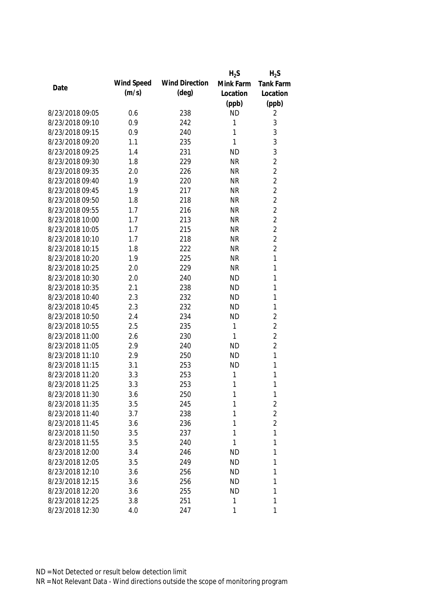|                 |            |                       | $H_2S$    | $H_2S$           |
|-----------------|------------|-----------------------|-----------|------------------|
| Date            | Wind Speed | <b>Wind Direction</b> | Mink Farm | <b>Tank Farm</b> |
|                 | (m/s)      | $(\text{deg})$        | Location  | Location         |
|                 |            |                       | (ppb)     | (ppb)            |
| 8/23/2018 09:05 | 0.6        | 238                   | <b>ND</b> | 2                |
| 8/23/2018 09:10 | 0.9        | 242                   | 1         | $\mathfrak{Z}$   |
| 8/23/2018 09:15 | 0.9        | 240                   | 1         | $\mathfrak{Z}$   |
| 8/23/2018 09:20 | 1.1        | 235                   | 1         | 3                |
| 8/23/2018 09:25 | 1.4        | 231                   | <b>ND</b> | 3                |
| 8/23/2018 09:30 | 1.8        | 229                   | <b>NR</b> | $\overline{2}$   |
| 8/23/2018 09:35 | 2.0        | 226                   | <b>NR</b> | $\overline{2}$   |
| 8/23/2018 09:40 | 1.9        | 220                   | <b>NR</b> | $\overline{2}$   |
| 8/23/2018 09:45 | 1.9        | 217                   | <b>NR</b> | $\overline{2}$   |
| 8/23/2018 09:50 | 1.8        | 218                   | <b>NR</b> | $\overline{2}$   |
| 8/23/2018 09:55 | 1.7        | 216                   | <b>NR</b> | $\overline{2}$   |
| 8/23/2018 10:00 | 1.7        | 213                   | <b>NR</b> | $\overline{2}$   |
| 8/23/2018 10:05 | 1.7        | 215                   | <b>NR</b> | $\overline{2}$   |
| 8/23/2018 10:10 | 1.7        | 218                   | <b>NR</b> | $\overline{2}$   |
| 8/23/2018 10:15 | 1.8        | 222                   | <b>NR</b> | $\overline{2}$   |
| 8/23/2018 10:20 | 1.9        | 225                   | <b>NR</b> | $\mathbf{1}$     |
| 8/23/2018 10:25 | 2.0        | 229                   | <b>NR</b> | 1                |
| 8/23/2018 10:30 | 2.0        | 240                   | <b>ND</b> | 1                |
| 8/23/2018 10:35 | 2.1        | 238                   | <b>ND</b> | 1                |
| 8/23/2018 10:40 | 2.3        | 232                   | <b>ND</b> | 1                |
| 8/23/2018 10:45 | 2.3        | 232                   | <b>ND</b> | 1                |
| 8/23/2018 10:50 | 2.4        | 234                   | <b>ND</b> | $\overline{2}$   |
| 8/23/2018 10:55 | 2.5        | 235                   | 1         | $\overline{2}$   |
| 8/23/2018 11:00 | 2.6        | 230                   | 1         | $\overline{2}$   |
| 8/23/2018 11:05 | 2.9        | 240                   | <b>ND</b> | $\overline{2}$   |
| 8/23/2018 11:10 | 2.9        | 250                   | <b>ND</b> | $\mathbf{1}$     |
| 8/23/2018 11:15 | 3.1        | 253                   | <b>ND</b> | 1                |
| 8/23/2018 11:20 | 3.3        | 253                   | 1         | 1                |
| 8/23/2018 11:25 | 3.3        | 253                   | 1         | 1                |
| 8/23/2018 11:30 | 3.6        | 250                   | 1         | $\mathbf{1}$     |
| 8/23/2018 11:35 | 3.5        | 245                   | 1         | $\overline{2}$   |
| 8/23/2018 11:40 | 3.7        | 238                   | 1         | $\overline{2}$   |
| 8/23/2018 11:45 | 3.6        | 236                   | 1         | $\overline{2}$   |
| 8/23/2018 11:50 | 3.5        | 237                   | 1         | 1                |
| 8/23/2018 11:55 | 3.5        | 240                   | 1         | 1                |
| 8/23/2018 12:00 | 3.4        | 246                   | <b>ND</b> | 1                |
| 8/23/2018 12:05 | 3.5        | 249                   | <b>ND</b> | 1                |
| 8/23/2018 12:10 | 3.6        | 256                   | ND        | 1                |
| 8/23/2018 12:15 | 3.6        | 256                   | <b>ND</b> | 1                |
| 8/23/2018 12:20 | 3.6        | 255                   | <b>ND</b> | 1                |
| 8/23/2018 12:25 | 3.8        | 251                   | 1         | 1                |
| 8/23/2018 12:30 | 4.0        | 247                   | 1         | 1                |
|                 |            |                       |           |                  |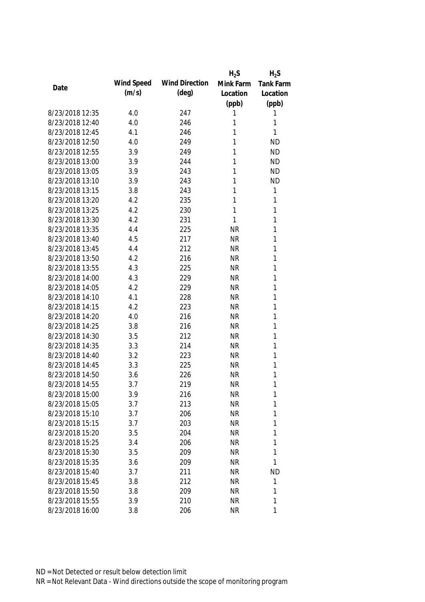|                 |            |                       | $H_2S$    | $H_2S$    |
|-----------------|------------|-----------------------|-----------|-----------|
| Date            | Wind Speed | <b>Wind Direction</b> | Mink Farm | Tank Farm |
|                 | (m/s)      | $(\text{deg})$        | Location  | Location  |
|                 |            |                       | (ppb)     | (ppb)     |
| 8/23/2018 12:35 | 4.0        | 247                   | 1         | 1         |
| 8/23/2018 12:40 | 4.0        | 246                   | 1         | 1         |
| 8/23/2018 12:45 | 4.1        | 246                   | 1         | 1         |
| 8/23/2018 12:50 | 4.0        | 249                   | 1         | <b>ND</b> |
| 8/23/2018 12:55 | 3.9        | 249                   | 1         | <b>ND</b> |
| 8/23/2018 13:00 | 3.9        | 244                   | 1         | <b>ND</b> |
| 8/23/2018 13:05 | 3.9        | 243                   | 1         | <b>ND</b> |
| 8/23/2018 13:10 | 3.9        | 243                   | 1         | <b>ND</b> |
| 8/23/2018 13:15 | 3.8        | 243                   | 1         | 1         |
| 8/23/2018 13:20 | 4.2        | 235                   | 1         | 1         |
| 8/23/2018 13:25 | 4.2        | 230                   | 1         | 1         |
| 8/23/2018 13:30 | 4.2        | 231                   | 1         | 1         |
| 8/23/2018 13:35 | 4.4        | 225                   | <b>NR</b> | 1         |
| 8/23/2018 13:40 | 4.5        | 217                   | <b>NR</b> | 1         |
| 8/23/2018 13:45 | 4.4        | 212                   | <b>NR</b> | 1         |
| 8/23/2018 13:50 | 4.2        | 216                   | <b>NR</b> | 1         |
| 8/23/2018 13:55 | 4.3        | 225                   | <b>NR</b> | 1         |
| 8/23/2018 14:00 | 4.3        | 229                   | <b>NR</b> | 1         |
| 8/23/2018 14:05 | 4.2        | 229                   | <b>NR</b> | 1         |
| 8/23/2018 14:10 | 4.1        | 228                   | <b>NR</b> | 1         |
| 8/23/2018 14:15 | 4.2        | 223                   | <b>NR</b> | 1         |
| 8/23/2018 14:20 | 4.0        | 216                   | <b>NR</b> | 1         |
| 8/23/2018 14:25 | 3.8        | 216                   | <b>NR</b> | 1         |
| 8/23/2018 14:30 | 3.5        | 212                   | <b>NR</b> | 1         |
| 8/23/2018 14:35 | 3.3        | 214                   | <b>NR</b> | 1         |
| 8/23/2018 14:40 | 3.2        | 223                   | <b>NR</b> | 1         |
| 8/23/2018 14:45 | 3.3        | 225                   | <b>NR</b> | 1         |
| 8/23/2018 14:50 | 3.6        | 226                   | <b>NR</b> | 1         |
| 8/23/2018 14:55 | 3.7        | 219                   | <b>NR</b> | 1         |
| 8/23/2018 15:00 | 3.9        | 216                   | <b>NR</b> | 1         |
| 8/23/2018 15:05 | 3.7        | 213                   | <b>NR</b> | 1         |
| 8/23/2018 15:10 | 3.7        | 206                   | <b>NR</b> | 1         |
| 8/23/2018 15:15 | 3.7        | 203                   | <b>NR</b> | 1         |
| 8/23/2018 15:20 | 3.5        | 204                   | <b>NR</b> | 1         |
| 8/23/2018 15:25 | 3.4        | 206                   | <b>NR</b> | 1         |
| 8/23/2018 15:30 | 3.5        | 209                   | <b>NR</b> | 1         |
| 8/23/2018 15:35 | 3.6        | 209                   | <b>NR</b> | 1         |
| 8/23/2018 15:40 | 3.7        | 211                   | <b>NR</b> | <b>ND</b> |
| 8/23/2018 15:45 | 3.8        | 212                   | <b>NR</b> | 1         |
| 8/23/2018 15:50 | 3.8        | 209                   | <b>NR</b> | 1         |
| 8/23/2018 15:55 | 3.9        | 210                   | <b>NR</b> | 1         |
| 8/23/2018 16:00 | 3.8        | 206                   | <b>NR</b> | 1         |
|                 |            |                       |           |           |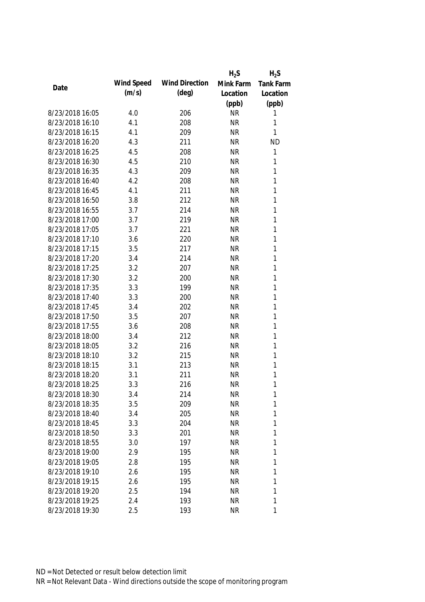|                 |            |                       | $H_2S$    | $H_2S$           |
|-----------------|------------|-----------------------|-----------|------------------|
|                 | Wind Speed | <b>Wind Direction</b> | Mink Farm | <b>Tank Farm</b> |
| Date            | (m/s)      | (deg)                 | Location  | Location         |
|                 |            |                       | (ppb)     | (ppb)            |
| 8/23/2018 16:05 | 4.0        | 206                   | <b>NR</b> | 1                |
| 8/23/2018 16:10 | 4.1        | 208                   | <b>NR</b> | 1                |
| 8/23/2018 16:15 | 4.1        | 209                   | <b>NR</b> | 1                |
| 8/23/2018 16:20 | 4.3        | 211                   | <b>NR</b> | <b>ND</b>        |
| 8/23/2018 16:25 | 4.5        | 208                   | <b>NR</b> | 1                |
| 8/23/2018 16:30 | 4.5        | 210                   | <b>NR</b> | 1                |
| 8/23/2018 16:35 | 4.3        | 209                   | <b>NR</b> | $\mathbf{1}$     |
| 8/23/2018 16:40 | 4.2        | 208                   | <b>NR</b> | $\mathbf{1}$     |
| 8/23/2018 16:45 | 4.1        | 211                   | <b>NR</b> | $\mathbf{1}$     |
| 8/23/2018 16:50 | 3.8        | 212                   | <b>NR</b> | 1                |
| 8/23/2018 16:55 | 3.7        | 214                   | <b>NR</b> | 1                |
| 8/23/2018 17:00 | 3.7        | 219                   | <b>NR</b> | 1                |
| 8/23/2018 17:05 | 3.7        | 221                   | <b>NR</b> | 1                |
| 8/23/2018 17:10 | 3.6        | 220                   | <b>NR</b> | $\mathbf{1}$     |
| 8/23/2018 17:15 | 3.5        | 217                   | <b>NR</b> | $\mathbf{1}$     |
| 8/23/2018 17:20 | 3.4        | 214                   | <b>NR</b> | $\mathbf{1}$     |
| 8/23/2018 17:25 | 3.2        | 207                   | <b>NR</b> | 1                |
| 8/23/2018 17:30 | 3.2        | 200                   | <b>NR</b> | $\mathbf{1}$     |
| 8/23/2018 17:35 | 3.3        | 199                   | <b>NR</b> | 1                |
| 8/23/2018 17:40 | 3.3        | 200                   | <b>NR</b> | $\mathbf{1}$     |
| 8/23/2018 17:45 | 3.4        | 202                   | <b>NR</b> | 1                |
| 8/23/2018 17:50 | 3.5        | 207                   | <b>NR</b> | $\mathbf{1}$     |
| 8/23/2018 17:55 | 3.6        | 208                   | <b>NR</b> | $\mathbf{1}$     |
| 8/23/2018 18:00 | 3.4        | 212                   | <b>NR</b> | 1                |
| 8/23/2018 18:05 | 3.2        | 216                   | <b>NR</b> | 1                |
| 8/23/2018 18:10 | 3.2        | 215                   | <b>NR</b> | 1                |
| 8/23/2018 18:15 | 3.1        | 213                   | <b>NR</b> | 1                |
| 8/23/2018 18:20 | 3.1        | 211                   | <b>NR</b> | 1                |
| 8/23/2018 18:25 | 3.3        | 216                   | <b>NR</b> | 1                |
| 8/23/2018 18:30 | 3.4        | 214                   | <b>NR</b> | 1                |
| 8/23/2018 18:35 | 3.5        | 209                   | <b>NR</b> | 1                |
| 8/23/2018 18:40 | 3.4        | 205                   | <b>NR</b> | 1                |
| 8/23/2018 18:45 | 3.3        | 204                   | <b>NR</b> | 1                |
| 8/23/2018 18:50 | 3.3        | 201                   | <b>NR</b> | 1                |
| 8/23/2018 18:55 | 3.0        | 197                   | <b>NR</b> | 1                |
| 8/23/2018 19:00 | 2.9        | 195                   | <b>NR</b> | 1                |
| 8/23/2018 19:05 | 2.8        | 195                   | <b>NR</b> | 1                |
| 8/23/2018 19:10 | 2.6        | 195                   | <b>NR</b> | 1                |
| 8/23/2018 19:15 | 2.6        | 195                   | <b>NR</b> | 1                |
| 8/23/2018 19:20 | 2.5        | 194                   | <b>NR</b> | 1                |
| 8/23/2018 19:25 | 2.4        | 193                   | <b>NR</b> | 1                |
| 8/23/2018 19:30 | 2.5        | 193                   | <b>NR</b> | 1                |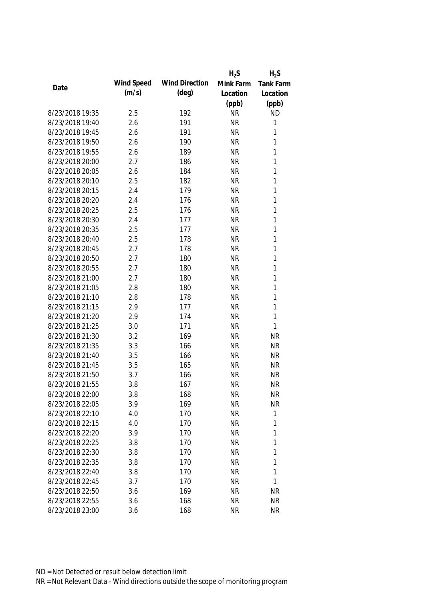|                 |            |                       | $H_2S$    | $H_2S$       |
|-----------------|------------|-----------------------|-----------|--------------|
| Date            | Wind Speed | <b>Wind Direction</b> | Mink Farm | Tank Farm    |
|                 | (m/s)      | $(\text{deg})$        | Location  | Location     |
|                 |            |                       | (ppb)     | (ppb)        |
| 8/23/2018 19:35 | 2.5        | 192                   | <b>NR</b> | <b>ND</b>    |
| 8/23/2018 19:40 | 2.6        | 191                   | <b>NR</b> | $\mathbf{1}$ |
| 8/23/2018 19:45 | 2.6        | 191                   | <b>NR</b> | 1            |
| 8/23/2018 19:50 | 2.6        | 190                   | <b>NR</b> | 1            |
| 8/23/2018 19:55 | 2.6        | 189                   | <b>NR</b> | 1            |
| 8/23/2018 20:00 | 2.7        | 186                   | <b>NR</b> | $\mathbf{1}$ |
| 8/23/2018 20:05 | 2.6        | 184                   | <b>NR</b> | $\mathbf{1}$ |
| 8/23/2018 20:10 | 2.5        | 182                   | <b>NR</b> | $\mathbf{1}$ |
| 8/23/2018 20:15 | 2.4        | 179                   | <b>NR</b> | $\mathbf{1}$ |
| 8/23/2018 20:20 | 2.4        | 176                   | <b>NR</b> | $\mathbf{1}$ |
| 8/23/2018 20:25 | 2.5        | 176                   | <b>NR</b> | $\mathbf{1}$ |
| 8/23/2018 20:30 | 2.4        | 177                   | <b>NR</b> | $\mathbf{1}$ |
| 8/23/2018 20:35 | 2.5        | 177                   | <b>NR</b> | 1            |
| 8/23/2018 20:40 | 2.5        | 178                   | <b>NR</b> | $\mathbf{1}$ |
| 8/23/2018 20:45 | 2.7        | 178                   | <b>NR</b> | $\mathbf{1}$ |
| 8/23/2018 20:50 | 2.7        | 180                   | <b>NR</b> | $\mathbf{1}$ |
| 8/23/2018 20:55 | 2.7        | 180                   | <b>NR</b> | 1            |
| 8/23/2018 21:00 | 2.7        | 180                   | <b>NR</b> | 1            |
| 8/23/2018 21:05 | 2.8        | 180                   | <b>NR</b> | $\mathbf{1}$ |
| 8/23/2018 21:10 | 2.8        | 178                   | <b>NR</b> | 1            |
| 8/23/2018 21:15 | 2.9        | 177                   | <b>NR</b> | 1            |
| 8/23/2018 21:20 | 2.9        | 174                   | <b>NR</b> | $\mathbf{1}$ |
| 8/23/2018 21:25 | 3.0        | 171                   | <b>NR</b> | 1            |
| 8/23/2018 21:30 | 3.2        | 169                   | <b>NR</b> | <b>NR</b>    |
| 8/23/2018 21:35 | 3.3        | 166                   | <b>NR</b> | <b>NR</b>    |
| 8/23/2018 21:40 | 3.5        | 166                   | <b>NR</b> | <b>NR</b>    |
| 8/23/2018 21:45 | 3.5        | 165                   | <b>NR</b> | <b>NR</b>    |
| 8/23/2018 21:50 | 3.7        | 166                   | <b>NR</b> | <b>NR</b>    |
| 8/23/2018 21:55 | 3.8        | 167                   | <b>NR</b> | <b>NR</b>    |
| 8/23/2018 22:00 | 3.8        | 168                   | <b>NR</b> | <b>NR</b>    |
| 8/23/2018 22:05 | 3.9        | 169                   | <b>NR</b> | <b>NR</b>    |
| 8/23/2018 22:10 | 4.0        | 170                   | <b>NR</b> | 1            |
| 8/23/2018 22:15 | 4.0        | 170                   | <b>NR</b> | $\mathbf{1}$ |
| 8/23/2018 22:20 | 3.9        | 170                   | <b>NR</b> | 1            |
| 8/23/2018 22:25 | 3.8        | 170                   | <b>NR</b> | 1            |
| 8/23/2018 22:30 | 3.8        | 170                   | <b>NR</b> | $\mathbf 1$  |
| 8/23/2018 22:35 | 3.8        | 170                   | <b>NR</b> | 1            |
| 8/23/2018 22:40 | 3.8        | 170                   | <b>NR</b> | 1            |
| 8/23/2018 22:45 | 3.7        | 170                   | <b>NR</b> | 1            |
| 8/23/2018 22:50 | 3.6        | 169                   | <b>NR</b> | <b>NR</b>    |
| 8/23/2018 22:55 | 3.6        | 168                   | <b>NR</b> | <b>NR</b>    |
| 8/23/2018 23:00 | 3.6        | 168                   | <b>NR</b> | <b>NR</b>    |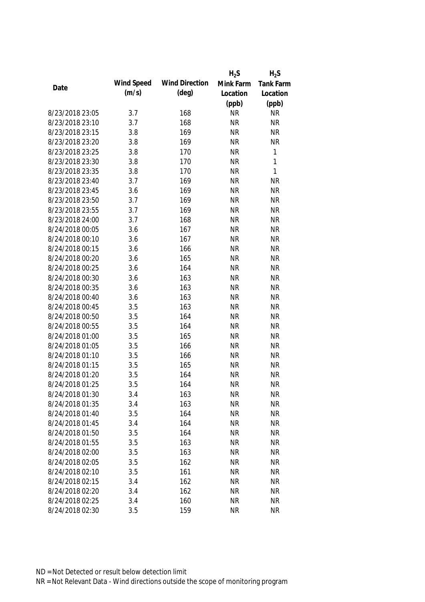|                 |            |                       | $H_2S$    | $H_2S$           |
|-----------------|------------|-----------------------|-----------|------------------|
| Date            | Wind Speed | <b>Wind Direction</b> | Mink Farm | <b>Tank Farm</b> |
|                 | (m/s)      | $(\text{deg})$        | Location  | Location         |
|                 |            |                       | (ppb)     | (ppb)            |
| 8/23/2018 23:05 | 3.7        | 168                   | <b>NR</b> | <b>NR</b>        |
| 8/23/2018 23:10 | 3.7        | 168                   | <b>NR</b> | <b>NR</b>        |
| 8/23/2018 23:15 | 3.8        | 169                   | <b>NR</b> | <b>NR</b>        |
| 8/23/2018 23:20 | 3.8        | 169                   | <b>NR</b> | <b>NR</b>        |
| 8/23/2018 23:25 | 3.8        | 170                   | <b>NR</b> | 1                |
| 8/23/2018 23:30 | 3.8        | 170                   | <b>NR</b> | 1                |
| 8/23/2018 23:35 | 3.8        | 170                   | <b>NR</b> | $\mathbf{1}$     |
| 8/23/2018 23:40 | 3.7        | 169                   | <b>NR</b> | <b>NR</b>        |
| 8/23/2018 23:45 | 3.6        | 169                   | <b>NR</b> | <b>NR</b>        |
| 8/23/2018 23:50 | 3.7        | 169                   | <b>NR</b> | <b>NR</b>        |
| 8/23/2018 23:55 | 3.7        | 169                   | <b>NR</b> | <b>NR</b>        |
| 8/23/2018 24:00 | 3.7        | 168                   | <b>NR</b> | <b>NR</b>        |
| 8/24/2018 00:05 | 3.6        | 167                   | <b>NR</b> | <b>NR</b>        |
| 8/24/2018 00:10 | 3.6        | 167                   | <b>NR</b> | <b>NR</b>        |
| 8/24/2018 00:15 | 3.6        | 166                   | <b>NR</b> | <b>NR</b>        |
| 8/24/2018 00:20 | 3.6        | 165                   | <b>NR</b> | <b>NR</b>        |
| 8/24/2018 00:25 | 3.6        | 164                   | <b>NR</b> | <b>NR</b>        |
| 8/24/2018 00:30 | 3.6        | 163                   | <b>NR</b> | <b>NR</b>        |
| 8/24/2018 00:35 | 3.6        | 163                   | <b>NR</b> | <b>NR</b>        |
| 8/24/2018 00:40 | 3.6        | 163                   | <b>NR</b> | <b>NR</b>        |
| 8/24/2018 00:45 | 3.5        | 163                   | <b>NR</b> | <b>NR</b>        |
| 8/24/2018 00:50 | 3.5        | 164                   | <b>NR</b> | <b>NR</b>        |
| 8/24/2018 00:55 | 3.5        | 164                   | <b>NR</b> | <b>NR</b>        |
| 8/24/2018 01:00 | 3.5        | 165                   | <b>NR</b> | <b>NR</b>        |
| 8/24/2018 01:05 | 3.5        | 166                   | <b>NR</b> | <b>NR</b>        |
| 8/24/2018 01:10 | 3.5        | 166                   | <b>NR</b> | <b>NR</b>        |
| 8/24/2018 01:15 | 3.5        | 165                   | <b>NR</b> | <b>NR</b>        |
| 8/24/2018 01:20 | 3.5        | 164                   | <b>NR</b> | <b>NR</b>        |
| 8/24/2018 01:25 | 3.5        | 164                   | <b>NR</b> | <b>NR</b>        |
| 8/24/2018 01:30 | 3.4        | 163                   | <b>NR</b> | <b>NR</b>        |
| 8/24/2018 01:35 | 3.4        | 163                   | <b>NR</b> | <b>NR</b>        |
| 8/24/2018 01:40 | 3.5        | 164                   | <b>NR</b> | <b>NR</b>        |
| 8/24/2018 01:45 | 3.4        | 164                   | <b>NR</b> | <b>NR</b>        |
| 8/24/2018 01:50 | 3.5        | 164                   | <b>NR</b> | <b>NR</b>        |
| 8/24/2018 01:55 | 3.5        | 163                   | <b>NR</b> | <b>NR</b>        |
| 8/24/2018 02:00 | 3.5        | 163                   | <b>NR</b> | <b>NR</b>        |
| 8/24/2018 02:05 | 3.5        | 162                   | <b>NR</b> | <b>NR</b>        |
| 8/24/2018 02:10 | 3.5        | 161                   | <b>NR</b> | <b>NR</b>        |
| 8/24/2018 02:15 | 3.4        | 162                   | <b>NR</b> | <b>NR</b>        |
| 8/24/2018 02:20 | 3.4        | 162                   | <b>NR</b> | <b>NR</b>        |
| 8/24/2018 02:25 | 3.4        | 160                   | <b>NR</b> | <b>NR</b>        |
| 8/24/2018 02:30 | 3.5        | 159                   | <b>NR</b> | <b>NR</b>        |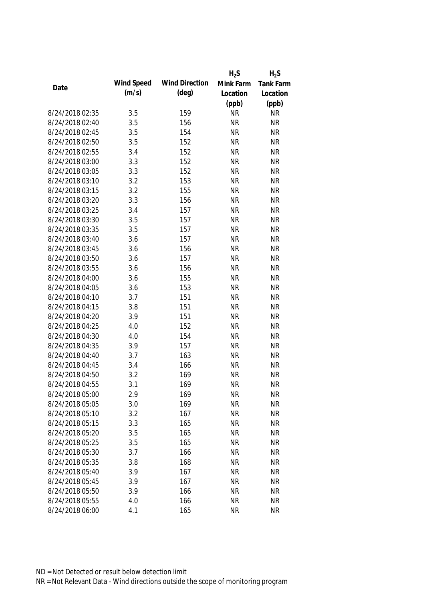|                 |            |                       | $H_2S$    | $H_2S$           |
|-----------------|------------|-----------------------|-----------|------------------|
| Date            | Wind Speed | <b>Wind Direction</b> | Mink Farm | <b>Tank Farm</b> |
|                 | (m/s)      | $(\text{deg})$        | Location  | Location         |
|                 |            |                       | (ppb)     | (ppb)            |
| 8/24/2018 02:35 | 3.5        | 159                   | <b>NR</b> | <b>NR</b>        |
| 8/24/2018 02:40 | 3.5        | 156                   | <b>NR</b> | <b>NR</b>        |
| 8/24/2018 02:45 | 3.5        | 154                   | <b>NR</b> | <b>NR</b>        |
| 8/24/2018 02:50 | 3.5        | 152                   | <b>NR</b> | <b>NR</b>        |
| 8/24/2018 02:55 | 3.4        | 152                   | <b>NR</b> | <b>NR</b>        |
| 8/24/2018 03:00 | 3.3        | 152                   | <b>NR</b> | <b>NR</b>        |
| 8/24/2018 03:05 | 3.3        | 152                   | <b>NR</b> | <b>NR</b>        |
| 8/24/2018 03:10 | 3.2        | 153                   | <b>NR</b> | <b>NR</b>        |
| 8/24/2018 03:15 | 3.2        | 155                   | <b>NR</b> | <b>NR</b>        |
| 8/24/2018 03:20 | 3.3        | 156                   | <b>NR</b> | <b>NR</b>        |
| 8/24/2018 03:25 | 3.4        | 157                   | <b>NR</b> | <b>NR</b>        |
| 8/24/2018 03:30 | 3.5        | 157                   | <b>NR</b> | <b>NR</b>        |
| 8/24/2018 03:35 | 3.5        | 157                   | <b>NR</b> | <b>NR</b>        |
| 8/24/2018 03:40 | 3.6        | 157                   | <b>NR</b> | <b>NR</b>        |
| 8/24/2018 03:45 | 3.6        | 156                   | <b>NR</b> | <b>NR</b>        |
| 8/24/2018 03:50 | 3.6        | 157                   | <b>NR</b> | <b>NR</b>        |
| 8/24/2018 03:55 | 3.6        | 156                   | <b>NR</b> | <b>NR</b>        |
| 8/24/2018 04:00 | 3.6        | 155                   | <b>NR</b> | <b>NR</b>        |
| 8/24/2018 04:05 | 3.6        | 153                   | <b>NR</b> | <b>NR</b>        |
| 8/24/2018 04:10 | 3.7        | 151                   | <b>NR</b> | <b>NR</b>        |
| 8/24/2018 04:15 | 3.8        | 151                   | <b>NR</b> | <b>NR</b>        |
| 8/24/2018 04:20 | 3.9        | 151                   | <b>NR</b> | <b>NR</b>        |
| 8/24/2018 04:25 | 4.0        | 152                   | <b>NR</b> | <b>NR</b>        |
| 8/24/2018 04:30 | 4.0        | 154                   | <b>NR</b> | <b>NR</b>        |
| 8/24/2018 04:35 | 3.9        | 157                   | <b>NR</b> | <b>NR</b>        |
| 8/24/2018 04:40 | 3.7        | 163                   | <b>NR</b> | <b>NR</b>        |
| 8/24/2018 04:45 | 3.4        | 166                   | <b>NR</b> | <b>NR</b>        |
| 8/24/2018 04:50 | 3.2        | 169                   | <b>NR</b> | <b>NR</b>        |
| 8/24/2018 04:55 | 3.1        | 169                   | <b>NR</b> | <b>NR</b>        |
| 8/24/2018 05:00 | 2.9        | 169                   | <b>NR</b> | <b>NR</b>        |
| 8/24/2018 05:05 | 3.0        | 169                   | <b>NR</b> | <b>NR</b>        |
| 8/24/2018 05:10 | 3.2        | 167                   | <b>NR</b> | <b>NR</b>        |
| 8/24/2018 05:15 | 3.3        | 165                   | <b>NR</b> | <b>NR</b>        |
| 8/24/2018 05:20 | 3.5        | 165                   | <b>NR</b> | <b>NR</b>        |
| 8/24/2018 05:25 | 3.5        | 165                   | <b>NR</b> | <b>NR</b>        |
| 8/24/2018 05:30 | 3.7        | 166                   | <b>NR</b> | <b>NR</b>        |
| 8/24/2018 05:35 | 3.8        | 168                   | <b>NR</b> | <b>NR</b>        |
| 8/24/2018 05:40 | 3.9        | 167                   | <b>NR</b> | <b>NR</b>        |
| 8/24/2018 05:45 | 3.9        | 167                   | <b>NR</b> | <b>NR</b>        |
| 8/24/2018 05:50 | 3.9        | 166                   | <b>NR</b> | <b>NR</b>        |
| 8/24/2018 05:55 | 4.0        | 166                   | <b>NR</b> | <b>NR</b>        |
| 8/24/2018 06:00 | 4.1        | 165                   | <b>NR</b> | <b>NR</b>        |
|                 |            |                       |           |                  |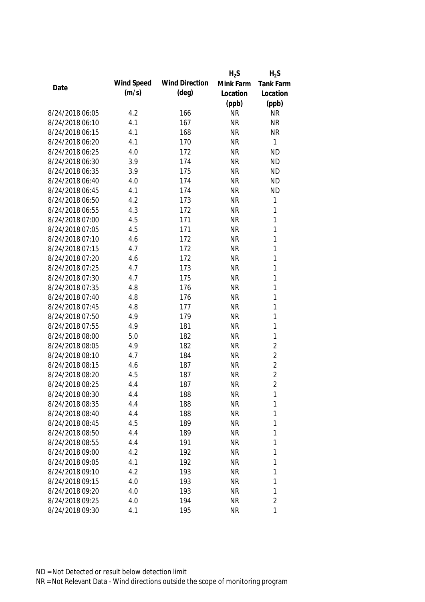|                 |            |                       | $H_2S$    | $H_2S$           |
|-----------------|------------|-----------------------|-----------|------------------|
| Date            | Wind Speed | <b>Wind Direction</b> | Mink Farm | <b>Tank Farm</b> |
|                 | (m/s)      | $(\text{deg})$        | Location  | Location         |
|                 |            |                       | (ppb)     | (ppb)            |
| 8/24/2018 06:05 | 4.2        | 166                   | <b>NR</b> | <b>NR</b>        |
| 8/24/2018 06:10 | 4.1        | 167                   | <b>NR</b> | <b>NR</b>        |
| 8/24/2018 06:15 | 4.1        | 168                   | <b>NR</b> | <b>NR</b>        |
| 8/24/2018 06:20 | 4.1        | 170                   | <b>NR</b> | $\mathbf{1}$     |
| 8/24/2018 06:25 | 4.0        | 172                   | <b>NR</b> | <b>ND</b>        |
| 8/24/2018 06:30 | 3.9        | 174                   | <b>NR</b> | <b>ND</b>        |
| 8/24/2018 06:35 | 3.9        | 175                   | <b>NR</b> | <b>ND</b>        |
| 8/24/2018 06:40 | 4.0        | 174                   | <b>NR</b> | <b>ND</b>        |
| 8/24/2018 06:45 | 4.1        | 174                   | <b>NR</b> | <b>ND</b>        |
| 8/24/2018 06:50 | 4.2        | 173                   | <b>NR</b> | $\mathbf{1}$     |
| 8/24/2018 06:55 | 4.3        | 172                   | <b>NR</b> | 1                |
| 8/24/2018 07:00 | 4.5        | 171                   | <b>NR</b> | $\mathbf{1}$     |
| 8/24/2018 07:05 | 4.5        | 171                   | <b>NR</b> | 1                |
| 8/24/2018 07:10 | 4.6        | 172                   | <b>NR</b> | 1                |
| 8/24/2018 07:15 | 4.7        | 172                   | <b>NR</b> | $\mathbf{1}$     |
| 8/24/2018 07:20 | 4.6        | 172                   | <b>NR</b> | $\mathbf{1}$     |
| 8/24/2018 07:25 | 4.7        | 173                   | <b>NR</b> | $\mathbf{1}$     |
| 8/24/2018 07:30 | 4.7        | 175                   | <b>NR</b> | $\mathbf{1}$     |
| 8/24/2018 07:35 | 4.8        | 176                   | <b>NR</b> | $\mathbf{1}$     |
| 8/24/2018 07:40 | 4.8        | 176                   | <b>NR</b> | 1                |
| 8/24/2018 07:45 | 4.8        | 177                   | <b>NR</b> | $\mathbf{1}$     |
| 8/24/2018 07:50 | 4.9        | 179                   | <b>NR</b> | $\mathbf{1}$     |
| 8/24/2018 07:55 | 4.9        | 181                   | <b>NR</b> | $\mathbf{1}$     |
| 8/24/2018 08:00 | 5.0        | 182                   | <b>NR</b> | $\mathbf{1}$     |
| 8/24/2018 08:05 | 4.9        | 182                   | <b>NR</b> | $\overline{2}$   |
| 8/24/2018 08:10 | 4.7        | 184                   | <b>NR</b> | $\overline{2}$   |
| 8/24/2018 08:15 | 4.6        | 187                   | <b>NR</b> | $\overline{2}$   |
| 8/24/2018 08:20 | 4.5        | 187                   | <b>NR</b> | $\overline{2}$   |
| 8/24/2018 08:25 | 4.4        | 187                   | <b>NR</b> | $\overline{2}$   |
| 8/24/2018 08:30 | 4.4        | 188                   | <b>NR</b> | 1                |
| 8/24/2018 08:35 | 4.4        | 188                   | <b>NR</b> | 1                |
| 8/24/2018 08:40 | 4.4        | 188                   | <b>NR</b> | 1                |
| 8/24/2018 08:45 | 4.5        | 189                   | <b>NR</b> | 1                |
| 8/24/2018 08:50 | 4.4        | 189                   | <b>NR</b> | 1                |
| 8/24/2018 08:55 | 4.4        | 191                   | <b>NR</b> | 1                |
| 8/24/2018 09:00 | 4.2        | 192                   | <b>NR</b> | 1                |
| 8/24/2018 09:05 | 4.1        | 192                   | <b>NR</b> | 1                |
| 8/24/2018 09:10 | 4.2        | 193                   | <b>NR</b> | 1                |
| 8/24/2018 09:15 | 4.0        | 193                   | <b>NR</b> | 1                |
| 8/24/2018 09:20 | 4.0        | 193                   | <b>NR</b> | 1                |
| 8/24/2018 09:25 | 4.0        | 194                   | <b>NR</b> | $\overline{2}$   |
| 8/24/2018 09:30 | 4.1        | 195                   | <b>NR</b> | $\mathbf{1}$     |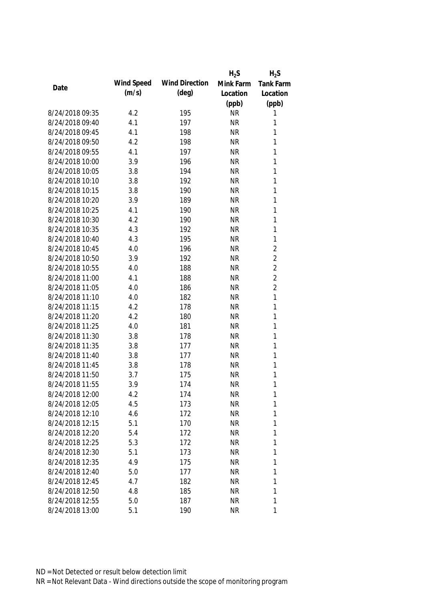|                 |            |                       | $H_2S$    | $H_2S$           |
|-----------------|------------|-----------------------|-----------|------------------|
| Date            | Wind Speed | <b>Wind Direction</b> | Mink Farm | <b>Tank Farm</b> |
|                 | (m/s)      | $(\text{deg})$        | Location  | Location         |
|                 |            |                       | (ppb)     | (ppb)            |
| 8/24/2018 09:35 | 4.2        | 195                   | <b>NR</b> | 1                |
| 8/24/2018 09:40 | 4.1        | 197                   | <b>NR</b> | 1                |
| 8/24/2018 09:45 | 4.1        | 198                   | <b>NR</b> | 1                |
| 8/24/2018 09:50 | 4.2        | 198                   | <b>NR</b> | 1                |
| 8/24/2018 09:55 | 4.1        | 197                   | <b>NR</b> | 1                |
| 8/24/2018 10:00 | 3.9        | 196                   | <b>NR</b> | 1                |
| 8/24/2018 10:05 | 3.8        | 194                   | <b>NR</b> | $\mathbf{1}$     |
| 8/24/2018 10:10 | 3.8        | 192                   | <b>NR</b> | $\mathbf{1}$     |
| 8/24/2018 10:15 | 3.8        | 190                   | <b>NR</b> | $\mathbf{1}$     |
| 8/24/2018 10:20 | 3.9        | 189                   | <b>NR</b> | 1                |
| 8/24/2018 10:25 | 4.1        | 190                   | <b>NR</b> | $\mathbf{1}$     |
| 8/24/2018 10:30 | 4.2        | 190                   | <b>NR</b> | 1                |
| 8/24/2018 10:35 | 4.3        | 192                   | <b>NR</b> | 1                |
| 8/24/2018 10:40 | 4.3        | 195                   | <b>NR</b> | $\mathbf{1}$     |
| 8/24/2018 10:45 | 4.0        | 196                   | <b>NR</b> | $\overline{2}$   |
| 8/24/2018 10:50 | 3.9        | 192                   | <b>NR</b> | $\overline{2}$   |
| 8/24/2018 10:55 | 4.0        | 188                   | <b>NR</b> | $\overline{2}$   |
| 8/24/2018 11:00 | 4.1        | 188                   | <b>NR</b> | $\overline{2}$   |
| 8/24/2018 11:05 | 4.0        | 186                   | <b>NR</b> | $\overline{2}$   |
| 8/24/2018 11:10 | 4.0        | 182                   | <b>NR</b> | $\mathbf{1}$     |
| 8/24/2018 11:15 | 4.2        | 178                   | <b>NR</b> | 1                |
| 8/24/2018 11:20 | 4.2        | 180                   | <b>NR</b> | $\mathbf{1}$     |
| 8/24/2018 11:25 | 4.0        | 181                   | <b>NR</b> | 1                |
| 8/24/2018 11:30 | 3.8        | 178                   | <b>NR</b> | 1                |
| 8/24/2018 11:35 | 3.8        | 177                   | <b>NR</b> | 1                |
| 8/24/2018 11:40 | 3.8        | 177                   | <b>NR</b> | 1                |
| 8/24/2018 11:45 | 3.8        | 178                   | <b>NR</b> | 1                |
| 8/24/2018 11:50 | 3.7        | 175                   | <b>NR</b> | 1                |
| 8/24/2018 11:55 | 3.9        | 174                   | <b>NR</b> | 1                |
| 8/24/2018 12:00 | 4.2        | 174                   | <b>NR</b> | 1                |
| 8/24/2018 12:05 | 4.5        | 173                   | <b>NR</b> | 1                |
| 8/24/2018 12:10 | 4.6        | 172                   | <b>NR</b> | 1                |
| 8/24/2018 12:15 | 5.1        | 170                   | <b>NR</b> | 1                |
| 8/24/2018 12:20 | 5.4        | 172                   | <b>NR</b> | 1                |
| 8/24/2018 12:25 | 5.3        | 172                   | <b>NR</b> | 1                |
| 8/24/2018 12:30 | 5.1        | 173                   | <b>NR</b> | 1                |
| 8/24/2018 12:35 | 4.9        | 175                   | <b>NR</b> | 1                |
| 8/24/2018 12:40 | 5.0        | 177                   | <b>NR</b> | 1                |
| 8/24/2018 12:45 | 4.7        | 182                   | <b>NR</b> | 1                |
| 8/24/2018 12:50 | 4.8        | 185                   | <b>NR</b> | 1                |
| 8/24/2018 12:55 | 5.0        | 187                   | <b>NR</b> | 1                |
| 8/24/2018 13:00 | 5.1        | 190                   | <b>NR</b> | 1                |
|                 |            |                       |           |                  |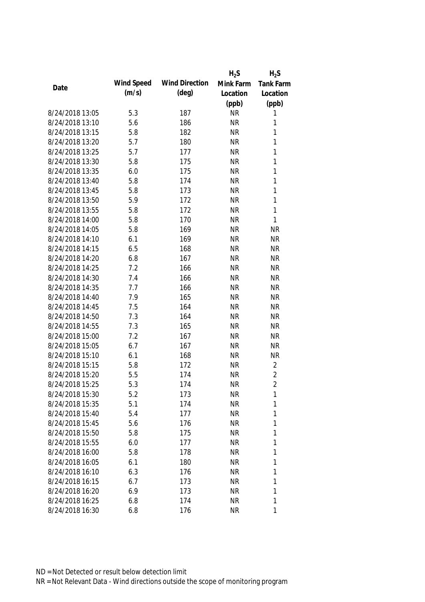|                 |            |                       | $H_2S$    | $H_2S$           |
|-----------------|------------|-----------------------|-----------|------------------|
| Date            | Wind Speed | <b>Wind Direction</b> | Mink Farm | <b>Tank Farm</b> |
|                 | (m/s)      | $(\text{deg})$        | Location  | Location         |
|                 |            |                       | (ppb)     | (ppb)            |
| 8/24/2018 13:05 | 5.3        | 187                   | <b>NR</b> | 1                |
| 8/24/2018 13:10 | 5.6        | 186                   | <b>NR</b> | 1                |
| 8/24/2018 13:15 | 5.8        | 182                   | <b>NR</b> | $\mathbf{1}$     |
| 8/24/2018 13:20 | 5.7        | 180                   | <b>NR</b> | 1                |
| 8/24/2018 13:25 | 5.7        | 177                   | <b>NR</b> | $\mathbf{1}$     |
| 8/24/2018 13:30 | 5.8        | 175                   | <b>NR</b> | $\mathbf{1}$     |
| 8/24/2018 13:35 | 6.0        | 175                   | <b>NR</b> | $\mathbf{1}$     |
| 8/24/2018 13:40 | 5.8        | 174                   | <b>NR</b> | $\mathbf{1}$     |
| 8/24/2018 13:45 | 5.8        | 173                   | <b>NR</b> | $\mathbf{1}$     |
| 8/24/2018 13:50 | 5.9        | 172                   | <b>NR</b> | $\mathbf{1}$     |
| 8/24/2018 13:55 | 5.8        | 172                   | <b>NR</b> | $\mathbf{1}$     |
| 8/24/2018 14:00 | 5.8        | 170                   | <b>NR</b> | $\mathbf{1}$     |
| 8/24/2018 14:05 | 5.8        | 169                   | <b>NR</b> | <b>NR</b>        |
| 8/24/2018 14:10 | 6.1        | 169                   | <b>NR</b> | <b>NR</b>        |
| 8/24/2018 14:15 | 6.5        | 168                   | <b>NR</b> | <b>NR</b>        |
| 8/24/2018 14:20 | 6.8        | 167                   | <b>NR</b> | <b>NR</b>        |
| 8/24/2018 14:25 | 7.2        | 166                   | <b>NR</b> | <b>NR</b>        |
| 8/24/2018 14:30 | 7.4        | 166                   | <b>NR</b> | <b>NR</b>        |
| 8/24/2018 14:35 | 7.7        | 166                   | <b>NR</b> | <b>NR</b>        |
| 8/24/2018 14:40 | 7.9        | 165                   | <b>NR</b> | <b>NR</b>        |
| 8/24/2018 14:45 | 7.5        | 164                   | <b>NR</b> | <b>NR</b>        |
| 8/24/2018 14:50 | 7.3        | 164                   | <b>NR</b> | <b>NR</b>        |
| 8/24/2018 14:55 | 7.3        | 165                   | <b>NR</b> | <b>NR</b>        |
| 8/24/2018 15:00 | 7.2        | 167                   | <b>NR</b> | <b>NR</b>        |
| 8/24/2018 15:05 | 6.7        | 167                   | <b>NR</b> | <b>NR</b>        |
| 8/24/2018 15:10 | 6.1        | 168                   | <b>NR</b> | <b>NR</b>        |
| 8/24/2018 15:15 | 5.8        | 172                   | <b>NR</b> | $\overline{2}$   |
| 8/24/2018 15:20 | 5.5        | 174                   | <b>NR</b> | $\overline{2}$   |
| 8/24/2018 15:25 | 5.3        | 174                   | <b>NR</b> | $\overline{2}$   |
| 8/24/2018 15:30 | 5.2        | 173                   | <b>NR</b> | 1                |
| 8/24/2018 15:35 | 5.1        | 174                   | <b>NR</b> | 1                |
| 8/24/2018 15:40 | 5.4        | 177                   | <b>NR</b> | 1                |
| 8/24/2018 15:45 | 5.6        | 176                   | <b>NR</b> | 1                |
| 8/24/2018 15:50 | 5.8        | 175                   | <b>NR</b> | 1                |
| 8/24/2018 15:55 | 6.0        | 177                   | <b>NR</b> | 1                |
| 8/24/2018 16:00 | 5.8        | 178                   | <b>NR</b> | 1                |
| 8/24/2018 16:05 | 6.1        | 180                   | <b>NR</b> | 1                |
| 8/24/2018 16:10 | 6.3        | 176                   | <b>NR</b> | 1                |
| 8/24/2018 16:15 | 6.7        | 173                   | <b>NR</b> | 1                |
| 8/24/2018 16:20 | 6.9        | 173                   | <b>NR</b> | 1                |
| 8/24/2018 16:25 | 6.8        | 174                   | <b>NR</b> | 1                |
| 8/24/2018 16:30 | 6.8        | 176                   | <b>NR</b> | 1                |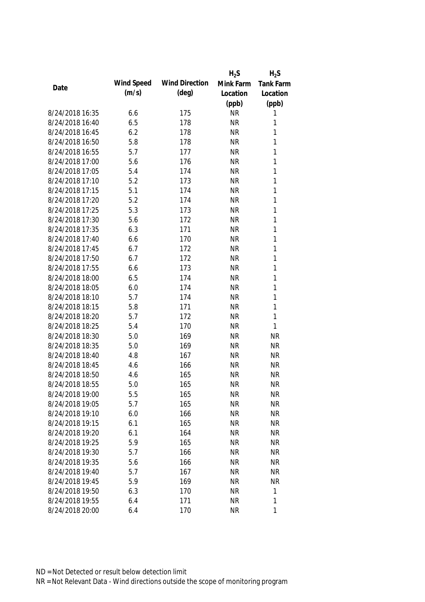|                 |            |                       | $H_2S$    | $H_2S$       |
|-----------------|------------|-----------------------|-----------|--------------|
| Date            | Wind Speed | <b>Wind Direction</b> | Mink Farm | Tank Farm    |
|                 | (m/s)      | $(\text{deg})$        | Location  | Location     |
|                 |            |                       | (ppb)     | (ppb)        |
| 8/24/2018 16:35 | 6.6        | 175                   | <b>NR</b> | 1            |
| 8/24/2018 16:40 | 6.5        | 178                   | <b>NR</b> | 1            |
| 8/24/2018 16:45 | 6.2        | 178                   | <b>NR</b> | 1            |
| 8/24/2018 16:50 | 5.8        | 178                   | <b>NR</b> | 1            |
| 8/24/2018 16:55 | 5.7        | 177                   | <b>NR</b> | 1            |
| 8/24/2018 17:00 | 5.6        | 176                   | <b>NR</b> | 1            |
| 8/24/2018 17:05 | 5.4        | 174                   | <b>NR</b> | 1            |
| 8/24/2018 17:10 | 5.2        | 173                   | <b>NR</b> | 1            |
| 8/24/2018 17:15 | 5.1        | 174                   | <b>NR</b> | 1            |
| 8/24/2018 17:20 | 5.2        | 174                   | <b>NR</b> | 1            |
| 8/24/2018 17:25 | 5.3        | 173                   | <b>NR</b> | 1            |
| 8/24/2018 17:30 | 5.6        | 172                   | <b>NR</b> | 1            |
| 8/24/2018 17:35 | 6.3        | 171                   | <b>NR</b> | 1            |
| 8/24/2018 17:40 | 6.6        | 170                   | <b>NR</b> | 1            |
| 8/24/2018 17:45 | 6.7        | 172                   | <b>NR</b> | 1            |
| 8/24/2018 17:50 | 6.7        | 172                   | <b>NR</b> | 1            |
| 8/24/2018 17:55 | 6.6        | 173                   | <b>NR</b> | 1            |
| 8/24/2018 18:00 | 6.5        | 174                   | <b>NR</b> | 1            |
| 8/24/2018 18:05 | 6.0        | 174                   | <b>NR</b> | 1            |
| 8/24/2018 18:10 | 5.7        | 174                   | <b>NR</b> | 1            |
| 8/24/2018 18:15 | 5.8        | 171                   | <b>NR</b> | 1            |
| 8/24/2018 18:20 | 5.7        | 172                   | <b>NR</b> | 1            |
| 8/24/2018 18:25 | 5.4        | 170                   | <b>NR</b> | 1            |
| 8/24/2018 18:30 | 5.0        | 169                   | <b>NR</b> | <b>NR</b>    |
| 8/24/2018 18:35 | 5.0        | 169                   | <b>NR</b> | <b>NR</b>    |
| 8/24/2018 18:40 | 4.8        | 167                   | <b>NR</b> | <b>NR</b>    |
| 8/24/2018 18:45 | 4.6        | 166                   | <b>NR</b> | <b>NR</b>    |
| 8/24/2018 18:50 | 4.6        | 165                   | <b>NR</b> | <b>NR</b>    |
| 8/24/2018 18:55 | 5.0        | 165                   | <b>NR</b> | <b>NR</b>    |
| 8/24/2018 19:00 | 5.5        | 165                   | <b>NR</b> | <b>NR</b>    |
| 8/24/2018 19:05 | 5.7        | 165                   | <b>NR</b> | <b>NR</b>    |
| 8/24/2018 19:10 | 6.0        | 166                   | <b>NR</b> | <b>NR</b>    |
| 8/24/2018 19:15 | 6.1        | 165                   | <b>NR</b> | <b>NR</b>    |
| 8/24/2018 19:20 | 6.1        | 164                   | <b>NR</b> | <b>NR</b>    |
| 8/24/2018 19:25 | 5.9        | 165                   | <b>NR</b> | <b>NR</b>    |
| 8/24/2018 19:30 | 5.7        | 166                   | <b>NR</b> | <b>NR</b>    |
| 8/24/2018 19:35 | 5.6        | 166                   | <b>NR</b> | <b>NR</b>    |
| 8/24/2018 19:40 | 5.7        | 167                   | <b>NR</b> | <b>NR</b>    |
| 8/24/2018 19:45 | 5.9        | 169                   | <b>NR</b> | <b>NR</b>    |
| 8/24/2018 19:50 | 6.3        | 170                   | <b>NR</b> | 1            |
| 8/24/2018 19:55 | 6.4        | 171                   | <b>NR</b> | $\mathbf{1}$ |
| 8/24/2018 20:00 | 6.4        | 170                   | <b>NR</b> | 1            |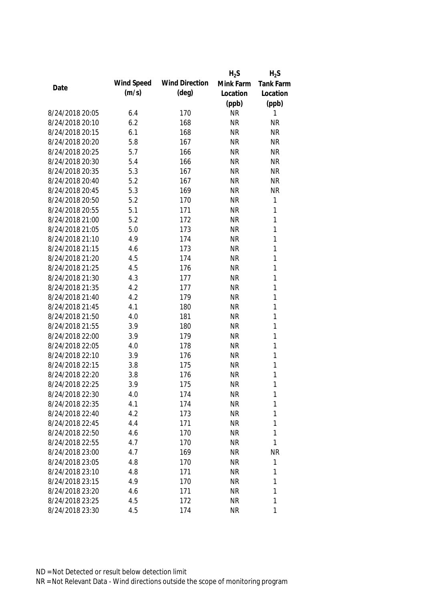|                 |            |                       | $H_2S$    | $H_2S$       |
|-----------------|------------|-----------------------|-----------|--------------|
| Date            | Wind Speed | <b>Wind Direction</b> | Mink Farm | Tank Farm    |
|                 | (m/s)      | (deg)                 | Location  | Location     |
|                 |            |                       | (ppb)     | (ppb)        |
| 8/24/2018 20:05 | 6.4        | 170                   | <b>NR</b> | 1            |
| 8/24/2018 20:10 | 6.2        | 168                   | <b>NR</b> | <b>NR</b>    |
| 8/24/2018 20:15 | 6.1        | 168                   | <b>NR</b> | <b>NR</b>    |
| 8/24/2018 20:20 | 5.8        | 167                   | <b>NR</b> | <b>NR</b>    |
| 8/24/2018 20:25 | 5.7        | 166                   | <b>NR</b> | <b>NR</b>    |
| 8/24/2018 20:30 | 5.4        | 166                   | <b>NR</b> | <b>NR</b>    |
| 8/24/2018 20:35 | 5.3        | 167                   | <b>NR</b> | <b>NR</b>    |
| 8/24/2018 20:40 | 5.2        | 167                   | <b>NR</b> | <b>NR</b>    |
| 8/24/2018 20:45 | 5.3        | 169                   | <b>NR</b> | <b>NR</b>    |
| 8/24/2018 20:50 | 5.2        | 170                   | <b>NR</b> | $\mathbf{1}$ |
| 8/24/2018 20:55 | 5.1        | 171                   | <b>NR</b> | $\mathbf{1}$ |
| 8/24/2018 21:00 | 5.2        | 172                   | <b>NR</b> | $\mathbf{1}$ |
| 8/24/2018 21:05 | 5.0        | 173                   | <b>NR</b> | $\mathbf{1}$ |
| 8/24/2018 21:10 | 4.9        | 174                   | <b>NR</b> | $\mathbf{1}$ |
| 8/24/2018 21:15 | 4.6        | 173                   | <b>NR</b> | $\mathbf{1}$ |
| 8/24/2018 21:20 | 4.5        | 174                   | <b>NR</b> | $\mathbf{1}$ |
| 8/24/2018 21:25 | 4.5        | 176                   | <b>NR</b> | $\mathbf{1}$ |
| 8/24/2018 21:30 | 4.3        | 177                   | <b>NR</b> | $\mathbf{1}$ |
| 8/24/2018 21:35 | 4.2        | 177                   | <b>NR</b> | $\mathbf{1}$ |
| 8/24/2018 21:40 | 4.2        | 179                   | <b>NR</b> | $\mathbf{1}$ |
| 8/24/2018 21:45 | 4.1        | 180                   | <b>NR</b> | 1            |
| 8/24/2018 21:50 | 4.0        | 181                   | <b>NR</b> | $\mathbf{1}$ |
| 8/24/2018 21:55 | 3.9        | 180                   | <b>NR</b> | $\mathbf{1}$ |
| 8/24/2018 22:00 | 3.9        | 179                   | <b>NR</b> | 1            |
| 8/24/2018 22:05 | 4.0        | 178                   | <b>NR</b> | $\mathbf{1}$ |
| 8/24/2018 22:10 | 3.9        | 176                   | <b>NR</b> | $\mathbf{1}$ |
| 8/24/2018 22:15 | 3.8        | 175                   | <b>NR</b> | 1            |
| 8/24/2018 22:20 | 3.8        | 176                   | <b>NR</b> | 1            |
| 8/24/2018 22:25 | 3.9        | 175                   | <b>NR</b> | 1            |
| 8/24/2018 22:30 | 4.0        | 174                   | <b>NR</b> | 1            |
| 8/24/2018 22:35 | 4.1        | 174                   | <b>NR</b> | 1            |
| 8/24/2018 22:40 | 4.2        | 173                   | <b>NR</b> | 1            |
| 8/24/2018 22:45 | 4.4        | 171                   | <b>NR</b> | 1            |
| 8/24/2018 22:50 | 4.6        | 170                   | <b>NR</b> | 1            |
| 8/24/2018 22:55 | 4.7        | 170                   | <b>NR</b> | 1            |
| 8/24/2018 23:00 | 4.7        | 169                   | <b>NR</b> | <b>NR</b>    |
| 8/24/2018 23:05 | 4.8        | 170                   | <b>NR</b> | $\mathbf{1}$ |
| 8/24/2018 23:10 | 4.8        | 171                   | <b>NR</b> | 1            |
| 8/24/2018 23:15 | 4.9        | 170                   | <b>NR</b> | 1            |
| 8/24/2018 23:20 | 4.6        | 171                   | <b>NR</b> | 1            |
| 8/24/2018 23:25 | 4.5        | 172                   | <b>NR</b> | 1            |
| 8/24/2018 23:30 | 4.5        | 174                   | <b>NR</b> | 1            |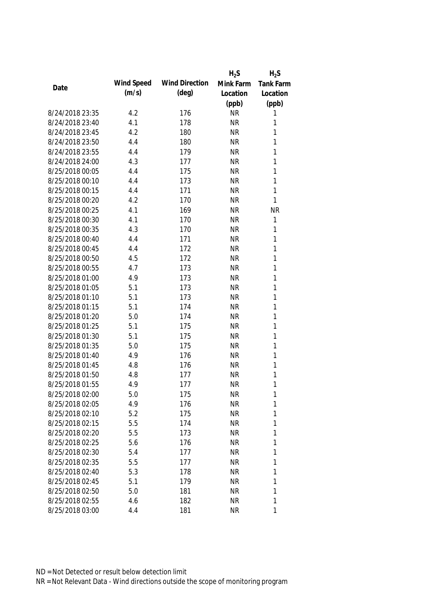|                 |            |                       | $H_2S$    | $H_2S$           |
|-----------------|------------|-----------------------|-----------|------------------|
| Date            | Wind Speed | <b>Wind Direction</b> | Mink Farm | <b>Tank Farm</b> |
|                 | (m/s)      | $(\text{deg})$        | Location  | Location         |
|                 |            |                       | (ppb)     | (ppb)            |
| 8/24/2018 23:35 | 4.2        | 176                   | <b>NR</b> | 1                |
| 8/24/2018 23:40 | 4.1        | 178                   | <b>NR</b> | 1                |
| 8/24/2018 23:45 | 4.2        | 180                   | <b>NR</b> | 1                |
| 8/24/2018 23:50 | 4.4        | 180                   | <b>NR</b> | 1                |
| 8/24/2018 23:55 | 4.4        | 179                   | <b>NR</b> | 1                |
| 8/24/2018 24:00 | 4.3        | 177                   | <b>NR</b> | 1                |
| 8/25/2018 00:05 | 4.4        | 175                   | <b>NR</b> | 1                |
| 8/25/2018 00:10 | 4.4        | 173                   | <b>NR</b> | 1                |
| 8/25/2018 00:15 | 4.4        | 171                   | <b>NR</b> | $\mathbf{1}$     |
| 8/25/2018 00:20 | 4.2        | 170                   | <b>NR</b> | 1                |
| 8/25/2018 00:25 | 4.1        | 169                   | <b>NR</b> | <b>NR</b>        |
| 8/25/2018 00:30 | 4.1        | 170                   | <b>NR</b> | $\mathbf{1}$     |
| 8/25/2018 00:35 | 4.3        | 170                   | <b>NR</b> | 1                |
| 8/25/2018 00:40 | 4.4        | 171                   | <b>NR</b> | $\mathbf{1}$     |
| 8/25/2018 00:45 | 4.4        | 172                   | <b>NR</b> | $\mathbf{1}$     |
| 8/25/2018 00:50 | 4.5        | 172                   | <b>NR</b> | $\mathbf{1}$     |
| 8/25/2018 00:55 | 4.7        | 173                   | <b>NR</b> | 1                |
| 8/25/2018 01:00 | 4.9        | 173                   | <b>NR</b> | 1                |
| 8/25/2018 01:05 | 5.1        | 173                   | <b>NR</b> | $\mathbf{1}$     |
| 8/25/2018 01:10 | 5.1        | 173                   | <b>NR</b> | 1                |
| 8/25/2018 01:15 | 5.1        | 174                   | <b>NR</b> | 1                |
| 8/25/2018 01:20 | 5.0        | 174                   | <b>NR</b> | $\mathbf{1}$     |
| 8/25/2018 01:25 | 5.1        | 175                   | <b>NR</b> | $\mathbf{1}$     |
| 8/25/2018 01:30 | 5.1        | 175                   | <b>NR</b> | 1                |
| 8/25/2018 01:35 | 5.0        | 175                   | <b>NR</b> | $\mathbf{1}$     |
| 8/25/2018 01:40 | 4.9        | 176                   | <b>NR</b> | 1                |
| 8/25/2018 01:45 | 4.8        | 176                   | <b>NR</b> | 1                |
| 8/25/2018 01:50 | 4.8        | 177                   | <b>NR</b> | 1                |
| 8/25/2018 01:55 | 4.9        | 177                   | <b>NR</b> | 1                |
| 8/25/2018 02:00 | 5.0        | 175                   | <b>NR</b> | 1                |
| 8/25/2018 02:05 | 4.9        | 176                   | <b>NR</b> | $\mathbf{1}$     |
| 8/25/2018 02:10 | 5.2        | 175                   | <b>NR</b> | 1                |
| 8/25/2018 02:15 | 5.5        | 174                   | <b>NR</b> | 1                |
| 8/25/2018 02:20 | 5.5        | 173                   | <b>NR</b> | 1                |
| 8/25/2018 02:25 | 5.6        | 176                   | <b>NR</b> | 1                |
| 8/25/2018 02:30 | 5.4        | 177                   | <b>NR</b> | 1                |
| 8/25/2018 02:35 | 5.5        | 177                   | <b>NR</b> | 1                |
| 8/25/2018 02:40 | 5.3        | 178                   | <b>NR</b> | 1                |
| 8/25/2018 02:45 | 5.1        | 179                   | <b>NR</b> | 1                |
| 8/25/2018 02:50 | 5.0        | 181                   | <b>NR</b> | 1                |
| 8/25/2018 02:55 | 4.6        | 182                   | <b>NR</b> | 1                |
| 8/25/2018 03:00 | 4.4        | 181                   | <b>NR</b> | 1                |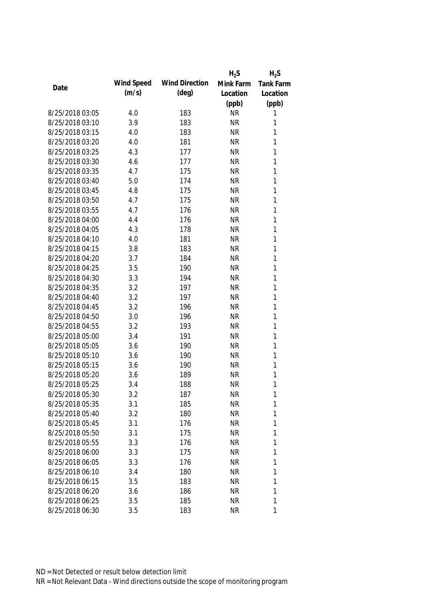|                 |            |                       | $H_2S$    | $H_2S$           |
|-----------------|------------|-----------------------|-----------|------------------|
| Date            | Wind Speed | <b>Wind Direction</b> | Mink Farm | <b>Tank Farm</b> |
|                 | (m/s)      | (deg)                 | Location  | Location         |
|                 |            |                       | (ppb)     | (ppb)            |
| 8/25/2018 03:05 | 4.0        | 183                   | <b>NR</b> | 1                |
| 8/25/2018 03:10 | 3.9        | 183                   | <b>NR</b> | 1                |
| 8/25/2018 03:15 | 4.0        | 183                   | <b>NR</b> | 1                |
| 8/25/2018 03:20 | 4.0        | 181                   | <b>NR</b> | 1                |
| 8/25/2018 03:25 | 4.3        | 177                   | <b>NR</b> | 1                |
| 8/25/2018 03:30 | 4.6        | 177                   | <b>NR</b> | 1                |
| 8/25/2018 03:35 | 4.7        | 175                   | <b>NR</b> | $\mathbf{1}$     |
| 8/25/2018 03:40 | 5.0        | 174                   | <b>NR</b> | $\mathbf{1}$     |
| 8/25/2018 03:45 | 4.8        | 175                   | <b>NR</b> | $\mathbf{1}$     |
| 8/25/2018 03:50 | 4.7        | 175                   | <b>NR</b> | 1                |
| 8/25/2018 03:55 | 4.7        | 176                   | <b>NR</b> | $\mathbf{1}$     |
| 8/25/2018 04:00 | 4.4        | 176                   | <b>NR</b> | $\mathbf{1}$     |
| 8/25/2018 04:05 | 4.3        | 178                   | <b>NR</b> | 1                |
| 8/25/2018 04:10 | 4.0        | 181                   | <b>NR</b> | $\mathbf{1}$     |
| 8/25/2018 04:15 | 3.8        | 183                   | <b>NR</b> | $\mathbf{1}$     |
| 8/25/2018 04:20 | 3.7        | 184                   | <b>NR</b> | $\mathbf{1}$     |
| 8/25/2018 04:25 | 3.5        | 190                   | <b>NR</b> | 1                |
| 8/25/2018 04:30 | 3.3        | 194                   | <b>NR</b> | $\mathbf{1}$     |
| 8/25/2018 04:35 | 3.2        | 197                   | <b>NR</b> | $\mathbf{1}$     |
| 8/25/2018 04:40 | 3.2        | 197                   | <b>NR</b> | $\mathbf{1}$     |
| 8/25/2018 04:45 | 3.2        | 196                   | <b>NR</b> | 1                |
| 8/25/2018 04:50 | 3.0        | 196                   | <b>NR</b> | $\mathbf{1}$     |
| 8/25/2018 04:55 | 3.2        | 193                   | <b>NR</b> | $\mathbf{1}$     |
| 8/25/2018 05:00 | 3.4        | 191                   | <b>NR</b> | 1                |
| 8/25/2018 05:05 | 3.6        | 190                   | <b>NR</b> | $\mathbf{1}$     |
| 8/25/2018 05:10 | 3.6        | 190                   | <b>NR</b> | $\mathbf{1}$     |
| 8/25/2018 05:15 | 3.6        | 190                   | <b>NR</b> | 1                |
| 8/25/2018 05:20 | 3.6        | 189                   | <b>NR</b> | 1                |
| 8/25/2018 05:25 | 3.4        | 188                   | <b>NR</b> | 1                |
| 8/25/2018 05:30 | 3.2        | 187                   | <b>NR</b> | 1                |
| 8/25/2018 05:35 | 3.1        | 185                   | <b>NR</b> | 1                |
| 8/25/2018 05:40 | 3.2        | 180                   | <b>NR</b> | 1                |
| 8/25/2018 05:45 | 3.1        | 176                   | <b>NR</b> | 1                |
| 8/25/2018 05:50 | 3.1        | 175                   | <b>NR</b> | 1                |
| 8/25/2018 05:55 | 3.3        | 176                   | <b>NR</b> | 1                |
| 8/25/2018 06:00 | 3.3        | 175                   | <b>NR</b> | 1                |
| 8/25/2018 06:05 | 3.3        | 176                   | <b>NR</b> | 1                |
| 8/25/2018 06:10 | 3.4        | 180                   | <b>NR</b> | 1                |
| 8/25/2018 06:15 | 3.5        | 183                   | <b>NR</b> | 1                |
| 8/25/2018 06:20 | 3.6        | 186                   | <b>NR</b> | 1                |
| 8/25/2018 06:25 | 3.5        | 185                   | <b>NR</b> | 1                |
| 8/25/2018 06:30 | 3.5        | 183                   | <b>NR</b> | 1                |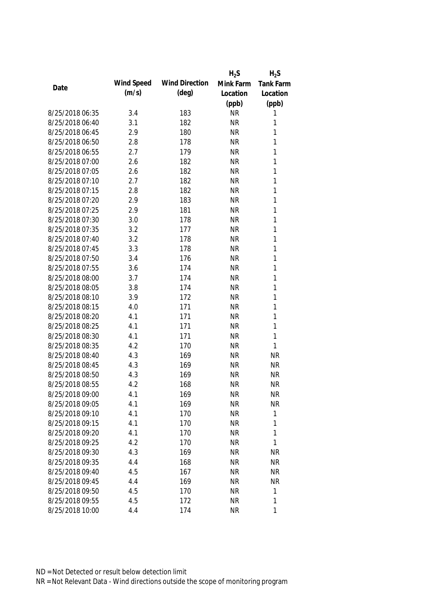|                 |            |                       | $H_2S$    | $H_2S$       |
|-----------------|------------|-----------------------|-----------|--------------|
| Date            | Wind Speed | <b>Wind Direction</b> | Mink Farm | Tank Farm    |
|                 | (m/s)      | (deg)                 | Location  | Location     |
|                 |            |                       | (ppb)     | (ppb)        |
| 8/25/2018 06:35 | 3.4        | 183                   | <b>NR</b> | 1            |
| 8/25/2018 06:40 | 3.1        | 182                   | <b>NR</b> | 1            |
| 8/25/2018 06:45 | 2.9        | 180                   | <b>NR</b> | 1            |
| 8/25/2018 06:50 | 2.8        | 178                   | <b>NR</b> | 1            |
| 8/25/2018 06:55 | 2.7        | 179                   | <b>NR</b> | 1            |
| 8/25/2018 07:00 | 2.6        | 182                   | <b>NR</b> | $\mathbf{1}$ |
| 8/25/2018 07:05 | 2.6        | 182                   | <b>NR</b> | $\mathbf{1}$ |
| 8/25/2018 07:10 | 2.7        | 182                   | <b>NR</b> | $\mathbf{1}$ |
| 8/25/2018 07:15 | 2.8        | 182                   | <b>NR</b> | $\mathbf{1}$ |
| 8/25/2018 07:20 | 2.9        | 183                   | <b>NR</b> | 1            |
| 8/25/2018 07:25 | 2.9        | 181                   | <b>NR</b> | $\mathbf{1}$ |
| 8/25/2018 07:30 | 3.0        | 178                   | <b>NR</b> | $\mathbf{1}$ |
| 8/25/2018 07:35 | 3.2        | 177                   | <b>NR</b> | 1            |
| 8/25/2018 07:40 | 3.2        | 178                   | <b>NR</b> | $\mathbf{1}$ |
| 8/25/2018 07:45 | 3.3        | 178                   | <b>NR</b> | $\mathbf{1}$ |
| 8/25/2018 07:50 | 3.4        | 176                   | <b>NR</b> | $\mathbf{1}$ |
| 8/25/2018 07:55 | 3.6        | 174                   | <b>NR</b> | 1            |
| 8/25/2018 08:00 | 3.7        | 174                   | <b>NR</b> | $\mathbf{1}$ |
| 8/25/2018 08:05 | 3.8        | 174                   | <b>NR</b> | $\mathbf{1}$ |
| 8/25/2018 08:10 | 3.9        | 172                   | <b>NR</b> | $\mathbf{1}$ |
| 8/25/2018 08:15 | 4.0        | 171                   | <b>NR</b> | 1            |
| 8/25/2018 08:20 | 4.1        | 171                   | <b>NR</b> | $\mathbf{1}$ |
| 8/25/2018 08:25 | 4.1        | 171                   | <b>NR</b> | $\mathbf{1}$ |
| 8/25/2018 08:30 | 4.1        | 171                   | <b>NR</b> | $\mathbf{1}$ |
| 8/25/2018 08:35 | 4.2        | 170                   | <b>NR</b> | 1            |
| 8/25/2018 08:40 | 4.3        | 169                   | <b>NR</b> | <b>NR</b>    |
| 8/25/2018 08:45 | 4.3        | 169                   | <b>NR</b> | <b>NR</b>    |
| 8/25/2018 08:50 | 4.3        | 169                   | <b>NR</b> | <b>NR</b>    |
| 8/25/2018 08:55 | 4.2        | 168                   | <b>NR</b> | <b>NR</b>    |
| 8/25/2018 09:00 | 4.1        | 169                   | <b>NR</b> | <b>NR</b>    |
| 8/25/2018 09:05 | 4.1        | 169                   | <b>NR</b> | <b>NR</b>    |
| 8/25/2018 09:10 | 4.1        | 170                   | <b>NR</b> | 1            |
| 8/25/2018 09:15 | 4.1        | 170                   | <b>NR</b> | 1            |
| 8/25/2018 09:20 | 4.1        | 170                   | <b>NR</b> | 1            |
| 8/25/2018 09:25 | 4.2        | 170                   | <b>NR</b> | 1            |
| 8/25/2018 09:30 | 4.3        | 169                   | <b>NR</b> | <b>NR</b>    |
| 8/25/2018 09:35 | 4.4        | 168                   | <b>NR</b> | <b>NR</b>    |
| 8/25/2018 09:40 | 4.5        | 167                   | <b>NR</b> | <b>NR</b>    |
| 8/25/2018 09:45 | 4.4        | 169                   | <b>NR</b> | <b>NR</b>    |
| 8/25/2018 09:50 | 4.5        | 170                   | <b>NR</b> | 1            |
| 8/25/2018 09:55 | 4.5        | 172                   | <b>NR</b> | 1            |
| 8/25/2018 10:00 | 4.4        | 174                   | <b>NR</b> | 1            |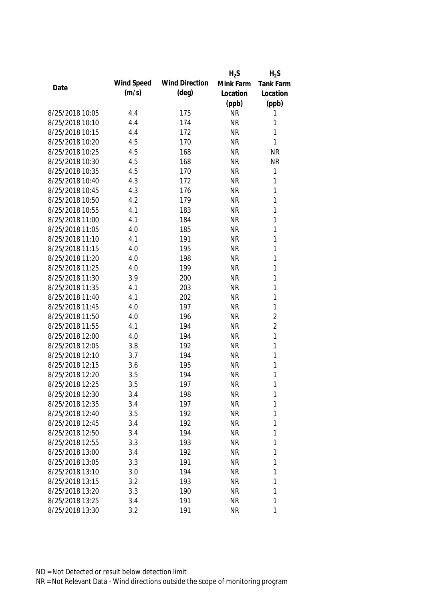|                 |            |                       | $H_2S$    | $H_2S$         |
|-----------------|------------|-----------------------|-----------|----------------|
| Date            | Wind Speed | <b>Wind Direction</b> | Mink Farm | Tank Farm      |
|                 | (m/s)      | (deg)                 | Location  | Location       |
|                 |            |                       | (ppb)     | (ppb)          |
| 8/25/2018 10:05 | 4.4        | 175                   | <b>NR</b> | 1              |
| 8/25/2018 10:10 | 4.4        | 174                   | <b>NR</b> | 1              |
| 8/25/2018 10:15 | 4.4        | 172                   | <b>NR</b> | 1              |
| 8/25/2018 10:20 | 4.5        | 170                   | <b>NR</b> | 1              |
| 8/25/2018 10:25 | 4.5        | 168                   | <b>NR</b> | <b>NR</b>      |
| 8/25/2018 10:30 | 4.5        | 168                   | <b>NR</b> | <b>NR</b>      |
| 8/25/2018 10:35 | 4.5        | 170                   | <b>NR</b> | $\mathbf{1}$   |
| 8/25/2018 10:40 | 4.3        | 172                   | <b>NR</b> | $\mathbf{1}$   |
| 8/25/2018 10:45 | 4.3        | 176                   | <b>NR</b> | $\mathbf{1}$   |
| 8/25/2018 10:50 | 4.2        | 179                   | <b>NR</b> | 1              |
| 8/25/2018 10:55 | 4.1        | 183                   | <b>NR</b> | $\mathbf{1}$   |
| 8/25/2018 11:00 | 4.1        | 184                   | <b>NR</b> | $\mathbf{1}$   |
| 8/25/2018 11:05 | 4.0        | 185                   | <b>NR</b> | 1              |
| 8/25/2018 11:10 | 4.1        | 191                   | <b>NR</b> | $\mathbf{1}$   |
| 8/25/2018 11:15 | 4.0        | 195                   | <b>NR</b> | $\mathbf{1}$   |
| 8/25/2018 11:20 | 4.0        | 198                   | <b>NR</b> | $\mathbf{1}$   |
| 8/25/2018 11:25 | 4.0        | 199                   | <b>NR</b> | 1              |
| 8/25/2018 11:30 | 3.9        | 200                   | <b>NR</b> | $\mathbf{1}$   |
| 8/25/2018 11:35 | 4.1        | 203                   | <b>NR</b> | $\mathbf{1}$   |
| 8/25/2018 11:40 | 4.1        | 202                   | <b>NR</b> | $\mathbf{1}$   |
| 8/25/2018 11:45 | 4.0        | 197                   | <b>NR</b> | 1              |
| 8/25/2018 11:50 | 4.0        | 196                   | <b>NR</b> | $\overline{2}$ |
| 8/25/2018 11:55 | 4.1        | 194                   | <b>NR</b> | $\overline{2}$ |
| 8/25/2018 12:00 | 4.0        | 194                   | <b>NR</b> | $\mathbf{1}$   |
| 8/25/2018 12:05 | 3.8        | 192                   | <b>NR</b> | $\mathbf{1}$   |
| 8/25/2018 12:10 | 3.7        | 194                   | <b>NR</b> | $\mathbf{1}$   |
| 8/25/2018 12:15 | 3.6        | 195                   | <b>NR</b> | 1              |
| 8/25/2018 12:20 | 3.5        | 194                   | <b>NR</b> | 1              |
| 8/25/2018 12:25 | 3.5        | 197                   | <b>NR</b> | 1              |
| 8/25/2018 12:30 | 3.4        | 198                   | <b>NR</b> | 1              |
| 8/25/2018 12:35 | 3.4        | 197                   | <b>NR</b> | 1              |
| 8/25/2018 12:40 | 3.5        | 192                   | <b>NR</b> | 1              |
| 8/25/2018 12:45 | 3.4        | 192                   | <b>NR</b> | 1              |
| 8/25/2018 12:50 | 3.4        | 194                   | <b>NR</b> | 1              |
| 8/25/2018 12:55 | 3.3        | 193                   | <b>NR</b> | 1              |
| 8/25/2018 13:00 | 3.4        | 192                   | <b>NR</b> | 1              |
| 8/25/2018 13:05 | 3.3        | 191                   | <b>NR</b> | 1              |
| 8/25/2018 13:10 | 3.0        | 194                   | <b>NR</b> | 1              |
| 8/25/2018 13:15 | 3.2        | 193                   | <b>NR</b> | 1              |
| 8/25/2018 13:20 | 3.3        | 190                   | <b>NR</b> | 1              |
| 8/25/2018 13:25 | 3.4        | 191                   | <b>NR</b> | 1              |
| 8/25/2018 13:30 | 3.2        | 191                   | <b>NR</b> | 1              |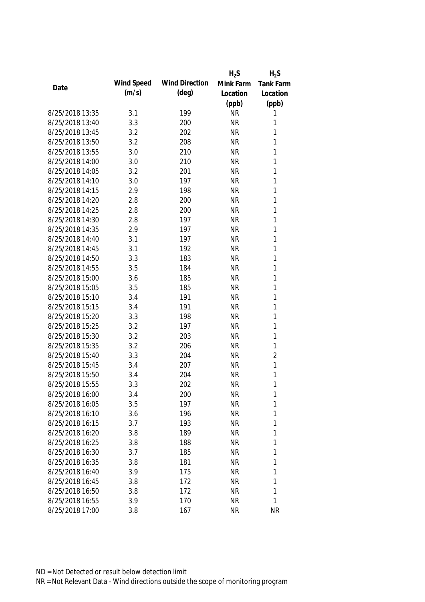|                 |            |                       | $H_2S$    | $H_2S$         |
|-----------------|------------|-----------------------|-----------|----------------|
| Date            | Wind Speed | <b>Wind Direction</b> | Mink Farm | Tank Farm      |
|                 | (m/s)      | $(\text{deg})$        | Location  | Location       |
|                 |            |                       | (ppb)     | (ppb)          |
| 8/25/2018 13:35 | 3.1        | 199                   | <b>NR</b> | 1              |
| 8/25/2018 13:40 | 3.3        | 200                   | <b>NR</b> | 1              |
| 8/25/2018 13:45 | 3.2        | 202                   | <b>NR</b> | 1              |
| 8/25/2018 13:50 | 3.2        | 208                   | <b>NR</b> | 1              |
| 8/25/2018 13:55 | 3.0        | 210                   | <b>NR</b> | 1              |
| 8/25/2018 14:00 | 3.0        | 210                   | <b>NR</b> | 1              |
| 8/25/2018 14:05 | 3.2        | 201                   | <b>NR</b> | 1              |
| 8/25/2018 14:10 | 3.0        | 197                   | <b>NR</b> | 1              |
| 8/25/2018 14:15 | 2.9        | 198                   | <b>NR</b> | 1              |
| 8/25/2018 14:20 | 2.8        | 200                   | <b>NR</b> | 1              |
| 8/25/2018 14:25 | 2.8        | 200                   | <b>NR</b> | 1              |
| 8/25/2018 14:30 | 2.8        | 197                   | <b>NR</b> | 1              |
| 8/25/2018 14:35 | 2.9        | 197                   | <b>NR</b> | 1              |
| 8/25/2018 14:40 | 3.1        | 197                   | <b>NR</b> | 1              |
| 8/25/2018 14:45 | 3.1        | 192                   | <b>NR</b> | 1              |
| 8/25/2018 14:50 | 3.3        | 183                   | <b>NR</b> | 1              |
| 8/25/2018 14:55 | 3.5        | 184                   | <b>NR</b> | 1              |
| 8/25/2018 15:00 | 3.6        | 185                   | <b>NR</b> | 1              |
| 8/25/2018 15:05 | 3.5        | 185                   | <b>NR</b> | 1              |
| 8/25/2018 15:10 | 3.4        | 191                   | <b>NR</b> | 1              |
| 8/25/2018 15:15 | 3.4        | 191                   | <b>NR</b> | 1              |
| 8/25/2018 15:20 | 3.3        | 198                   | <b>NR</b> | 1              |
| 8/25/2018 15:25 | 3.2        | 197                   | <b>NR</b> | 1              |
| 8/25/2018 15:30 | 3.2        | 203                   | <b>NR</b> | 1              |
| 8/25/2018 15:35 | 3.2        | 206                   | <b>NR</b> | 1              |
| 8/25/2018 15:40 | 3.3        | 204                   | <b>NR</b> | $\overline{2}$ |
| 8/25/2018 15:45 | 3.4        | 207                   | <b>NR</b> | 1              |
| 8/25/2018 15:50 | 3.4        | 204                   | <b>NR</b> | 1              |
| 8/25/2018 15:55 | 3.3        | 202                   | <b>NR</b> | 1              |
| 8/25/2018 16:00 | 3.4        | 200                   | <b>NR</b> | 1              |
| 8/25/2018 16:05 | 3.5        | 197                   | <b>NR</b> | 1              |
| 8/25/2018 16:10 | 3.6        | 196                   | <b>NR</b> | 1              |
| 8/25/2018 16:15 | 3.7        | 193                   | <b>NR</b> | 1              |
| 8/25/2018 16:20 | 3.8        | 189                   | <b>NR</b> | 1              |
| 8/25/2018 16:25 | 3.8        | 188                   | <b>NR</b> | 1              |
| 8/25/2018 16:30 | 3.7        | 185                   | <b>NR</b> | 1              |
| 8/25/2018 16:35 | 3.8        | 181                   | <b>NR</b> | 1              |
| 8/25/2018 16:40 | 3.9        | 175                   | <b>NR</b> | 1              |
| 8/25/2018 16:45 | 3.8        | 172                   | <b>NR</b> | 1              |
| 8/25/2018 16:50 | 3.8        | 172                   | <b>NR</b> | 1              |
| 8/25/2018 16:55 | 3.9        | 170                   | <b>NR</b> | 1              |
| 8/25/2018 17:00 | 3.8        | 167                   | <b>NR</b> | <b>NR</b>      |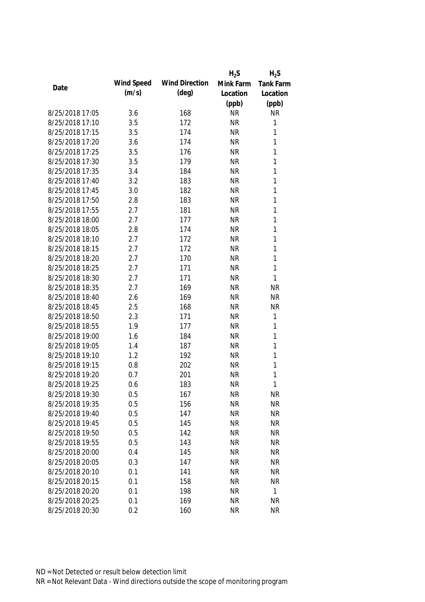|                 |            |                       | $H_2S$    | $H_2S$           |
|-----------------|------------|-----------------------|-----------|------------------|
| Date            | Wind Speed | <b>Wind Direction</b> | Mink Farm | <b>Tank Farm</b> |
|                 | (m/s)      | (deg)                 | Location  | Location         |
|                 |            |                       | (ppb)     | (ppb)            |
| 8/25/2018 17:05 | 3.6        | 168                   | <b>NR</b> | <b>NR</b>        |
| 8/25/2018 17:10 | 3.5        | 172                   | <b>NR</b> | 1                |
| 8/25/2018 17:15 | 3.5        | 174                   | <b>NR</b> | $\mathbf{1}$     |
| 8/25/2018 17:20 | 3.6        | 174                   | <b>NR</b> | 1                |
| 8/25/2018 17:25 | 3.5        | 176                   | <b>NR</b> | 1                |
| 8/25/2018 17:30 | 3.5        | 179                   | <b>NR</b> | 1                |
| 8/25/2018 17:35 | 3.4        | 184                   | <b>NR</b> | $\mathbf{1}$     |
| 8/25/2018 17:40 | 3.2        | 183                   | <b>NR</b> | $\mathbf{1}$     |
| 8/25/2018 17:45 | 3.0        | 182                   | <b>NR</b> | $\mathbf{1}$     |
| 8/25/2018 17:50 | 2.8        | 183                   | <b>NR</b> | 1                |
| 8/25/2018 17:55 | 2.7        | 181                   | <b>NR</b> | $\mathbf{1}$     |
| 8/25/2018 18:00 | 2.7        | 177                   | <b>NR</b> | 1                |
| 8/25/2018 18:05 | 2.8        | 174                   | <b>NR</b> | 1                |
| 8/25/2018 18:10 | 2.7        | 172                   | <b>NR</b> | $\mathbf{1}$     |
| 8/25/2018 18:15 | 2.7        | 172                   | <b>NR</b> | $\mathbf{1}$     |
| 8/25/2018 18:20 | 2.7        | 170                   | <b>NR</b> | $\mathbf{1}$     |
| 8/25/2018 18:25 | 2.7        | 171                   | <b>NR</b> | $\mathbf{1}$     |
| 8/25/2018 18:30 | 2.7        | 171                   | <b>NR</b> | $\mathbf{1}$     |
| 8/25/2018 18:35 | 2.7        | 169                   | <b>NR</b> | <b>NR</b>        |
| 8/25/2018 18:40 | 2.6        | 169                   | <b>NR</b> | <b>NR</b>        |
| 8/25/2018 18:45 | 2.5        | 168                   | <b>NR</b> | <b>NR</b>        |
| 8/25/2018 18:50 | 2.3        | 171                   | <b>NR</b> | $\mathbf{1}$     |
| 8/25/2018 18:55 | 1.9        | 177                   | <b>NR</b> | $\mathbf{1}$     |
| 8/25/2018 19:00 | 1.6        | 184                   | <b>NR</b> | $\mathbf{1}$     |
| 8/25/2018 19:05 | 1.4        | 187                   | <b>NR</b> | $\mathbf{1}$     |
| 8/25/2018 19:10 | 1.2        | 192                   | <b>NR</b> | $\mathbf{1}$     |
| 8/25/2018 19:15 | 0.8        | 202                   | <b>NR</b> | 1                |
| 8/25/2018 19:20 | 0.7        | 201                   | <b>NR</b> | 1                |
| 8/25/2018 19:25 | 0.6        | 183                   | <b>NR</b> | 1                |
| 8/25/2018 19:30 | 0.5        | 167                   | <b>NR</b> | <b>NR</b>        |
| 8/25/2018 19:35 | 0.5        | 156                   | <b>NR</b> | <b>NR</b>        |
| 8/25/2018 19:40 | 0.5        | 147                   | <b>NR</b> | <b>NR</b>        |
| 8/25/2018 19:45 | 0.5        | 145                   | <b>NR</b> | <b>NR</b>        |
| 8/25/2018 19:50 | 0.5        | 142                   | <b>NR</b> | <b>NR</b>        |
| 8/25/2018 19:55 | 0.5        | 143                   | <b>NR</b> | <b>NR</b>        |
| 8/25/2018 20:00 | 0.4        | 145                   | <b>NR</b> | <b>NR</b>        |
| 8/25/2018 20:05 | 0.3        | 147                   | <b>NR</b> | <b>NR</b>        |
| 8/25/2018 20:10 | 0.1        | 141                   | <b>NR</b> | <b>NR</b>        |
| 8/25/2018 20:15 | 0.1        | 158                   | <b>NR</b> | <b>NR</b>        |
| 8/25/2018 20:20 | 0.1        | 198                   | <b>NR</b> | $\mathbf{1}$     |
| 8/25/2018 20:25 | 0.1        | 169                   | <b>NR</b> | <b>NR</b>        |
| 8/25/2018 20:30 | 0.2        | 160                   | <b>NR</b> | <b>NR</b>        |
|                 |            |                       |           |                  |